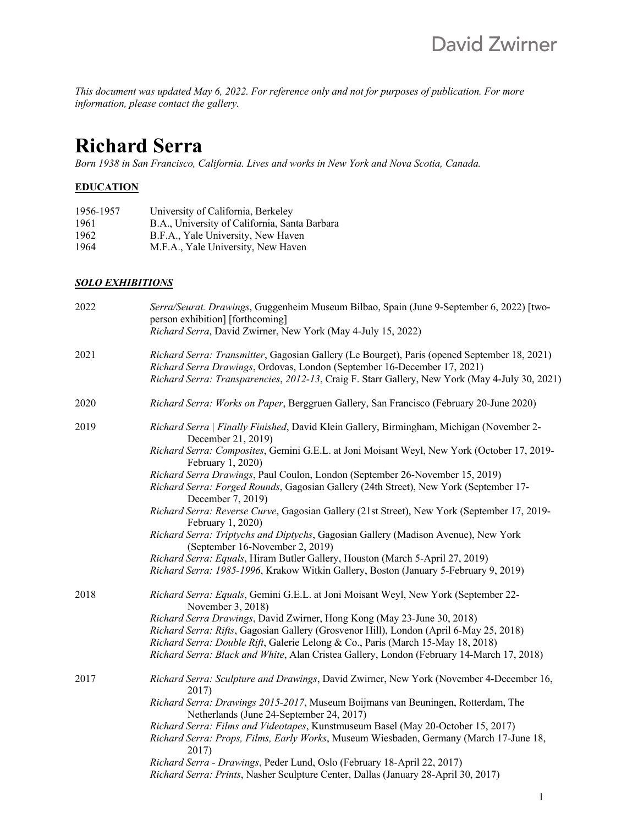*This document was updated May 6, 2022. For reference only and not for purposes of publication. For more information, please contact the gallery.*

# **Richard Serra**

*Born 1938 in San Francisco, California. Lives and works in New York and Nova Scotia, Canada.*

# **EDUCATION**

| 1956-1957 | University of California, Berkeley            |
|-----------|-----------------------------------------------|
| 1961      | B.A., University of California, Santa Barbara |
| 1962      | B.F.A., Yale University, New Haven            |
| 1964      | M.F.A., Yale University, New Haven            |

## *SOLO EXHIBITIONS*

| 2022 | Serra/Seurat. Drawings, Guggenheim Museum Bilbao, Spain (June 9-September 6, 2022) [two-<br>person exhibition] [forthcoming]<br>Richard Serra, David Zwirner, New York (May 4-July 15, 2022)                                                                               |
|------|----------------------------------------------------------------------------------------------------------------------------------------------------------------------------------------------------------------------------------------------------------------------------|
| 2021 | Richard Serra: Transmitter, Gagosian Gallery (Le Bourget), Paris (opened September 18, 2021)<br>Richard Serra Drawings, Ordovas, London (September 16-December 17, 2021)<br>Richard Serra: Transparencies, 2012-13, Craig F. Starr Gallery, New York (May 4-July 30, 2021) |
| 2020 | Richard Serra: Works on Paper, Berggruen Gallery, San Francisco (February 20-June 2020)                                                                                                                                                                                    |
| 2019 | Richard Serra   Finally Finished, David Klein Gallery, Birmingham, Michigan (November 2-<br>December 21, 2019)                                                                                                                                                             |
|      | Richard Serra: Composites, Gemini G.E.L. at Joni Moisant Weyl, New York (October 17, 2019-<br>February 1, 2020)                                                                                                                                                            |
|      | Richard Serra Drawings, Paul Coulon, London (September 26-November 15, 2019)                                                                                                                                                                                               |
|      | Richard Serra: Forged Rounds, Gagosian Gallery (24th Street), New York (September 17-<br>December 7, 2019)                                                                                                                                                                 |
|      | Richard Serra: Reverse Curve, Gagosian Gallery (21st Street), New York (September 17, 2019-<br>February 1, 2020)                                                                                                                                                           |
|      | Richard Serra: Triptychs and Diptychs, Gagosian Gallery (Madison Avenue), New York<br>(September 16-November 2, 2019)                                                                                                                                                      |
|      | Richard Serra: Equals, Hiram Butler Gallery, Houston (March 5-April 27, 2019)                                                                                                                                                                                              |
|      | Richard Serra: 1985-1996, Krakow Witkin Gallery, Boston (January 5-February 9, 2019)                                                                                                                                                                                       |
| 2018 | Richard Serra: Equals, Gemini G.E.L. at Joni Moisant Weyl, New York (September 22-<br>November 3, 2018)                                                                                                                                                                    |
|      | Richard Serra Drawings, David Zwirner, Hong Kong (May 23-June 30, 2018)                                                                                                                                                                                                    |
|      | Richard Serra: Rifts, Gagosian Gallery (Grosvenor Hill), London (April 6-May 25, 2018)                                                                                                                                                                                     |
|      | Richard Serra: Double Rift, Galerie Lelong & Co., Paris (March 15-May 18, 2018)                                                                                                                                                                                            |
|      | Richard Serra: Black and White, Alan Cristea Gallery, London (February 14-March 17, 2018)                                                                                                                                                                                  |
| 2017 | Richard Serra: Sculpture and Drawings, David Zwirner, New York (November 4-December 16,<br>2017)                                                                                                                                                                           |
|      | Richard Serra: Drawings 2015-2017, Museum Boijmans van Beuningen, Rotterdam, The<br>Netherlands (June 24-September 24, 2017)                                                                                                                                               |
|      | Richard Serra: Films and Videotapes, Kunstmuseum Basel (May 20-October 15, 2017)<br>Richard Serra: Props, Films, Early Works, Museum Wiesbaden, Germany (March 17-June 18,<br>2017)                                                                                        |
|      | Richard Serra - Drawings, Peder Lund, Oslo (February 18-April 22, 2017)                                                                                                                                                                                                    |
|      | Richard Serra: Prints, Nasher Sculpture Center, Dallas (January 28-April 30, 2017)                                                                                                                                                                                         |
|      |                                                                                                                                                                                                                                                                            |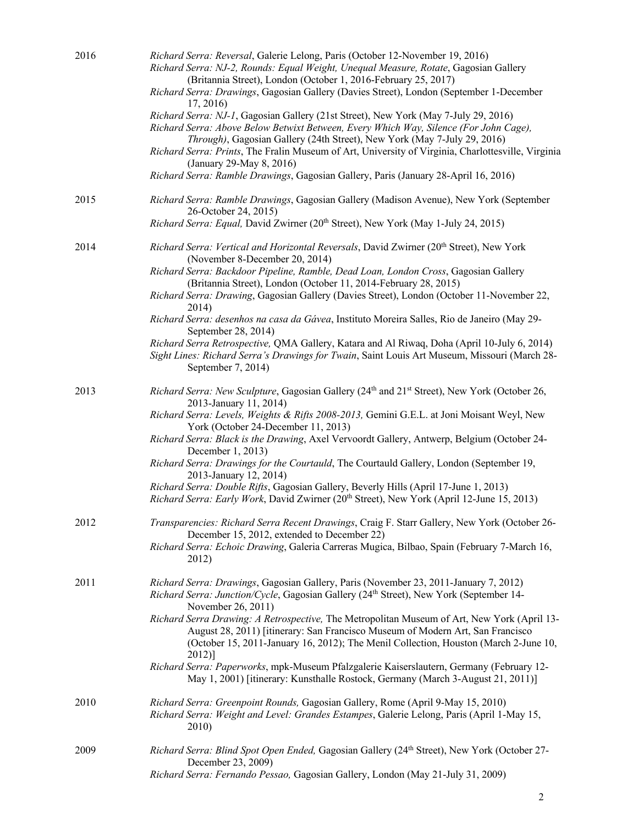| 2016 | Richard Serra: Reversal, Galerie Lelong, Paris (October 12-November 19, 2016)<br>Richard Serra: NJ-2, Rounds: Equal Weight, Unequal Measure, Rotate, Gagosian Gallery<br>(Britannia Street), London (October 1, 2016-February 25, 2017)                                                     |
|------|---------------------------------------------------------------------------------------------------------------------------------------------------------------------------------------------------------------------------------------------------------------------------------------------|
|      | Richard Serra: Drawings, Gagosian Gallery (Davies Street), London (September 1-December<br>17, 2016                                                                                                                                                                                         |
|      | Richard Serra: NJ-1, Gagosian Gallery (21st Street), New York (May 7-July 29, 2016)<br>Richard Serra: Above Below Betwixt Between, Every Which Way, Silence (For John Cage),<br>Through), Gagosian Gallery (24th Street), New York (May 7-July 29, 2016)                                    |
|      | Richard Serra: Prints, The Fralin Museum of Art, University of Virginia, Charlottesville, Virginia<br>(January 29-May 8, 2016)                                                                                                                                                              |
|      | Richard Serra: Ramble Drawings, Gagosian Gallery, Paris (January 28-April 16, 2016)                                                                                                                                                                                                         |
| 2015 | Richard Serra: Ramble Drawings, Gagosian Gallery (Madison Avenue), New York (September<br>26-October 24, 2015)                                                                                                                                                                              |
|      | Richard Serra: Equal, David Zwirner (20 <sup>th</sup> Street), New York (May 1-July 24, 2015)                                                                                                                                                                                               |
| 2014 | Richard Serra: Vertical and Horizontal Reversals, David Zwirner (20th Street), New York<br>(November 8-December 20, 2014)                                                                                                                                                                   |
|      | Richard Serra: Backdoor Pipeline, Ramble, Dead Loan, London Cross, Gagosian Gallery<br>(Britannia Street), London (October 11, 2014-February 28, 2015)                                                                                                                                      |
|      | Richard Serra: Drawing, Gagosian Gallery (Davies Street), London (October 11-November 22,<br>2014)                                                                                                                                                                                          |
|      | Richard Serra: desenhos na casa da Gávea, Instituto Moreira Salles, Rio de Janeiro (May 29-<br>September 28, 2014)                                                                                                                                                                          |
|      | Richard Serra Retrospective, QMA Gallery, Katara and Al Riwaq, Doha (April 10-July 6, 2014)<br>Sight Lines: Richard Serra's Drawings for Twain, Saint Louis Art Museum, Missouri (March 28-<br>September 7, 2014)                                                                           |
| 2013 | Richard Serra: New Sculpture, Gagosian Gallery (24 <sup>th</sup> and 21 <sup>st</sup> Street), New York (October 26,<br>2013-January 11, 2014)                                                                                                                                              |
|      | Richard Serra: Levels, Weights & Rifts 2008-2013, Gemini G.E.L. at Joni Moisant Weyl, New<br>York (October 24-December 11, 2013)                                                                                                                                                            |
|      | Richard Serra: Black is the Drawing, Axel Vervoordt Gallery, Antwerp, Belgium (October 24-<br>December 1, 2013)                                                                                                                                                                             |
|      | Richard Serra: Drawings for the Courtauld, The Courtauld Gallery, London (September 19,<br>2013-January 12, 2014)                                                                                                                                                                           |
|      | Richard Serra: Double Rifts, Gagosian Gallery, Beverly Hills (April 17-June 1, 2013)<br>Richard Serra: Early Work, David Zwirner (20th Street), New York (April 12-June 15, 2013)                                                                                                           |
| 2012 | Transparencies: Richard Serra Recent Drawings, Craig F. Starr Gallery, New York (October 26-<br>December 15, 2012, extended to December 22)                                                                                                                                                 |
|      | Richard Serra: Echoic Drawing, Galeria Carreras Mugica, Bilbao, Spain (February 7-March 16,<br>2012)                                                                                                                                                                                        |
| 2011 | Richard Serra: Drawings, Gagosian Gallery, Paris (November 23, 2011-January 7, 2012)<br><i>Richard Serra: Junction/Cycle, Gagosian Gallery (24<sup>th</sup> Street), New York (September 14-</i>                                                                                            |
|      | November 26, 2011)<br>Richard Serra Drawing: A Retrospective, The Metropolitan Museum of Art, New York (April 13-<br>August 28, 2011) [itinerary: San Francisco Museum of Modern Art, San Francisco<br>(October 15, 2011-January 16, 2012); The Menil Collection, Houston (March 2-June 10, |
|      | $2012$ ]<br>Richard Serra: Paperworks, mpk-Museum Pfalzgalerie Kaiserslautern, Germany (February 12-<br>May 1, 2001) [itinerary: Kunsthalle Rostock, Germany (March 3-August 21, 2011)]                                                                                                     |
| 2010 | Richard Serra: Greenpoint Rounds, Gagosian Gallery, Rome (April 9-May 15, 2010)<br>Richard Serra: Weight and Level: Grandes Estampes, Galerie Lelong, Paris (April 1-May 15,<br>2010)                                                                                                       |
| 2009 | Richard Serra: Blind Spot Open Ended, Gagosian Gallery (24 <sup>th</sup> Street), New York (October 27-<br>December 23, 2009)                                                                                                                                                               |
|      | Richard Serra: Fernando Pessao, Gagosian Gallery, London (May 21-July 31, 2009)                                                                                                                                                                                                             |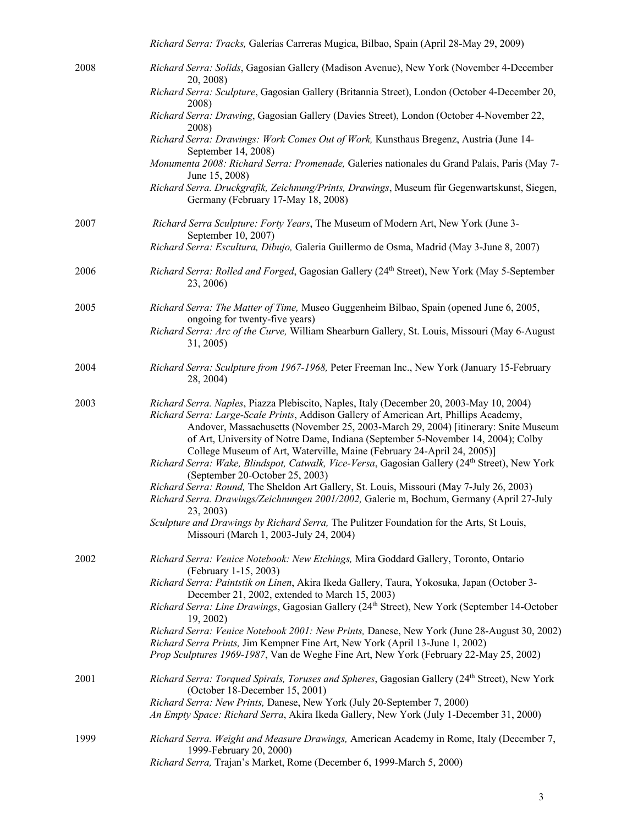|      | Richard Serra: Tracks, Galerías Carreras Mugica, Bilbao, Spain (April 28-May 29, 2009)                                                                                                                                                                                                                                                                                                                                                                                                                                                                                    |
|------|---------------------------------------------------------------------------------------------------------------------------------------------------------------------------------------------------------------------------------------------------------------------------------------------------------------------------------------------------------------------------------------------------------------------------------------------------------------------------------------------------------------------------------------------------------------------------|
| 2008 | Richard Serra: Solids, Gagosian Gallery (Madison Avenue), New York (November 4-December<br>20, 2008)                                                                                                                                                                                                                                                                                                                                                                                                                                                                      |
|      | Richard Serra: Sculpture, Gagosian Gallery (Britannia Street), London (October 4-December 20,<br>2008)                                                                                                                                                                                                                                                                                                                                                                                                                                                                    |
|      | Richard Serra: Drawing, Gagosian Gallery (Davies Street), London (October 4-November 22,<br>2008)                                                                                                                                                                                                                                                                                                                                                                                                                                                                         |
|      | Richard Serra: Drawings: Work Comes Out of Work, Kunsthaus Bregenz, Austria (June 14-<br>September 14, 2008)                                                                                                                                                                                                                                                                                                                                                                                                                                                              |
|      | Monumenta 2008: Richard Serra: Promenade, Galeries nationales du Grand Palais, Paris (May 7-<br>June 15, 2008)                                                                                                                                                                                                                                                                                                                                                                                                                                                            |
|      | Richard Serra. Druckgrafik, Zeichnung/Prints, Drawings, Museum für Gegenwartskunst, Siegen,<br>Germany (February 17-May 18, 2008)                                                                                                                                                                                                                                                                                                                                                                                                                                         |
| 2007 | Richard Serra Sculpture: Forty Years, The Museum of Modern Art, New York (June 3-<br>September 10, 2007)                                                                                                                                                                                                                                                                                                                                                                                                                                                                  |
|      | Richard Serra: Escultura, Dibujo, Galeria Guillermo de Osma, Madrid (May 3-June 8, 2007)                                                                                                                                                                                                                                                                                                                                                                                                                                                                                  |
| 2006 | Richard Serra: Rolled and Forged, Gagosian Gallery (24th Street), New York (May 5-September<br>23, 2006)                                                                                                                                                                                                                                                                                                                                                                                                                                                                  |
| 2005 | Richard Serra: The Matter of Time, Museo Guggenheim Bilbao, Spain (opened June 6, 2005,<br>ongoing for twenty-five years)                                                                                                                                                                                                                                                                                                                                                                                                                                                 |
|      | Richard Serra: Arc of the Curve, William Shearburn Gallery, St. Louis, Missouri (May 6-August<br>31, 2005)                                                                                                                                                                                                                                                                                                                                                                                                                                                                |
| 2004 | Richard Serra: Sculpture from 1967-1968, Peter Freeman Inc., New York (January 15-February<br>28, 2004)                                                                                                                                                                                                                                                                                                                                                                                                                                                                   |
| 2003 | Richard Serra. Naples, Piazza Plebiscito, Naples, Italy (December 20, 2003-May 10, 2004)<br>Richard Serra: Large-Scale Prints, Addison Gallery of American Art, Phillips Academy,<br>Andover, Massachusetts (November 25, 2003-March 29, 2004) [itinerary: Snite Museum<br>of Art, University of Notre Dame, Indiana (September 5-November 14, 2004); Colby<br>College Museum of Art, Waterville, Maine (February 24-April 24, 2005)]<br>Richard Serra: Wake, Blindspot, Catwalk, Vice-Versa, Gagosian Gallery (24th Street), New York<br>(September 20-October 25, 2003) |
|      | Richard Serra: Round, The Sheldon Art Gallery, St. Louis, Missouri (May 7-July 26, 2003)<br>Richard Serra. Drawings/Zeichnungen 2001/2002, Galerie m, Bochum, Germany (April 27-July<br>23, 2003)                                                                                                                                                                                                                                                                                                                                                                         |
|      | Sculpture and Drawings by Richard Serra, The Pulitzer Foundation for the Arts, St Louis,<br>Missouri (March 1, 2003-July 24, 2004)                                                                                                                                                                                                                                                                                                                                                                                                                                        |
| 2002 | Richard Serra: Venice Notebook: New Etchings, Mira Goddard Gallery, Toronto, Ontario<br>(February 1-15, 2003)                                                                                                                                                                                                                                                                                                                                                                                                                                                             |
|      | Richard Serra: Paintstik on Linen, Akira Ikeda Gallery, Taura, Yokosuka, Japan (October 3-<br>December 21, 2002, extended to March 15, 2003)                                                                                                                                                                                                                                                                                                                                                                                                                              |
|      | Richard Serra: Line Drawings, Gagosian Gallery (24th Street), New York (September 14-October<br>19, 2002)                                                                                                                                                                                                                                                                                                                                                                                                                                                                 |
|      | Richard Serra: Venice Notebook 2001: New Prints, Danese, New York (June 28-August 30, 2002)<br>Richard Serra Prints, Jim Kempner Fine Art, New York (April 13-June 1, 2002)<br>Prop Sculptures 1969-1987, Van de Weghe Fine Art, New York (February 22-May 25, 2002)                                                                                                                                                                                                                                                                                                      |
| 2001 | Richard Serra: Torqued Spirals, Toruses and Spheres, Gagosian Gallery (24 <sup>th</sup> Street), New York<br>(October 18-December 15, 2001)                                                                                                                                                                                                                                                                                                                                                                                                                               |
|      | Richard Serra: New Prints, Danese, New York (July 20-September 7, 2000)<br>An Empty Space: Richard Serra, Akira Ikeda Gallery, New York (July 1-December 31, 2000)                                                                                                                                                                                                                                                                                                                                                                                                        |
| 1999 | Richard Serra. Weight and Measure Drawings, American Academy in Rome, Italy (December 7,<br>1999-February 20, 2000)<br>Richard Serra, Trajan's Market, Rome (December 6, 1999-March 5, 2000)                                                                                                                                                                                                                                                                                                                                                                              |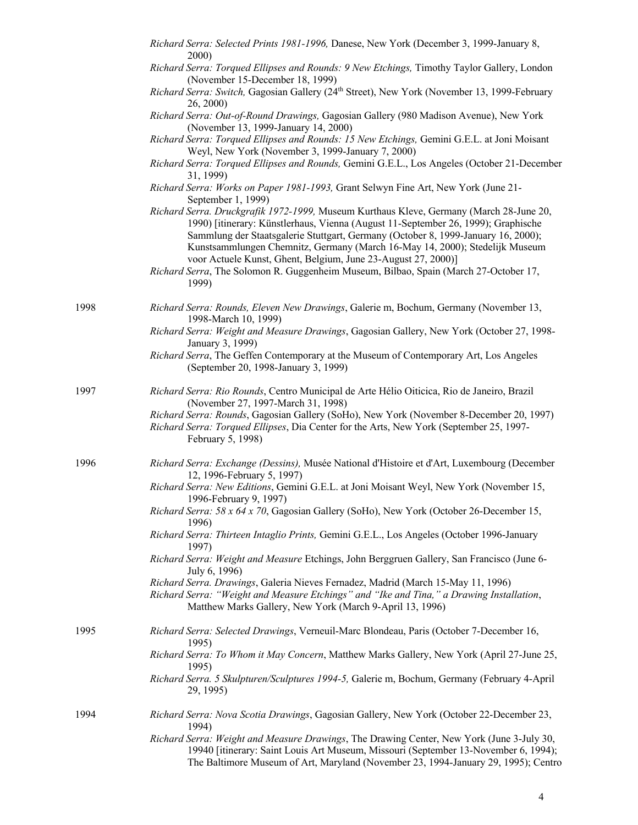|      | Richard Serra: Selected Prints 1981-1996, Danese, New York (December 3, 1999-January 8,<br>2000)                                                                                                                                                                                                                                                                                                                  |
|------|-------------------------------------------------------------------------------------------------------------------------------------------------------------------------------------------------------------------------------------------------------------------------------------------------------------------------------------------------------------------------------------------------------------------|
|      | Richard Serra: Torqued Ellipses and Rounds: 9 New Etchings, Timothy Taylor Gallery, London<br>(November 15-December 18, 1999)                                                                                                                                                                                                                                                                                     |
|      | Richard Serra: Switch, Gagosian Gallery (24 <sup>th</sup> Street), New York (November 13, 1999-February<br>26, 2000)                                                                                                                                                                                                                                                                                              |
|      | Richard Serra: Out-of-Round Drawings, Gagosian Gallery (980 Madison Avenue), New York<br>(November 13, 1999-January 14, 2000)                                                                                                                                                                                                                                                                                     |
|      | Richard Serra: Torqued Ellipses and Rounds: 15 New Etchings, Gemini G.E.L. at Joni Moisant<br>Weyl, New York (November 3, 1999-January 7, 2000)                                                                                                                                                                                                                                                                   |
|      | Richard Serra: Torqued Ellipses and Rounds, Gemini G.E.L., Los Angeles (October 21-December<br>31, 1999)                                                                                                                                                                                                                                                                                                          |
|      | Richard Serra: Works on Paper 1981-1993, Grant Selwyn Fine Art, New York (June 21-<br>September 1, 1999)                                                                                                                                                                                                                                                                                                          |
|      | Richard Serra. Druckgrafik 1972-1999, Museum Kurthaus Kleve, Germany (March 28-June 20,<br>1990) [itinerary: Künstlerhaus, Vienna (August 11-September 26, 1999); Graphische<br>Sammlung der Staatsgalerie Stuttgart, Germany (October 8, 1999-January 16, 2000);<br>Kunstsammlungen Chemnitz, Germany (March 16-May 14, 2000); Stedelijk Museum<br>voor Actuele Kunst, Ghent, Belgium, June 23-August 27, 2000)] |
|      | Richard Serra, The Solomon R. Guggenheim Museum, Bilbao, Spain (March 27-October 17,<br>1999)                                                                                                                                                                                                                                                                                                                     |
| 1998 | Richard Serra: Rounds, Eleven New Drawings, Galerie m, Bochum, Germany (November 13,<br>1998-March 10, 1999)                                                                                                                                                                                                                                                                                                      |
|      | Richard Serra: Weight and Measure Drawings, Gagosian Gallery, New York (October 27, 1998-<br>January 3, 1999)                                                                                                                                                                                                                                                                                                     |
|      | Richard Serra, The Geffen Contemporary at the Museum of Contemporary Art, Los Angeles<br>(September 20, 1998-January 3, 1999)                                                                                                                                                                                                                                                                                     |
| 1997 | Richard Serra: Rio Rounds, Centro Municipal de Arte Hélio Oiticica, Rio de Janeiro, Brazil<br>(November 27, 1997-March 31, 1998)                                                                                                                                                                                                                                                                                  |
|      | Richard Serra: Rounds, Gagosian Gallery (SoHo), New York (November 8-December 20, 1997)<br>Richard Serra: Torqued Ellipses, Dia Center for the Arts, New York (September 25, 1997-<br>February 5, 1998)                                                                                                                                                                                                           |
| 1996 | Richard Serra: Exchange (Dessins), Musée National d'Histoire et d'Art, Luxembourg (December<br>12, 1996-February 5, 1997)                                                                                                                                                                                                                                                                                         |
|      | Richard Serra: New Editions, Gemini G.E.L. at Joni Moisant Weyl, New York (November 15,<br>1996-February 9, 1997)                                                                                                                                                                                                                                                                                                 |
|      | Richard Serra: 58 x 64 x 70, Gagosian Gallery (SoHo), New York (October 26-December 15,<br>1996)                                                                                                                                                                                                                                                                                                                  |
|      | Richard Serra: Thirteen Intaglio Prints, Gemini G.E.L., Los Angeles (October 1996-January<br>1997)                                                                                                                                                                                                                                                                                                                |
|      | Richard Serra: Weight and Measure Etchings, John Berggruen Gallery, San Francisco (June 6-<br>July 6, 1996)                                                                                                                                                                                                                                                                                                       |
|      | Richard Serra. Drawings, Galeria Nieves Fernadez, Madrid (March 15-May 11, 1996)<br>Richard Serra: "Weight and Measure Etchings" and "Ike and Tina," a Drawing Installation,                                                                                                                                                                                                                                      |
|      | Matthew Marks Gallery, New York (March 9-April 13, 1996)                                                                                                                                                                                                                                                                                                                                                          |
| 1995 | Richard Serra: Selected Drawings, Verneuil-Marc Blondeau, Paris (October 7-December 16,<br>1995)                                                                                                                                                                                                                                                                                                                  |
|      | Richard Serra: To Whom it May Concern, Matthew Marks Gallery, New York (April 27-June 25,<br>1995)                                                                                                                                                                                                                                                                                                                |
|      | Richard Serra. 5 Skulpturen/Sculptures 1994-5, Galerie m, Bochum, Germany (February 4-April<br>29, 1995)                                                                                                                                                                                                                                                                                                          |
| 1994 | Richard Serra: Nova Scotia Drawings, Gagosian Gallery, New York (October 22-December 23,<br>1994)                                                                                                                                                                                                                                                                                                                 |
|      | Richard Serra: Weight and Measure Drawings, The Drawing Center, New York (June 3-July 30,<br>19940 [itinerary: Saint Louis Art Museum, Missouri (September 13-November 6, 1994);<br>The Baltimore Museum of Art, Maryland (November 23, 1994-January 29, 1995); Centro                                                                                                                                            |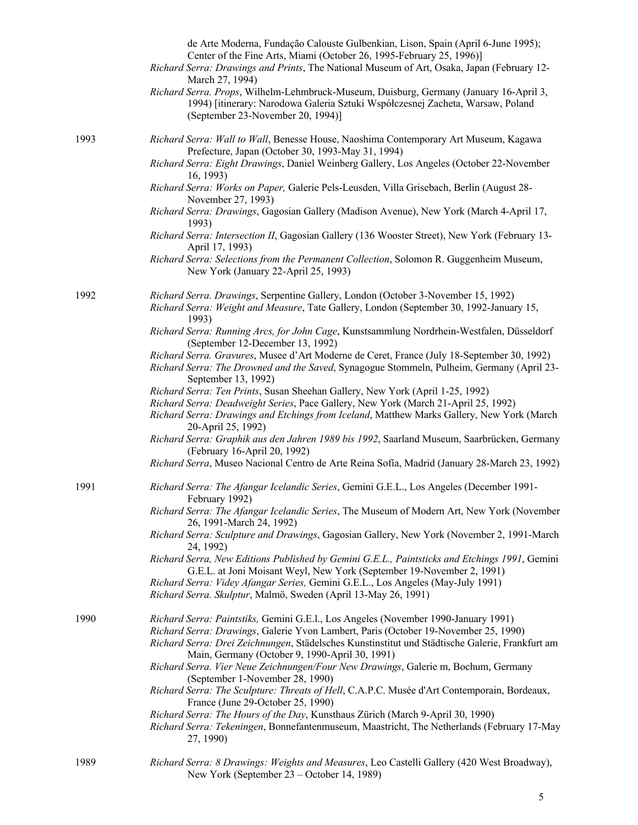|      | de Arte Moderna, Fundação Calouste Gulbenkian, Lison, Spain (April 6-June 1995);<br>Center of the Fine Arts, Miami (October 26, 1995-February 25, 1996)]<br>Richard Serra: Drawings and Prints, The National Museum of Art, Osaka, Japan (February 12-<br>March 27, 1994) |
|------|---------------------------------------------------------------------------------------------------------------------------------------------------------------------------------------------------------------------------------------------------------------------------|
|      | Richard Serra. Props, Wilhelm-Lehmbruck-Museum, Duisburg, Germany (January 16-April 3,<br>1994) [itinerary: Narodowa Galeria Sztuki Współczesnej Zacheta, Warsaw, Poland<br>(September 23-November 20, 1994)]                                                             |
| 1993 | Richard Serra: Wall to Wall, Benesse House, Naoshima Contemporary Art Museum, Kagawa<br>Prefecture, Japan (October 30, 1993-May 31, 1994)                                                                                                                                 |
|      | Richard Serra: Eight Drawings, Daniel Weinberg Gallery, Los Angeles (October 22-November<br>16, 1993)                                                                                                                                                                     |
|      | Richard Serra: Works on Paper, Galerie Pels-Leusden, Villa Grisebach, Berlin (August 28-<br>November 27, 1993)                                                                                                                                                            |
|      | Richard Serra: Drawings, Gagosian Gallery (Madison Avenue), New York (March 4-April 17,<br>1993)                                                                                                                                                                          |
|      | Richard Serra: Intersection II, Gagosian Gallery (136 Wooster Street), New York (February 13-<br>April 17, 1993)                                                                                                                                                          |
|      | Richard Serra: Selections from the Permanent Collection, Solomon R. Guggenheim Museum,<br>New York (January 22-April 25, 1993)                                                                                                                                            |
| 1992 | Richard Serra. Drawings, Serpentine Gallery, London (October 3-November 15, 1992)<br>Richard Serra: Weight and Measure, Tate Gallery, London (September 30, 1992-January 15,<br>1993)                                                                                     |
|      | Richard Serra: Running Arcs, for John Cage, Kunstsammlung Nordrhein-Westfalen, Düsseldorf<br>(September 12-December 13, 1992)                                                                                                                                             |
|      | Richard Serra. Gravures, Musee d'Art Moderne de Ceret, France (July 18-September 30, 1992)<br>Richard Serra: The Drowned and the Saved, Synagogue Stommeln, Pulheim, Germany (April 23-<br>September 13, 1992)                                                            |
|      | Richard Serra: Ten Prints, Susan Sheehan Gallery, New York (April 1-25, 1992)                                                                                                                                                                                             |
|      | Richard Serra: Deadweight Series, Pace Gallery, New York (March 21-April 25, 1992)<br>Richard Serra: Drawings and Etchings from Iceland, Matthew Marks Gallery, New York (March<br>20-April 25, 1992)                                                                     |
|      | Richard Serra: Graphik aus den Jahren 1989 bis 1992, Saarland Museum, Saarbrücken, Germany<br>(February 16-April 20, 1992)                                                                                                                                                |
|      | Richard Serra, Museo Nacional Centro de Arte Reina Sofía, Madrid (January 28-March 23, 1992)                                                                                                                                                                              |
| 1991 | Richard Serra: The Afangar Icelandic Series, Gemini G.E.L., Los Angeles (December 1991-<br>February 1992)                                                                                                                                                                 |
|      | Richard Serra: The Afangar Icelandic Series, The Museum of Modern Art, New York (November<br>26, 1991-March 24, 1992)                                                                                                                                                     |
|      | Richard Serra: Sculpture and Drawings, Gagosian Gallery, New York (November 2, 1991-March<br>24, 1992)                                                                                                                                                                    |
|      | Richard Serra, New Editions Published by Gemini G.E.L., Paintsticks and Etchings 1991, Gemini<br>G.E.L. at Joni Moisant Weyl, New York (September 19-November 2, 1991)                                                                                                    |
|      | Richard Serra: Videy Afangar Series, Gemini G.E.L., Los Angeles (May-July 1991)<br>Richard Serra. Skulptur, Malmö, Sweden (April 13-May 26, 1991)                                                                                                                         |
| 1990 | Richard Serra: Paintstiks, Gemini G.E.l., Los Angeles (November 1990-January 1991)<br>Richard Serra: Drawings, Galerie Yvon Lambert, Paris (October 19-November 25, 1990)                                                                                                 |
|      | Richard Serra: Drei Zeichnungen, Städelsches Kunstinstitut und Städtische Galerie, Frankfurt am<br>Main, Germany (October 9, 1990-April 30, 1991)                                                                                                                         |
|      | Richard Serra. Vier Neue Zeichnungen/Four New Drawings, Galerie m, Bochum, Germany<br>(September 1-November 28, 1990)                                                                                                                                                     |
|      | Richard Serra: The Sculpture: Threats of Hell, C.A.P.C. Musée d'Art Contemporain, Bordeaux,<br>France (June 29-October 25, 1990)                                                                                                                                          |
|      | Richard Serra: The Hours of the Day, Kunsthaus Zürich (March 9-April 30, 1990)                                                                                                                                                                                            |
|      | Richard Serra: Tekeningen, Bonnefantenmuseum, Maastricht, The Netherlands (February 17-May<br>27, 1990)                                                                                                                                                                   |
| 1989 | Richard Serra: 8 Drawings: Weights and Measures, Leo Castelli Gallery (420 West Broadway),<br>New York (September 23 – October 14, 1989)                                                                                                                                  |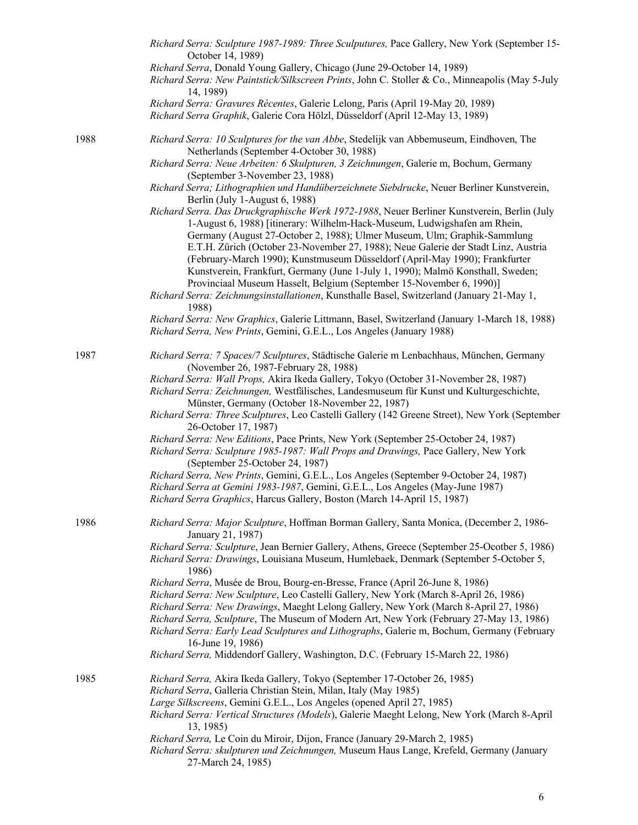|      | Richard Serra: Sculpture 1987-1989: Three Sculputures, Pace Gallery, New York (September 15-<br>October 14, 1989)                                                                                                                                                                                                                                                                                                                                                                                                                                                 |
|------|-------------------------------------------------------------------------------------------------------------------------------------------------------------------------------------------------------------------------------------------------------------------------------------------------------------------------------------------------------------------------------------------------------------------------------------------------------------------------------------------------------------------------------------------------------------------|
|      | Richard Serra, Donald Young Gallery, Chicago (June 29-October 14, 1989)<br>Richard Serra: New Paintstick/Silkscreen Prints, John C. Stoller & Co., Minneapolis (May 5-July<br>14, 1989)                                                                                                                                                                                                                                                                                                                                                                           |
|      | Richard Serra: Gravures Récentes, Galerie Lelong, Paris (April 19-May 20, 1989)<br>Richard Serra Graphik, Galerie Cora Hölzl, Düsseldorf (April 12-May 13, 1989)                                                                                                                                                                                                                                                                                                                                                                                                  |
| 1988 | Richard Serra: 10 Sculptures for the van Abbe, Stedelijk van Abbemuseum, Eindhoven, The<br>Netherlands (September 4-October 30, 1988)                                                                                                                                                                                                                                                                                                                                                                                                                             |
|      | Richard Serra: Neue Arbeiten: 6 Skulpturen, 3 Zeichnungen, Galerie m, Bochum, Germany<br>(September 3-November 23, 1988)<br>Richard Serra; Lithographien und Handüberzeichnete Siebdrucke, Neuer Berliner Kunstverein,                                                                                                                                                                                                                                                                                                                                            |
|      | Berlin (July 1-August 6, 1988)                                                                                                                                                                                                                                                                                                                                                                                                                                                                                                                                    |
|      | Richard Serra. Das Druckgraphische Werk 1972-1988, Neuer Berliner Kunstverein, Berlin (July<br>1-August 6, 1988) [itinerary: Wilhelm-Hack-Museum, Ludwigshafen am Rhein,<br>Germany (August 27-October 2, 1988); Ulmer Museum, Ulm; Graphik-Sammlung<br>E.T.H. Zürich (October 23-November 27, 1988); Neue Galerie der Stadt Linz, Austria<br>(February-March 1990); Kunstmuseum Düsseldorf (April-May 1990); Frankfurter<br>Kunstverein, Frankfurt, Germany (June 1-July 1, 1990); Malmö Konsthall, Sweden;                                                      |
|      | Provinciaal Museum Hasselt, Belgium (September 15-November 6, 1990)]<br>Richard Serra: Zeichnungsinstallationen, Kunsthalle Basel, Switzerland (January 21-May 1,<br>1988)                                                                                                                                                                                                                                                                                                                                                                                        |
|      | Richard Serra: New Graphics, Galerie Littmann, Basel, Switzerland (January 1-March 18, 1988)<br>Richard Serra, New Prints, Gemini, G.E.L., Los Angeles (January 1988)                                                                                                                                                                                                                                                                                                                                                                                             |
| 1987 | Richard Serra: 7 Spaces/7 Sculptures, Städtische Galerie m Lenbachhaus, München, Germany<br>(November 26, 1987-February 28, 1988)                                                                                                                                                                                                                                                                                                                                                                                                                                 |
|      | Richard Serra: Wall Props, Akira Ikeda Gallery, Tokyo (October 31-November 28, 1987)<br>Richard Serra: Zeichnungen, Westfälisches, Landesmuseum für Kunst und Kulturgeschichte,<br>Münster, Germany (October 18-November 22, 1987)                                                                                                                                                                                                                                                                                                                                |
|      | Richard Serra: Three Sculptures, Leo Castelli Gallery (142 Greene Street), New York (September<br>26-October 17, 1987)                                                                                                                                                                                                                                                                                                                                                                                                                                            |
|      | Richard Serra: New Editions, Pace Prints, New York (September 25-October 24, 1987)<br>Richard Serra: Sculpture 1985-1987: Wall Props and Drawings, Pace Gallery, New York<br>(September 25-October 24, 1987)                                                                                                                                                                                                                                                                                                                                                      |
|      | Richard Serra, New Prints, Gemini, G.E.L., Los Angeles (September 9-October 24, 1987)<br>Richard Serra at Gemini 1983-1987, Gemini, G.E.L., Los Angeles (May-June 1987)<br>Richard Serra Graphics, Harcus Gallery, Boston (March 14-April 15, 1987)                                                                                                                                                                                                                                                                                                               |
| 1986 | Richard Serra: Major Sculpture, Hoffman Borman Gallery, Santa Monica, (December 2, 1986-<br>January 21, 1987)                                                                                                                                                                                                                                                                                                                                                                                                                                                     |
|      | Richard Serra: Sculpture, Jean Bernier Gallery, Athens, Greece (September 25-Ocotber 5, 1986)<br>Richard Serra: Drawings, Louisiana Museum, Humlebaek, Denmark (September 5-October 5,<br>1986)                                                                                                                                                                                                                                                                                                                                                                   |
|      | Richard Serra, Musée de Brou, Bourg-en-Bresse, France (April 26-June 8, 1986)<br>Richard Serra: New Sculpture, Leo Castelli Gallery, New York (March 8-April 26, 1986)<br>Richard Serra: New Drawings, Maeght Lelong Gallery, New York (March 8-April 27, 1986)<br>Richard Serra, Sculpture, The Museum of Modern Art, New York (February 27-May 13, 1986)<br>Richard Serra: Early Lead Sculptures and Lithographs, Galerie m, Bochum, Germany (February<br>16-June 19, 1986)<br>Richard Serra, Middendorf Gallery, Washington, D.C. (February 15-March 22, 1986) |
| 1985 | Richard Serra, Akira Ikeda Gallery, Tokyo (September 17-October 26, 1985)<br>Richard Serra, Galleria Christian Stein, Milan, Italy (May 1985)<br>Large Silkscreens, Gemini G.E.L., Los Angeles (opened April 27, 1985)<br>Richard Serra: Vertical Structures (Models), Galerie Maeght Lelong, New York (March 8-April<br>13, 1985)<br>Richard Serra, Le Coin du Miroir, Dijon, France (January 29-March 2, 1985)                                                                                                                                                  |
|      | Richard Serra: skulpturen und Zeichnungen, Museum Haus Lange, Krefeld, Germany (January<br>27-March 24, 1985)                                                                                                                                                                                                                                                                                                                                                                                                                                                     |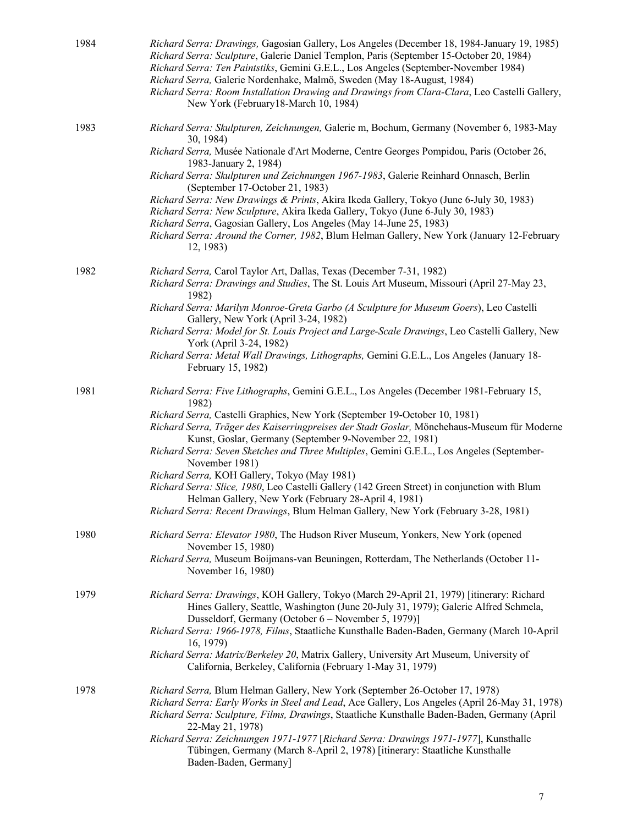| 1984 | Richard Serra: Drawings, Gagosian Gallery, Los Angeles (December 18, 1984-January 19, 1985)<br>Richard Serra: Sculpture, Galerie Daniel Templon, Paris (September 15-October 20, 1984)<br>Richard Serra: Ten Paintstiks, Gemini G.E.L., Los Angeles (September-November 1984)<br>Richard Serra, Galerie Nordenhake, Malmö, Sweden (May 18-August, 1984)<br>Richard Serra: Room Installation Drawing and Drawings from Clara-Clara, Leo Castelli Gallery,<br>New York (February18-March 10, 1984) |
|------|--------------------------------------------------------------------------------------------------------------------------------------------------------------------------------------------------------------------------------------------------------------------------------------------------------------------------------------------------------------------------------------------------------------------------------------------------------------------------------------------------|
| 1983 | Richard Serra: Skulpturen, Zeichnungen, Galerie m, Bochum, Germany (November 6, 1983-May<br>30, 1984)<br>Richard Serra, Musée Nationale d'Art Moderne, Centre Georges Pompidou, Paris (October 26,                                                                                                                                                                                                                                                                                               |
|      | 1983-January 2, 1984)<br>Richard Serra: Skulpturen und Zeichnungen 1967-1983, Galerie Reinhard Onnasch, Berlin                                                                                                                                                                                                                                                                                                                                                                                   |
|      | (September 17-October 21, 1983)<br>Richard Serra: New Drawings & Prints, Akira Ikeda Gallery, Tokyo (June 6-July 30, 1983)                                                                                                                                                                                                                                                                                                                                                                       |
|      | Richard Serra: New Sculpture, Akira Ikeda Gallery, Tokyo (June 6-July 30, 1983)<br>Richard Serra, Gagosian Gallery, Los Angeles (May 14-June 25, 1983)<br>Richard Serra: Around the Corner, 1982, Blum Helman Gallery, New York (January 12-February<br>12, 1983)                                                                                                                                                                                                                                |
| 1982 | Richard Serra, Carol Taylor Art, Dallas, Texas (December 7-31, 1982)<br>Richard Serra: Drawings and Studies, The St. Louis Art Museum, Missouri (April 27-May 23,<br>1982)                                                                                                                                                                                                                                                                                                                       |
|      | Richard Serra: Marilyn Monroe-Greta Garbo (A Sculpture for Museum Goers), Leo Castelli<br>Gallery, New York (April 3-24, 1982)                                                                                                                                                                                                                                                                                                                                                                   |
|      | Richard Serra: Model for St. Louis Project and Large-Scale Drawings, Leo Castelli Gallery, New<br>York (April 3-24, 1982)                                                                                                                                                                                                                                                                                                                                                                        |
|      | Richard Serra: Metal Wall Drawings, Lithographs, Gemini G.E.L., Los Angeles (January 18-<br>February 15, 1982)                                                                                                                                                                                                                                                                                                                                                                                   |
| 1981 | Richard Serra: Five Lithographs, Gemini G.E.L., Los Angeles (December 1981-February 15,<br>1982)                                                                                                                                                                                                                                                                                                                                                                                                 |
|      | Richard Serra, Castelli Graphics, New York (September 19-October 10, 1981)<br>Richard Serra, Träger des Kaiserringpreises der Stadt Goslar, Mönchehaus-Museum für Moderne<br>Kunst, Goslar, Germany (September 9-November 22, 1981)<br>Richard Serra: Seven Sketches and Three Multiples, Gemini G.E.L., Los Angeles (September-                                                                                                                                                                 |
|      | November 1981)<br>Richard Serra, KOH Gallery, Tokyo (May 1981)                                                                                                                                                                                                                                                                                                                                                                                                                                   |
|      | Richard Serra: Slice, 1980, Leo Castelli Gallery (142 Green Street) in conjunction with Blum<br>Helman Gallery, New York (February 28-April 4, 1981)                                                                                                                                                                                                                                                                                                                                             |
|      | Richard Serra: Recent Drawings, Blum Helman Gallery, New York (February 3-28, 1981)                                                                                                                                                                                                                                                                                                                                                                                                              |
| 1980 | Richard Serra: Elevator 1980, The Hudson River Museum, Yonkers, New York (opened<br>November 15, 1980)                                                                                                                                                                                                                                                                                                                                                                                           |
|      | Richard Serra, Museum Boijmans-van Beuningen, Rotterdam, The Netherlands (October 11-<br>November 16, 1980)                                                                                                                                                                                                                                                                                                                                                                                      |
| 1979 | Richard Serra: Drawings, KOH Gallery, Tokyo (March 29-April 21, 1979) [itinerary: Richard<br>Hines Gallery, Seattle, Washington (June 20-July 31, 1979); Galerie Alfred Schmela,<br>Dusseldorf, Germany (October 6 – November 5, 1979)]                                                                                                                                                                                                                                                          |
|      | Richard Serra: 1966-1978, Films, Staatliche Kunsthalle Baden-Baden, Germany (March 10-April<br>16, 1979)                                                                                                                                                                                                                                                                                                                                                                                         |
|      | Richard Serra: Matrix/Berkeley 20, Matrix Gallery, University Art Museum, University of<br>California, Berkeley, California (February 1-May 31, 1979)                                                                                                                                                                                                                                                                                                                                            |
| 1978 | Richard Serra, Blum Helman Gallery, New York (September 26-October 17, 1978)<br>Richard Serra: Early Works in Steel and Lead, Ace Gallery, Los Angeles (April 26-May 31, 1978)<br>Richard Serra: Sculpture, Films, Drawings, Staatliche Kunsthalle Baden-Baden, Germany (April<br>22-May 21, 1978)                                                                                                                                                                                               |
|      | Richard Serra: Zeichnungen 1971-1977 [Richard Serra: Drawings 1971-1977], Kunsthalle<br>Tübingen, Germany (March 8-April 2, 1978) [itinerary: Staatliche Kunsthalle<br>Baden-Baden, Germany]                                                                                                                                                                                                                                                                                                     |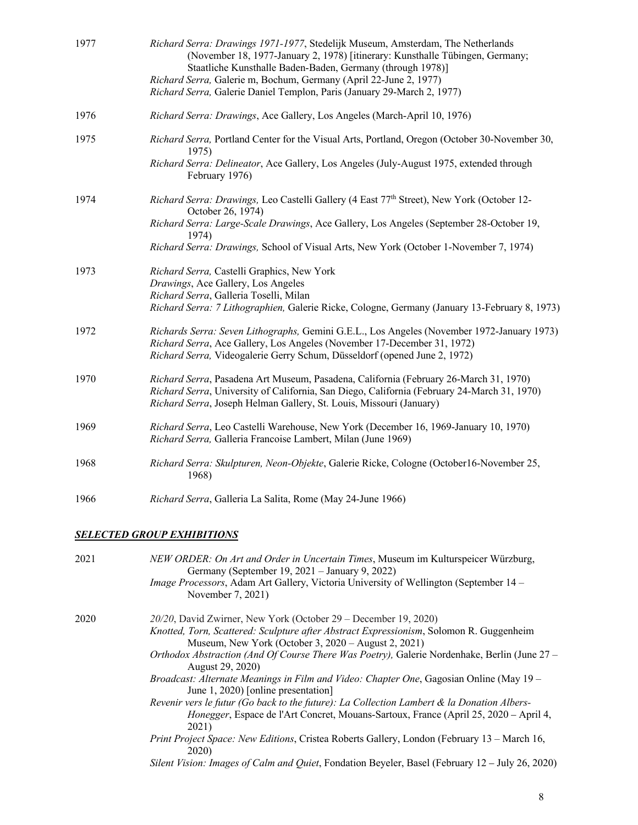| 1977 | Richard Serra: Drawings 1971-1977, Stedelijk Museum, Amsterdam, The Netherlands<br>(November 18, 1977-January 2, 1978) [itinerary: Kunsthalle Tübingen, Germany;<br>Staatliche Kunsthalle Baden-Baden, Germany (through 1978)] |
|------|--------------------------------------------------------------------------------------------------------------------------------------------------------------------------------------------------------------------------------|
|      | Richard Serra, Galerie m, Bochum, Germany (April 22-June 2, 1977)                                                                                                                                                              |
|      | Richard Serra, Galerie Daniel Templon, Paris (January 29-March 2, 1977)                                                                                                                                                        |
| 1976 | Richard Serra: Drawings, Ace Gallery, Los Angeles (March-April 10, 1976)                                                                                                                                                       |
| 1975 | Richard Serra, Portland Center for the Visual Arts, Portland, Oregon (October 30-November 30,<br>1975)                                                                                                                         |
|      | Richard Serra: Delineator, Ace Gallery, Los Angeles (July-August 1975, extended through<br>February 1976)                                                                                                                      |
| 1974 | <i>Richard Serra: Drawings, Leo Castelli Gallery (4 East 77th Street), New York (October 12-</i><br>October 26, 1974)                                                                                                          |
|      | Richard Serra: Large-Scale Drawings, Ace Gallery, Los Angeles (September 28-October 19,<br>1974)                                                                                                                               |
|      | Richard Serra: Drawings, School of Visual Arts, New York (October 1-November 7, 1974)                                                                                                                                          |
| 1973 | Richard Serra, Castelli Graphics, New York                                                                                                                                                                                     |
|      | Drawings, Ace Gallery, Los Angeles                                                                                                                                                                                             |
|      | Richard Serra, Galleria Toselli, Milan<br>Richard Serra: 7 Lithographien, Galerie Ricke, Cologne, Germany (January 13-February 8, 1973)                                                                                        |
|      |                                                                                                                                                                                                                                |
| 1972 | Richards Serra: Seven Lithographs, Gemini G.E.L., Los Angeles (November 1972-January 1973)                                                                                                                                     |
|      | Richard Serra, Ace Gallery, Los Angeles (November 17-December 31, 1972)                                                                                                                                                        |
|      | Richard Serra, Videogalerie Gerry Schum, Düsseldorf (opened June 2, 1972)                                                                                                                                                      |
| 1970 | Richard Serra, Pasadena Art Museum, Pasadena, California (February 26-March 31, 1970)                                                                                                                                          |
|      | Richard Serra, University of California, San Diego, California (February 24-March 31, 1970)                                                                                                                                    |
|      | Richard Serra, Joseph Helman Gallery, St. Louis, Missouri (January)                                                                                                                                                            |
| 1969 | Richard Serra, Leo Castelli Warehouse, New York (December 16, 1969-January 10, 1970)                                                                                                                                           |
|      | Richard Serra, Galleria Francoise Lambert, Milan (June 1969)                                                                                                                                                                   |
| 1968 | Richard Serra: Skulpturen, Neon-Objekte, Galerie Ricke, Cologne (October16-November 25,<br>1968)                                                                                                                               |
| 1966 | Richard Serra, Galleria La Salita, Rome (May 24-June 1966)                                                                                                                                                                     |
|      |                                                                                                                                                                                                                                |
|      | <u>SELECTED GROUP EXHIBITIONS</u>                                                                                                                                                                                              |

|  | 2021 | NEW ORDER: On Art and Order in Uncertain Times, Museum im Kulturspeicer Würzburg,<br>Germany (September 19, 2021 – January 9, 2022)                                                         |
|--|------|---------------------------------------------------------------------------------------------------------------------------------------------------------------------------------------------|
|  |      | <i>Image Processors</i> , Adam Art Gallery, Victoria University of Wellington (September 14 –<br>November 7, 2021)                                                                          |
|  | 2020 | 20/20, David Zwirner, New York (October 29 – December 19, 2020)                                                                                                                             |
|  |      | Knotted, Torn, Scattered: Sculpture after Abstract Expressionism, Solomon R. Guggenheim<br>Museum, New York (October 3, 2020 – August 2, 2021)                                              |
|  |      | Orthodox Abstraction (And Of Course There Was Poetry), Galerie Nordenhake, Berlin (June 27 –<br>August 29, 2020)                                                                            |
|  |      | <i>Broadcast: Alternate Meanings in Film and Video: Chapter One, Gagosian Online (May 19 –</i><br>June 1, 2020) [online presentation]                                                       |
|  |      | Revenir vers le futur (Go back to the future): La Collection Lambert & la Donation Albers-<br>Honegger, Espace de l'Art Concret, Mouans-Sartoux, France (April 25, 2020 – April 4,<br>2021) |
|  |      | Print Project Space: New Editions, Cristea Roberts Gallery, London (February 13 – March 16,<br>2020)                                                                                        |
|  |      | Silent Vision: Images of Calm and Quiet, Fondation Beyeler, Basel (February 12 - July 26, 2020)                                                                                             |
|  |      |                                                                                                                                                                                             |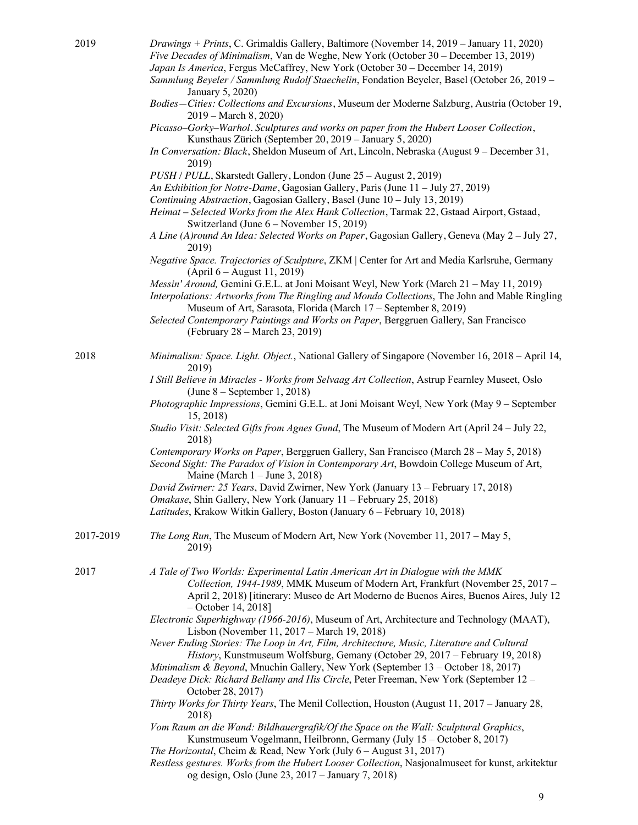- 2019 *Drawings + Prints*, C. Grimaldis Gallery, Baltimore (November 14, 2019 January 11, 2020) *Five Decades of Minimalism*, Van de Weghe, New York (October 30 – December 13, 2019)
	- *Japan Is America*, Fergus McCaffrey, New York (October 30 December 14, 2019)
	- *Sammlung Beyeler / Sammlung Rudolf Staechelin*, Fondation Beyeler, Basel (October 26, 2019 January 5, 2020)
	- *Bodies—Cities: Collections and Excursions*, Museum der Moderne Salzburg, Austria (October 19, 2019 – March 8, 2020)

*Picasso–Gorky–Warhol. Sculptures and works on paper from the Hubert Looser Collection*, Kunsthaus Zürich (September 20, 2019 – January 5, 2020)

- *In Conversation: Black*, Sheldon Museum of Art, Lincoln, Nebraska (August 9 December 31, 2019)
- *PUSH / PULL*, Skarstedt Gallery, London (June 25 August 2, 2019)
- *An Exhibition for Notre-Dame*, Gagosian Gallery, Paris (June 11 July 27, 2019)
- *Continuing Abstraction*, Gagosian Gallery, Basel (June 10 July 13, 2019)
- *Heimat – Selected Works from the Alex Hank Collection*, Tarmak 22, Gstaad Airport, Gstaad, Switzerland (June 6 – November 15, 2019)
- *A Line (A)round An Idea: Selected Works on Paper*, Gagosian Gallery, Geneva (May 2 July 27, 2019)
- *Negative Space. Trajectories of Sculpture*, ZKM | Center for Art and Media Karlsruhe, Germany (April 6 – August 11, 2019)
- *Messin' Around,* Gemini G.E.L. at Joni Moisant Weyl, New York (March 21 May 11, 2019)
- *Interpolations: Artworks from The Ringling and Monda Collections*, The John and Mable Ringling Museum of Art, Sarasota, Florida (March 17 – September 8, 2019)
- *Selected Contemporary Paintings and Works on Paper*, Berggruen Gallery, San Francisco (February 28 – March 23, 2019)
- 2018 *Minimalism: Space. Light. Object.*, National Gallery of Singapore (November 16, 2018 April 14, 2019)
	- *I Still Believe in Miracles - Works from Selvaag Art Collection*, Astrup Fearnley Museet, Oslo (June 8 – September 1, 2018)
	- *Photographic Impressions*, Gemini G.E.L. at Joni Moisant Weyl, New York (May 9 September 15, 2018)
	- *Studio Visit: Selected Gifts from Agnes Gund*, The Museum of Modern Art (April 24 July 22, 2018)

*Contemporary Works on Paper*, Berggruen Gallery, San Francisco (March 28 – May 5, 2018) *Second Sight: The Paradox of Vision in Contemporary Art*, Bowdoin College Museum of Art, Maine (March 1 – June 3, 2018)

*David Zwirner: 25 Years*, David Zwirner, New York (January 13 – February 17, 2018)

- *Omakase*, Shin Gallery, New York (January 11 February 25, 2018)
- *Latitudes*, Krakow Witkin Gallery, Boston (January 6 February 10, 2018)

2017-2019 *The Long Run*, The Museum of Modern Art, New York (November 11, 2017 – May 5, 2019)

2017 *A Tale of Two Worlds: Experimental Latin American Art in Dialogue with the MMK Collection, 1944-1989*, MMK Museum of Modern Art, Frankfurt (November 25, 2017 – April 2, 2018) [itinerary: Museo de Art Moderno de Buenos Aires, Buenos Aires, July 12 – October 14, 2018]

*Electronic Superhighway (1966-2016)*, Museum of Art, Architecture and Technology (MAAT), Lisbon (November 11, 2017 – March 19, 2018)

*Never Ending Stories: The Loop in Art, Film, Architecture, Music, Literature and Cultural History*, Kunstmuseum Wolfsburg, Gemany (October 29, 2017 – February 19, 2018)

 *Minimalism & Beyond*, Mnuchin Gallery, New York (September 13 – October 18, 2017) *Deadeye Dick: Richard Bellamy and His Circle*, Peter Freeman, New York (September 12 – October 28, 2017)

- *Thirty Works for Thirty Years*, The Menil Collection, Houston (August 11, 2017 January 28, 2018)
- *Vom Raum an die Wand: Bildhauergrafik/Of the Space on the Wall: Sculptural Graphics*, Kunstmuseum Vogelmann, Heilbronn, Germany (July 15 – October 8, 2017)
- *The Horizontal*, Cheim & Read, New York (July 6 August 31, 2017)
- *Restless gestures. Works from the Hubert Looser Collection*, Nasjonalmuseet for kunst, arkitektur og design, Oslo (June 23, 2017 – January 7, 2018)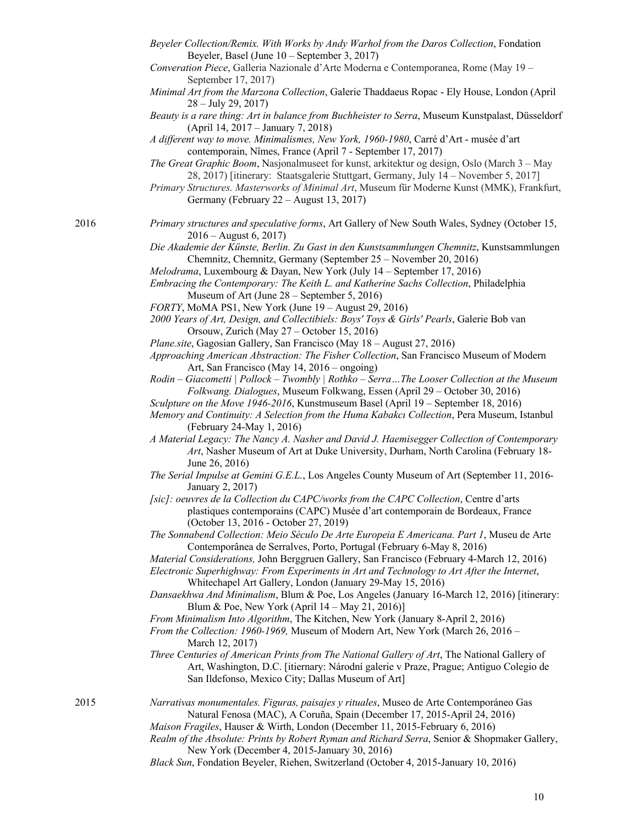- *Beyeler Collection/Remix. With Works by Andy Warhol from the Daros Collection*, Fondation Beyeler, Basel (June 10 – September 3, 2017)
- *Converation Piece*, Galleria Nazionale d'Arte Moderna e Contemporanea, Rome (May 19 September 17, 2017)
- *Minimal Art from the Marzona Collection*, Galerie Thaddaeus Ropac Ely House, London (April 28 – July 29, 2017)

*Beauty is a rare thing: Art in balance from Buchheister to Serra*, Museum Kunstpalast, Düsseldorf (April 14, 2017 – January 7, 2018)

- *A different way to move. Minimalismes, New York, 1960-1980*, Carré d'Art musée d'art contemporain, Nîmes, France (April 7 - September 17, 2017)
- *The Great Graphic Boom*, Nasjonalmuseet for kunst, arkitektur og design, Oslo (March 3 May 28, 2017) [itinerary: Staatsgalerie Stuttgart, Germany, July 14 – November 5, 2017]
- *Primary Structures. Masterworks of Minimal Art*, Museum für Moderne Kunst (MMK), Frankfurt, Germany (February 22 – August 13, 2017)
- 2016 *Primary structures and speculative forms*, Art Gallery of New South Wales, Sydney (October 15, 2016 – August 6, 2017)

*Die Akademie der Künste, Berlin. Zu Gast in den Kunstsammlungen Chemnitz*, Kunstsammlungen Chemnitz, Chemnitz, Germany (September 25 – November 20, 2016)

- *Melodrama*, Luxembourg & Dayan, New York (July 14 September 17, 2016)
- *Embracing the Contemporary: The Keith L. and Katherine Sachs Collection*, Philadelphia Museum of Art (June 28 – September 5, 2016)
- *FORTY*, MoMA PS1, New York (June 19 August 29, 2016)
- *2000 Years of Art, Design, and Collectibiels: Boys' Toys & Girls' Pearls*, Galerie Bob van Orsouw, Zurich (May 27 – October 15, 2016)
- *Plane.site*, Gagosian Gallery, San Francisco (May 18 August 27, 2016)

*Approaching American Abstraction: The Fisher Collection*, San Francisco Museum of Modern Art, San Francisco (May 14, 2016 – ongoing)

- *Rodin – Giacometti | Pollock – Twombly | Rothko – Serra…The Looser Collection at the Museum Folkwang. Dialogues*, Museum Folkwang, Essen (April 29 – October 30, 2016)
- *Sculpture on the Move 1946-2016*, Kunstmuseum Basel (April 19 September 18, 2016)
- *Memory and Continuity: A Selection from the Huma Kabakcı Collection*, Pera Museum, Istanbul (February 24-May 1, 2016)
- *A Material Legacy: The Nancy A. Nasher and David J. Haemisegger Collection of Contemporary Art*, Nasher Museum of Art at Duke University, Durham, North Carolina (February 18- June 26, 2016)
- *The Serial Impulse at Gemini G.E.L.*, Los Angeles County Museum of Art (September 11, 2016- January 2, 2017)
- *[sic]: oeuvres de la Collection du CAPC/works from the CAPC Collection*, Centre d'arts plastiques contemporains (CAPC) Musée d'art contemporain de Bordeaux, France (October 13, 2016 - October 27, 2019)
- *The Sonnabend Collection: Meio Século De Arte Europeia E Americana. Part 1*, Museu de Arte Contemporânea de Serralves, Porto, Portugal (February 6-May 8, 2016)
- *Material Considerations,* John Berggruen Gallery, San Francisco (February 4-March 12, 2016)
- *Electronic Superhighway: From Experiments in Art and Technology to Art After the Internet*, Whitechapel Art Gallery, London (January 29-May 15, 2016)
- *Dansaekhwa And Minimalism*, Blum & Poe, Los Angeles (January 16-March 12, 2016) [itinerary: Blum & Poe, New York (April 14 – May 21, 2016)]
- *From Minimalism Into Algorithm*, The Kitchen, New York (January 8-April 2, 2016)
- *From the Collection: 1960-1969,* Museum of Modern Art, New York (March 26, 2016 March 12, 2017)
- *Three Centuries of American Prints from The National Gallery of Art*, The National Gallery of Art, Washington, D.C. [itiernary: Národní galerie v Praze, Prague; Antiguo Colegio de San Ildefonso, Mexico City; Dallas Museum of Art]

- 2015 *Narrativas monumentales. Figuras, paisajes y rituales*, Museo de Arte Contemporáneo Gas Natural Fenosa (MAC), A Coruña, Spain (December 17, 2015-April 24, 2016)
	- *Maison Fragiles*, Hauser & Wirth, London (December 11, 2015-February 6, 2016)
	- *Realm of the Absolute: Prints by Robert Ryman and Richard Serra*, Senior & Shopmaker Gallery, New York (December 4, 2015-January 30, 2016)
	- *Black Sun*, Fondation Beyeler, Riehen, Switzerland (October 4, 2015-January 10, 2016)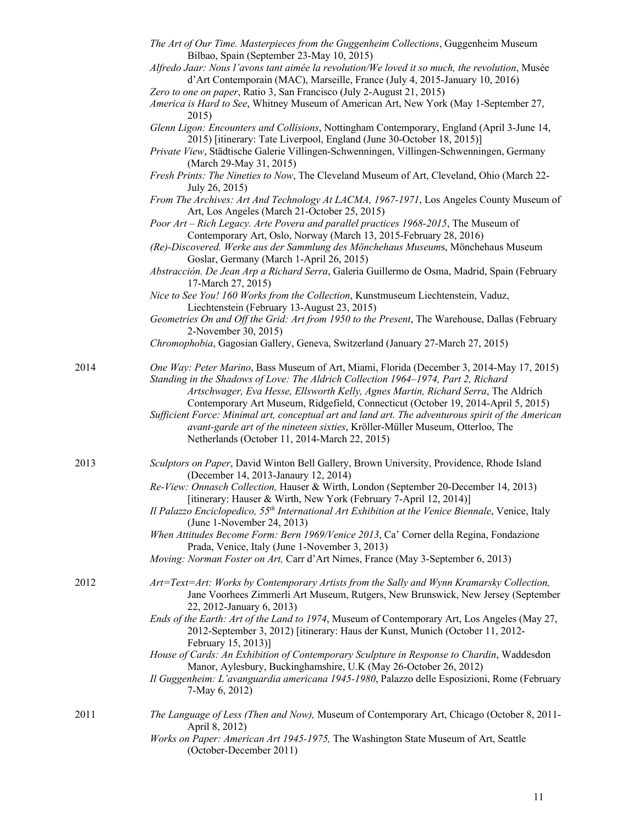|      | The Art of Our Time. Masterpieces from the Guggenheim Collections, Guggenheim Museum<br>Bilbao, Spain (September 23-May 10, 2015)                                                                                                                                                                                                                                                                                                                                                                                                                |
|------|--------------------------------------------------------------------------------------------------------------------------------------------------------------------------------------------------------------------------------------------------------------------------------------------------------------------------------------------------------------------------------------------------------------------------------------------------------------------------------------------------------------------------------------------------|
|      | Alfredo Jaar: Nous l'avons tant aimée la revolution/We loved it so much, the revolution, Musée<br>d'Art Contemporain (MAC), Marseille, France (July 4, 2015-January 10, 2016)                                                                                                                                                                                                                                                                                                                                                                    |
|      | Zero to one on paper, Ratio 3, San Francisco (July 2-August 21, 2015)<br>America is Hard to See, Whitney Museum of American Art, New York (May 1-September 27,<br>2015)                                                                                                                                                                                                                                                                                                                                                                          |
|      | Glenn Ligon: Encounters and Collisions, Nottingham Contemporary, England (April 3-June 14,<br>2015) [itinerary: Tate Liverpool, England (June 30-October 18, 2015)]                                                                                                                                                                                                                                                                                                                                                                              |
|      | Private View, Städtische Galerie Villingen-Schwenningen, Villingen-Schwenningen, Germany<br>(March 29-May 31, 2015)                                                                                                                                                                                                                                                                                                                                                                                                                              |
|      | Fresh Prints: The Nineties to Now, The Cleveland Museum of Art, Cleveland, Ohio (March 22-<br>July 26, 2015)                                                                                                                                                                                                                                                                                                                                                                                                                                     |
|      | From The Archives: Art And Technology At LACMA, 1967-1971, Los Angeles County Museum of<br>Art, Los Angeles (March 21-October 25, 2015)                                                                                                                                                                                                                                                                                                                                                                                                          |
|      | Poor Art - Rich Legacy. Arte Povera and parallel practices 1968-2015, The Museum of<br>Contemporary Art, Oslo, Norway (March 13, 2015-February 28, 2016)                                                                                                                                                                                                                                                                                                                                                                                         |
|      | (Re)-Discovered. Werke aus der Sammlung des Mönchehaus Museums, Mönchehaus Museum<br>Goslar, Germany (March 1-April 26, 2015)                                                                                                                                                                                                                                                                                                                                                                                                                    |
|      | Abstracción. De Jean Arp a Richard Serra, Galeria Guillermo de Osma, Madrid, Spain (February<br>17-March 27, 2015)                                                                                                                                                                                                                                                                                                                                                                                                                               |
|      | Nice to See You! 160 Works from the Collection, Kunstmuseum Liechtenstein, Vaduz,<br>Liechtenstein (February 13-August 23, 2015)                                                                                                                                                                                                                                                                                                                                                                                                                 |
|      | Geometries On and Off the Grid: Art from 1950 to the Present, The Warehouse, Dallas (February<br>2-November 30, 2015)                                                                                                                                                                                                                                                                                                                                                                                                                            |
|      | Chromophobia, Gagosian Gallery, Geneva, Switzerland (January 27-March 27, 2015)                                                                                                                                                                                                                                                                                                                                                                                                                                                                  |
| 2014 | One Way: Peter Marino, Bass Museum of Art, Miami, Florida (December 3, 2014-May 17, 2015)<br>Standing in the Shadows of Love: The Aldrich Collection 1964-1974, Part 2, Richard<br>Artschwager, Eva Hesse, Ellsworth Kelly, Agnes Martin, Richard Serra, The Aldrich<br>Contemporary Art Museum, Ridgefield, Connecticut (October 19, 2014-April 5, 2015)<br>Sufficient Force: Minimal art, conceptual art and land art. The adventurous spirit of the American<br>avant-garde art of the nineteen sixties, Kröller-Müller Museum, Otterloo, The |
|      | Netherlands (October 11, 2014-March 22, 2015)                                                                                                                                                                                                                                                                                                                                                                                                                                                                                                    |
| 2013 | Sculptors on Paper, David Winton Bell Gallery, Brown University, Providence, Rhode Island<br>(December 14, 2013-Janaury 12, 2014)                                                                                                                                                                                                                                                                                                                                                                                                                |
|      | Re-View: Onnasch Collection, Hauser & Wirth, London (September 20-December 14, 2013)<br>[itinerary: Hauser & Wirth, New York (February 7-April 12, 2014)]                                                                                                                                                                                                                                                                                                                                                                                        |
|      | Il Palazzo Enciclopedico, $55th International Art Exhibition at the Venice Biennale, Venice, Italy$<br>(June 1-November 24, 2013)                                                                                                                                                                                                                                                                                                                                                                                                                |
|      | When Attitudes Become Form: Bern 1969/Venice 2013, Ca' Corner della Regina, Fondazione<br>Prada, Venice, Italy (June 1-November 3, 2013)                                                                                                                                                                                                                                                                                                                                                                                                         |
|      | Moving: Norman Foster on Art, Carr d'Art Nimes, France (May 3-September 6, 2013)                                                                                                                                                                                                                                                                                                                                                                                                                                                                 |
| 2012 | Art=Text=Art: Works by Contemporary Artists from the Sally and Wynn Kramarsky Collection,<br>Jane Voorhees Zimmerli Art Museum, Rutgers, New Brunswick, New Jersey (September<br>22, 2012-January 6, 2013)                                                                                                                                                                                                                                                                                                                                       |
|      | Ends of the Earth: Art of the Land to 1974, Museum of Contemporary Art, Los Angeles (May 27,<br>2012-September 3, 2012) [itinerary: Haus der Kunst, Munich (October 11, 2012-<br>February 15, 2013)]                                                                                                                                                                                                                                                                                                                                             |
|      | House of Cards: An Exhibition of Contemporary Sculpture in Response to Chardin, Waddesdon<br>Manor, Aylesbury, Buckinghamshire, U.K (May 26-October 26, 2012)                                                                                                                                                                                                                                                                                                                                                                                    |
|      | Il Guggenheim: L'avanguardia americana 1945-1980, Palazzo delle Esposizioni, Rome (February<br>7-May 6, 2012)                                                                                                                                                                                                                                                                                                                                                                                                                                    |
| 2011 | The Language of Less (Then and Now), Museum of Contemporary Art, Chicago (October 8, 2011-<br>April 8, 2012)                                                                                                                                                                                                                                                                                                                                                                                                                                     |
|      |                                                                                                                                                                                                                                                                                                                                                                                                                                                                                                                                                  |

*Works on Paper: American Art 1945-1975,* The Washington State Museum of Art, Seattle (October-December 2011)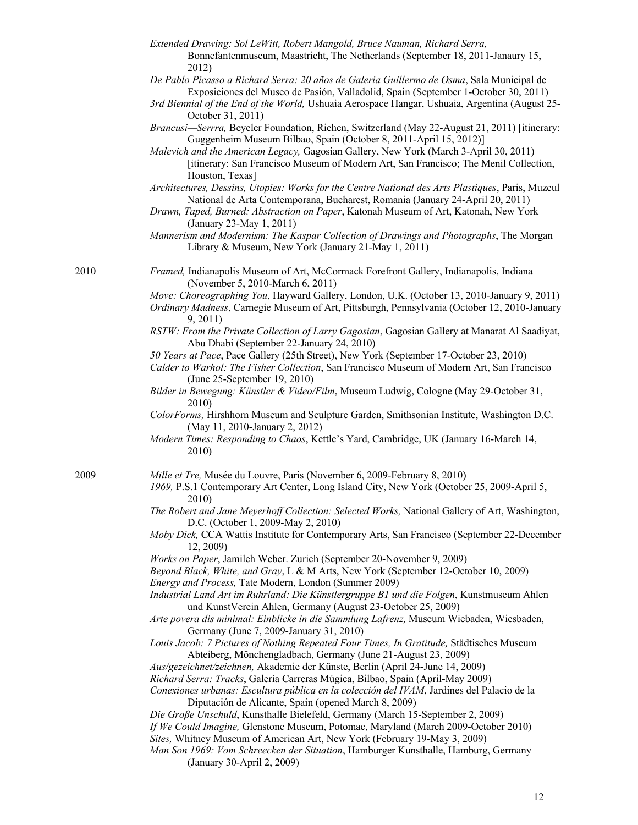- *Extended Drawing: Sol LeWitt, Robert Mangold, Bruce Nauman, Richard Serra,*  Bonnefantenmuseum, Maastricht, The Netherlands (September 18, 2011-Janaury 15, 2012)
- *De Pablo Picasso a Richard Serra: 20 años de Galeria Guillermo de Osma*, Sala Municipal de Exposiciones del Museo de Pasión, Valladolid, Spain (September 1-October 30, 2011)
- *3rd Biennial of the End of the World,* Ushuaia Aerospace Hangar, Ushuaia, Argentina (August 25- October 31, 2011)
- *Brancusi—Serrra,* Beyeler Foundation, Riehen, Switzerland (May 22-August 21, 2011) [itinerary: Guggenheim Museum Bilbao, Spain (October 8, 2011-April 15, 2012)]
- *Malevich and the American Legacy,* Gagosian Gallery, New York (March 3-April 30, 2011) [itinerary: San Francisco Museum of Modern Art, San Francisco; The Menil Collection, Houston, Texas]
- *Architectures, Dessins, Utopies: Works for the Centre National des Arts Plastiques*, Paris, Muzeul National de Arta Contemporana, Bucharest, Romania (January 24-April 20, 2011)
- *Drawn, Taped, Burned: Abstraction on Paper*, Katonah Museum of Art, Katonah, New York (January 23-May 1, 2011)
- *Mannerism and Modernism: The Kaspar Collection of Drawings and Photographs*, The Morgan Library & Museum, New York (January 21-May 1, 2011)

2010 *Framed,* Indianapolis Museum of Art, McCormack Forefront Gallery, Indianapolis, Indiana (November 5, 2010-March 6, 2011)

- *Move: Choreographing You*, Hayward Gallery, London, U.K. (October 13, 2010-January 9, 2011)
- *Ordinary Madness*, Carnegie Museum of Art, Pittsburgh, Pennsylvania (October 12, 2010-January 9, 2011)
- *RSTW: From the Private Collection of Larry Gagosian*, Gagosian Gallery at Manarat Al Saadiyat, Abu Dhabi (September 22-January 24, 2010)
- *50 Years at Pace*, Pace Gallery (25th Street), New York (September 17-October 23, 2010)
- *Calder to Warhol: The Fisher Collection*, San Francisco Museum of Modern Art, San Francisco (June 25-September 19, 2010)
- *Bilder in Bewegung: Künstler & Video/Film*, Museum Ludwig, Cologne (May 29-October 31, 2010)
- *ColorForms,* Hirshhorn Museum and Sculpture Garden, Smithsonian Institute, Washington D.C. (May 11, 2010-January 2, 2012)
- *Modern Times: Responding to Chaos*, Kettle's Yard, Cambridge, UK (January 16-March 14, 2010)

2009 *Mille et Tre,* Musée du Louvre, Paris (November 6, 2009-February 8, 2010)

- *1969,* P.S.1 Contemporary Art Center, Long Island City, New York (October 25, 2009-April 5, 2010)
- *The Robert and Jane Meyerhoff Collection: Selected Works,* National Gallery of Art, Washington, D.C. (October 1, 2009-May 2, 2010)
- *Moby Dick,* CCA Wattis Institute for Contemporary Arts, San Francisco (September 22-December 12, 2009)
- *Works on Paper*, Jamileh Weber. Zurich (September 20-November 9, 2009)
- *Beyond Black, White, and Gray*, L & M Arts, New York (September 12-October 10, 2009)

*Energy and Process,* Tate Modern, London (Summer 2009)

*Industrial Land Art im Ruhrland: Die Künstlergruppe B1 und die Folgen*, Kunstmuseum Ahlen und KunstVerein Ahlen, Germany (August 23-October 25, 2009)

- *Arte povera dis minimal: Einblicke in die Sammlung Lafrenz,* Museum Wiebaden, Wiesbaden, Germany (June 7, 2009-January 31, 2010)
- *Louis Jacob: 7 Pictures of Nothing Repeated Four Times, In Gratitude,* Städtisches Museum Abteiberg, Mönchengladbach, Germany (June 21-August 23, 2009)

*Aus/gezeichnet/zeichnen,* Akademie der Künste, Berlin (April 24-June 14, 2009)

*Richard Serra: Tracks*, Galería Carreras Múgica, Bilbao, Spain (April-May 2009)

*Conexiones urbanas: Escultura pública en la colección del IVAM*, Jardines del Palacio de la Diputación de Alicante, Spain (opened March 8, 2009)

- *Die Groβe Unschuld*, Kunsthalle Bielefeld, Germany (March 15-September 2, 2009)
- *If We Could Imagine,* Glenstone Museum, Potomac, Maryland (March 2009-October 2010)

*Sites,* Whitney Museum of American Art, New York (February 19-May 3, 2009)

*Man Son 1969: Vom Schreecken der Situation*, Hamburger Kunsthalle, Hamburg, Germany (January 30-April 2, 2009)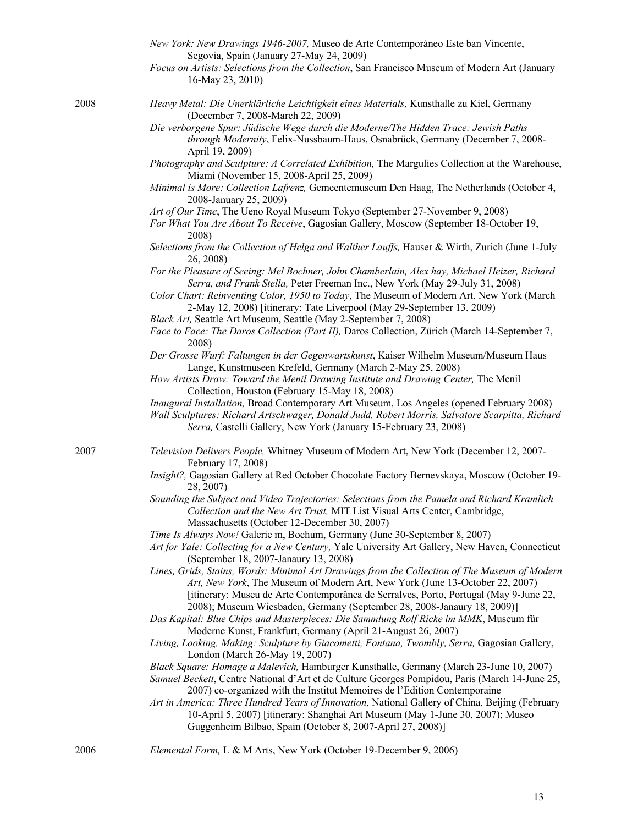|      | New York: New Drawings 1946-2007, Museo de Arte Contemporáneo Este ban Vincente,<br>Segovia, Spain (January 27-May 24, 2009)<br>Focus on Artists: Selections from the Collection, San Francisco Museum of Modern Art (January<br>16-May 23, 2010)                                                                                                 |
|------|---------------------------------------------------------------------------------------------------------------------------------------------------------------------------------------------------------------------------------------------------------------------------------------------------------------------------------------------------|
| 2008 | Heavy Metal: Die Unerklärliche Leichtigkeit eines Materials, Kunsthalle zu Kiel, Germany<br>(December 7, 2008-March 22, 2009)<br>Die verborgene Spur: Jüdische Wege durch die Moderne/The Hidden Trace: Jewish Paths<br>through Modernity, Felix-Nussbaum-Haus, Osnabrück, Germany (December 7, 2008-                                             |
|      | April 19, 2009)<br>Photography and Sculpture: A Correlated Exhibition, The Margulies Collection at the Warehouse,                                                                                                                                                                                                                                 |
|      | Miami (November 15, 2008-April 25, 2009)<br>Minimal is More: Collection Lafrenz, Gemeentemuseum Den Haag, The Netherlands (October 4,                                                                                                                                                                                                             |
|      | 2008-January 25, 2009)                                                                                                                                                                                                                                                                                                                            |
|      | Art of Our Time, The Ueno Royal Museum Tokyo (September 27-November 9, 2008)<br>For What You Are About To Receive, Gagosian Gallery, Moscow (September 18-October 19,<br>2008)                                                                                                                                                                    |
|      | Selections from the Collection of Helga and Walther Lauffs, Hauser & Wirth, Zurich (June 1-July<br>26, 2008)                                                                                                                                                                                                                                      |
|      | For the Pleasure of Seeing: Mel Bochner, John Chamberlain, Alex hay, Michael Heizer, Richard<br>Serra, and Frank Stella, Peter Freeman Inc., New York (May 29-July 31, 2008)                                                                                                                                                                      |
|      | Color Chart: Reinventing Color, 1950 to Today, The Museum of Modern Art, New York (March<br>2-May 12, 2008) [itinerary: Tate Liverpool (May 29-September 13, 2009)                                                                                                                                                                                |
|      | Black Art, Seattle Art Museum, Seattle (May 2-September 7, 2008)<br>Face to Face: The Daros Collection (Part II), Daros Collection, Zürich (March 14-September 7,<br>2008)                                                                                                                                                                        |
|      | Der Grosse Wurf: Faltungen in der Gegenwartskunst, Kaiser Wilhelm Museum/Museum Haus<br>Lange, Kunstmuseen Krefeld, Germany (March 2-May 25, 2008)                                                                                                                                                                                                |
|      | How Artists Draw: Toward the Menil Drawing Institute and Drawing Center, The Menil<br>Collection, Houston (February 15-May 18, 2008)                                                                                                                                                                                                              |
|      | Inaugural Installation, Broad Contemporary Art Museum, Los Angeles (opened February 2008)<br>Wall Sculptures: Richard Artschwager, Donald Judd, Robert Morris, Salvatore Scarpitta, Richard<br>Serra, Castelli Gallery, New York (January 15-February 23, 2008)                                                                                   |
| 2007 | Television Delivers People, Whitney Museum of Modern Art, New York (December 12, 2007-<br>February 17, 2008)                                                                                                                                                                                                                                      |
|      | Insight?, Gagosian Gallery at Red October Chocolate Factory Bernevskaya, Moscow (October 19-<br>28, 2007)                                                                                                                                                                                                                                         |
|      | Sounding the Subject and Video Trajectories: Selections from the Pamela and Richard Kramlich<br>Collection and the New Art Trust, MIT List Visual Arts Center, Cambridge,<br>Massachusetts (October 12-December 30, 2007)                                                                                                                         |
|      | Time Is Always Now! Galerie m, Bochum, Germany (June 30-September 8, 2007)<br>Art for Yale: Collecting for a New Century, Yale University Art Gallery, New Haven, Connecticut<br>(September 18, 2007-Janaury 13, 2008)                                                                                                                            |
|      | Lines, Grids, Stains, Words: Minimal Art Drawings from the Collection of The Museum of Modern<br>Art, New York, The Museum of Modern Art, New York (June 13-October 22, 2007)<br>[itinerary: Museu de Arte Contemporânea de Serralves, Porto, Portugal (May 9-June 22,<br>2008); Museum Wiesbaden, Germany (September 28, 2008-Janaury 18, 2009)] |
|      | Das Kapital: Blue Chips and Masterpieces: Die Sammlung Rolf Ricke im MMK, Museum für<br>Moderne Kunst, Frankfurt, Germany (April 21-August 26, 2007)                                                                                                                                                                                              |
|      | Living, Looking, Making: Sculpture by Giacometti, Fontana, Twombly, Serra, Gagosian Gallery,<br>London (March 26-May 19, 2007)                                                                                                                                                                                                                    |
|      | Black Square: Homage a Malevich, Hamburger Kunsthalle, Germany (March 23-June 10, 2007)<br>Samuel Beckett, Centre National d'Art et de Culture Georges Pompidou, Paris (March 14-June 25,                                                                                                                                                         |
|      | 2007) co-organized with the Institut Memoires de l'Edition Contemporaine<br>Art in America: Three Hundred Years of Innovation, National Gallery of China, Beijing (February<br>10-April 5, 2007) [itinerary: Shanghai Art Museum (May 1-June 30, 2007); Museo<br>Guggenheim Bilbao, Spain (October 8, 2007-April 27, 2008)]                       |
| 2006 | Elemental Form, L & M Arts, New York (October 19-December 9, 2006)                                                                                                                                                                                                                                                                                |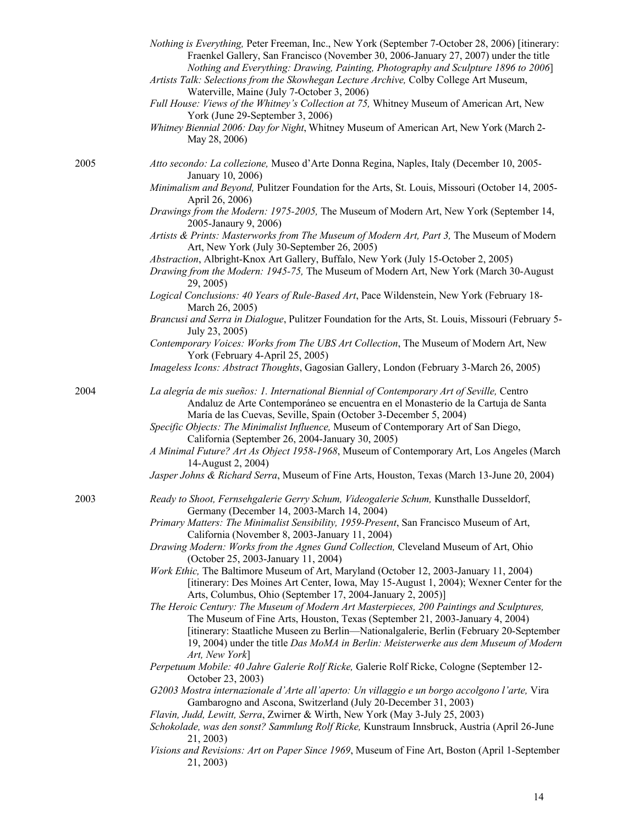|      | Nothing is Everything, Peter Freeman, Inc., New York (September 7-October 28, 2006) [itinerary:<br>Fraenkel Gallery, San Francisco (November 30, 2006-January 27, 2007) under the title<br>Nothing and Everything: Drawing, Painting, Photography and Sculpture 1896 to 2006]<br>Artists Talk: Selections from the Skowhegan Lecture Archive, Colby College Art Museum,<br>Waterville, Maine (July 7-October 3, 2006)<br>Full House: Views of the Whitney's Collection at 75, Whitney Museum of American Art, New<br>York (June 29-September 3, 2006)<br>Whitney Biennial 2006: Day for Night, Whitney Museum of American Art, New York (March 2-<br>May 28, 2006) |
|------|--------------------------------------------------------------------------------------------------------------------------------------------------------------------------------------------------------------------------------------------------------------------------------------------------------------------------------------------------------------------------------------------------------------------------------------------------------------------------------------------------------------------------------------------------------------------------------------------------------------------------------------------------------------------|
| 2005 | Atto secondo: La collezione, Museo d'Arte Donna Regina, Naples, Italy (December 10, 2005-<br>January 10, 2006)                                                                                                                                                                                                                                                                                                                                                                                                                                                                                                                                                     |
|      | Minimalism and Beyond, Pulitzer Foundation for the Arts, St. Louis, Missouri (October 14, 2005-<br>April 26, 2006)                                                                                                                                                                                                                                                                                                                                                                                                                                                                                                                                                 |
|      | Drawings from the Modern: 1975-2005, The Museum of Modern Art, New York (September 14,<br>2005-Janaury 9, 2006)                                                                                                                                                                                                                                                                                                                                                                                                                                                                                                                                                    |
|      | Artists & Prints: Masterworks from The Museum of Modern Art, Part 3, The Museum of Modern<br>Art, New York (July 30-September 26, 2005)                                                                                                                                                                                                                                                                                                                                                                                                                                                                                                                            |
|      | Abstraction, Albright-Knox Art Gallery, Buffalo, New York (July 15-October 2, 2005)<br>Drawing from the Modern: 1945-75, The Museum of Modern Art, New York (March 30-August<br>29, 2005)                                                                                                                                                                                                                                                                                                                                                                                                                                                                          |
|      | Logical Conclusions: 40 Years of Rule-Based Art, Pace Wildenstein, New York (February 18-<br>March 26, 2005)                                                                                                                                                                                                                                                                                                                                                                                                                                                                                                                                                       |
|      | Brancusi and Serra in Dialogue, Pulitzer Foundation for the Arts, St. Louis, Missouri (February 5-<br>July 23, 2005)                                                                                                                                                                                                                                                                                                                                                                                                                                                                                                                                               |
|      | Contemporary Voices: Works from The UBS Art Collection, The Museum of Modern Art, New<br>York (February 4-April 25, 2005)                                                                                                                                                                                                                                                                                                                                                                                                                                                                                                                                          |
|      | Imageless Icons: Abstract Thoughts, Gagosian Gallery, London (February 3-March 26, 2005)                                                                                                                                                                                                                                                                                                                                                                                                                                                                                                                                                                           |
| 2004 | La alegría de mis sueños: 1. International Biennial of Contemporary Art of Seville, Centro<br>Andaluz de Arte Contemporáneo se encuentra en el Monasterio de la Cartuja de Santa<br>María de las Cuevas, Seville, Spain (October 3-December 5, 2004)                                                                                                                                                                                                                                                                                                                                                                                                               |
|      | Specific Objects: The Minimalist Influence, Museum of Contemporary Art of San Diego,<br>California (September 26, 2004-January 30, 2005)                                                                                                                                                                                                                                                                                                                                                                                                                                                                                                                           |
|      | A Minimal Future? Art As Object 1958-1968, Museum of Contemporary Art, Los Angeles (March<br>14-August 2, 2004)                                                                                                                                                                                                                                                                                                                                                                                                                                                                                                                                                    |
|      | Jasper Johns & Richard Serra, Museum of Fine Arts, Houston, Texas (March 13-June 20, 2004)                                                                                                                                                                                                                                                                                                                                                                                                                                                                                                                                                                         |
| 2003 | Ready to Shoot, Fernsehgalerie Gerry Schum, Videogalerie Schum, Kunsthalle Dusseldorf,<br>Germany (December 14, 2003-March 14, 2004)                                                                                                                                                                                                                                                                                                                                                                                                                                                                                                                               |
|      | Primary Matters: The Minimalist Sensibility, 1959-Present, San Francisco Museum of Art,<br>California (November 8, 2003-January 11, 2004)                                                                                                                                                                                                                                                                                                                                                                                                                                                                                                                          |
|      | Drawing Modern: Works from the Agnes Gund Collection, Cleveland Museum of Art, Ohio<br>(October 25, 2003-January 11, 2004)                                                                                                                                                                                                                                                                                                                                                                                                                                                                                                                                         |
|      | Work Ethic, The Baltimore Museum of Art, Maryland (October 12, 2003-January 11, 2004)<br>[itinerary: Des Moines Art Center, Iowa, May 15-August 1, 2004); Wexner Center for the                                                                                                                                                                                                                                                                                                                                                                                                                                                                                    |
|      | Arts, Columbus, Ohio (September 17, 2004-January 2, 2005)]<br>The Heroic Century: The Museum of Modern Art Masterpieces, 200 Paintings and Sculptures,<br>The Museum of Fine Arts, Houston, Texas (September 21, 2003-January 4, 2004)<br>[itinerary: Staatliche Museen zu Berlin—Nationalgalerie, Berlin (February 20-September<br>19, 2004) under the title Das MoMA in Berlin: Meisterwerke aus dem Museum of Modern<br>Art, New York]                                                                                                                                                                                                                          |
|      | Perpetuum Mobile: 40 Jahre Galerie Rolf Ricke, Galerie Rolf Ricke, Cologne (September 12-<br>October 23, 2003)                                                                                                                                                                                                                                                                                                                                                                                                                                                                                                                                                     |
|      | G2003 Mostra internazionale d'Arte all'aperto: Un villaggio e un borgo accolgono l'arte, Vira<br>Gambarogno and Ascona, Switzerland (July 20-December 31, 2003)                                                                                                                                                                                                                                                                                                                                                                                                                                                                                                    |
|      | Flavin, Judd, Lewitt, Serra, Zwirner & Wirth, New York (May 3-July 25, 2003)<br>Schokolade, was den sonst? Sammlung Rolf Ricke, Kunstraum Innsbruck, Austria (April 26-June                                                                                                                                                                                                                                                                                                                                                                                                                                                                                        |
|      | 21, 2003)<br>Visions and Revisions: Art on Paper Since 1969, Museum of Fine Art, Boston (April 1-September<br>21, 2003)                                                                                                                                                                                                                                                                                                                                                                                                                                                                                                                                            |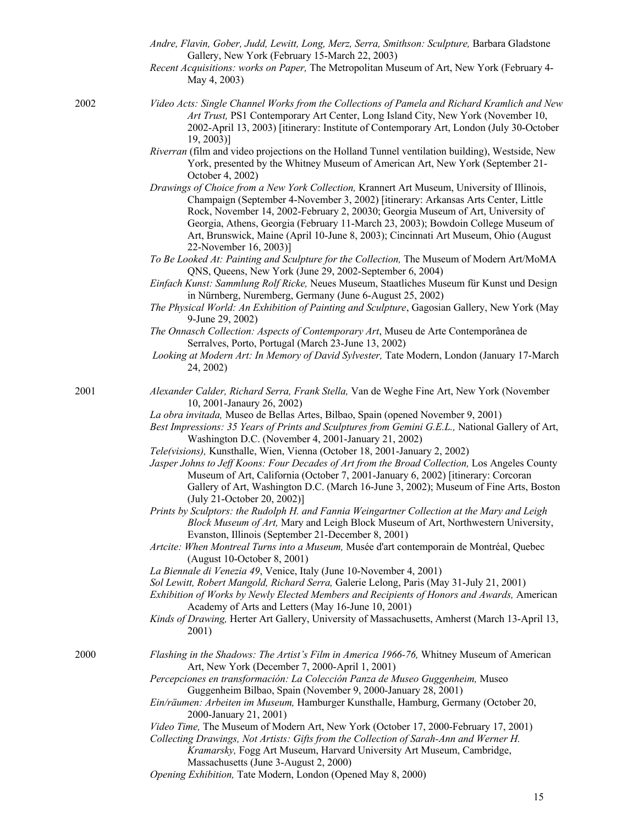- *Andre, Flavin, Gober, Judd, Lewitt, Long, Merz, Serra, Smithson: Sculpture,* Barbara Gladstone Gallery, New York (February 15-March 22, 2003)
- *Recent Acquisitions: works on Paper,* The Metropolitan Museum of Art, New York (February 4- May 4, 2003)
- 2002 *Video Acts: Single Channel Works from the Collections of Pamela and Richard Kramlich and New Art Trust,* PS1 Contemporary Art Center, Long Island City, New York (November 10, 2002-April 13, 2003) [itinerary: Institute of Contemporary Art, London (July 30-October 19, 2003)]
	- *Riverran* (film and video projections on the Holland Tunnel ventilation building), Westside, New York, presented by the Whitney Museum of American Art, New York (September 21- October 4, 2002)
	- *Drawings of Choice from a New York Collection,* Krannert Art Museum, University of Illinois, Champaign (September 4-November 3, 2002) [itinerary: Arkansas Arts Center, Little Rock, November 14, 2002-February 2, 20030; Georgia Museum of Art, University of Georgia, Athens, Georgia (February 11-March 23, 2003); Bowdoin College Museum of Art, Brunswick, Maine (April 10-June 8, 2003); Cincinnati Art Museum, Ohio (August 22-November 16, 2003)]
	- *To Be Looked At: Painting and Sculpture for the Collection,* The Museum of Modern Art/MoMA QNS, Queens, New York (June 29, 2002-September 6, 2004)
	- *Einfach Kunst: Sammlung Rolf Ricke,* Neues Museum, Staatliches Museum für Kunst und Design in Nürnberg, Nuremberg, Germany (June 6-August 25, 2002)
	- *The Physical World: An Exhibition of Painting and Sculpture*, Gagosian Gallery, New York (May 9-June 29, 2002)
	- *The Onnasch Collection: Aspects of Contemporary Art*, Museu de Arte Contemporânea de Serralves, Porto, Portugal (March 23-June 13, 2002)
	- *Looking at Modern Art: In Memory of David Sylvester,* Tate Modern, London (January 17-March 24, 2002)

- 2001 *Alexander Calder, Richard Serra, Frank Stella,* Van de Weghe Fine Art, New York (November 10, 2001-Janaury 26, 2002)
	- *La obra invitada,* Museo de Bellas Artes, Bilbao, Spain (opened November 9, 2001)
	- *Best Impressions: 35 Years of Prints and Sculptures from Gemini G.E.L.,* National Gallery of Art, Washington D.C. (November 4, 2001-January 21, 2002)
	- *Tele(visions),* Kunsthalle, Wien, Vienna (October 18, 2001-January 2, 2002)
	- Jasper Johns to Jeff Koons: Four Decades of Art from the Broad Collection, Los Angeles County Museum of Art, California (October 7, 2001-January 6, 2002) [itinerary: Corcoran Gallery of Art, Washington D.C. (March 16-June 3, 2002); Museum of Fine Arts, Boston (July 21-October 20, 2002)]
	- *Prints by Sculptors: the Rudolph H. and Fannia Weingartner Collection at the Mary and Leigh Block Museum of Art,* Mary and Leigh Block Museum of Art, Northwestern University, Evanston, Illinois (September 21-December 8, 2001)
	- *Artcite: When Montreal Turns into a Museum,* Musée d'art contemporain de Montréal, Quebec (August 10-October 8, 2001)
	- *La Biennale di Venezia 49*, Venice, Italy (June 10-November 4, 2001)
	- *Sol Lewitt, Robert Mangold, Richard Serra,* Galerie Lelong, Paris (May 31-July 21, 2001)
	- *Exhibition of Works by Newly Elected Members and Recipients of Honors and Awards,* American Academy of Arts and Letters (May 16-June 10, 2001)
	- *Kinds of Drawing,* Herter Art Gallery, University of Massachusetts, Amherst (March 13-April 13, 2001)
- 2000 *Flashing in the Shadows: The Artist's Film in America 1966-76,* Whitney Museum of American Art, New York (December 7, 2000-April 1, 2001)
	- *Percepciones en transformación: La Colección Panza de Museo Guggenheim,* Museo Guggenheim Bilbao, Spain (November 9, 2000-January 28, 2001)
	- *Ein/räumen: Arbeiten im Museum,* Hamburger Kunsthalle, Hamburg, Germany (October 20, 2000-January 21, 2001)
	- *Video Time,* The Museum of Modern Art, New York (October 17, 2000-February 17, 2001)
	- *Collecting Drawings, Not Artists: Gifts from the Collection of Sarah-Ann and Werner H. Kramarsky,* Fogg Art Museum, Harvard University Art Museum, Cambridge, Massachusetts (June 3-August 2, 2000)
	- *Opening Exhibition,* Tate Modern, London (Opened May 8, 2000)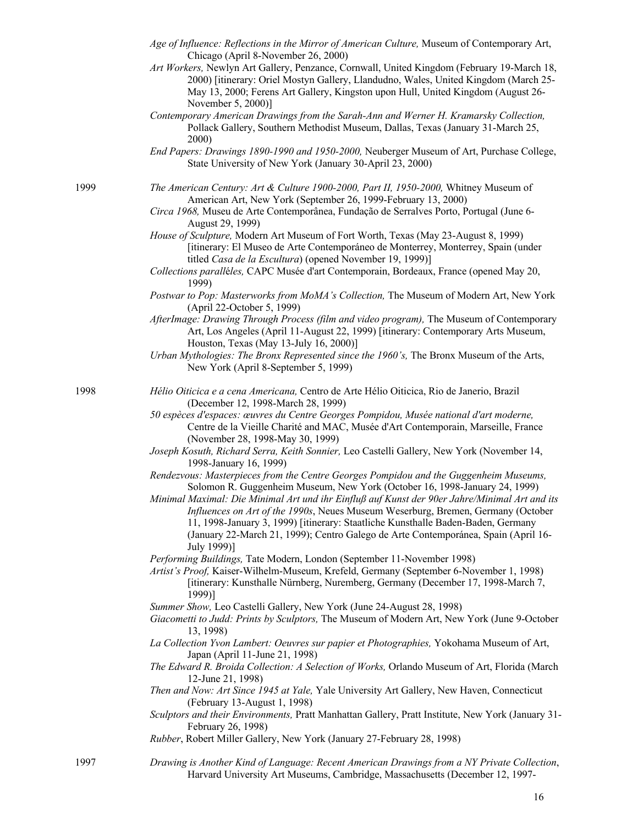|      | Age of Influence: Reflections in the Mirror of American Culture, Museum of Contemporary Art,<br>Chicago (April 8-November 26, 2000)<br>Art Workers, Newlyn Art Gallery, Penzance, Cornwall, United Kingdom (February 19-March 18,<br>2000) [itinerary: Oriel Mostyn Gallery, Llandudno, Wales, United Kingdom (March 25-<br>May 13, 2000; Ferens Art Gallery, Kingston upon Hull, United Kingdom (August 26-<br>November 5, 2000)]<br>Contemporary American Drawings from the Sarah-Ann and Werner H. Kramarsky Collection,<br>Pollack Gallery, Southern Methodist Museum, Dallas, Texas (January 31-March 25,<br>2000)<br>End Papers: Drawings 1890-1990 and 1950-2000, Neuberger Museum of Art, Purchase College,<br>State University of New York (January 30-April 23, 2000)                                                                                                                                                                                                                                                                                                                                                                                                                                                                                                                                                                                                                                                                                                                                                                                                                                                                                                                                                                                                                                                                                                                                                                                                                                                                                          |
|------|--------------------------------------------------------------------------------------------------------------------------------------------------------------------------------------------------------------------------------------------------------------------------------------------------------------------------------------------------------------------------------------------------------------------------------------------------------------------------------------------------------------------------------------------------------------------------------------------------------------------------------------------------------------------------------------------------------------------------------------------------------------------------------------------------------------------------------------------------------------------------------------------------------------------------------------------------------------------------------------------------------------------------------------------------------------------------------------------------------------------------------------------------------------------------------------------------------------------------------------------------------------------------------------------------------------------------------------------------------------------------------------------------------------------------------------------------------------------------------------------------------------------------------------------------------------------------------------------------------------------------------------------------------------------------------------------------------------------------------------------------------------------------------------------------------------------------------------------------------------------------------------------------------------------------------------------------------------------------------------------------------------------------------------------------------------------------|
| 1999 | The American Century: Art & Culture 1900-2000, Part II, 1950-2000, Whitney Museum of<br>American Art, New York (September 26, 1999-February 13, 2000)<br>Circa 1968, Museu de Arte Contemporânea, Fundação de Serralves Porto, Portugal (June 6-<br>August 29, 1999)<br>House of Sculpture, Modern Art Museum of Fort Worth, Texas (May 23-August 8, 1999)<br>[itinerary: El Museo de Arte Contemporáneo de Monterrey, Monterrey, Spain (under<br>titled Casa de la Escultura) (opened November 19, 1999)]<br>Collections paralléles, CAPC Musée d'art Contemporain, Bordeaux, France (opened May 20,                                                                                                                                                                                                                                                                                                                                                                                                                                                                                                                                                                                                                                                                                                                                                                                                                                                                                                                                                                                                                                                                                                                                                                                                                                                                                                                                                                                                                                                                    |
|      | 1999)<br>Postwar to Pop: Masterworks from MoMA's Collection, The Museum of Modern Art, New York<br>(April 22-October 5, 1999)<br>AfterImage: Drawing Through Process (film and video program), The Museum of Contemporary<br>Art, Los Angeles (April 11-August 22, 1999) [itinerary: Contemporary Arts Museum,<br>Houston, Texas (May 13-July 16, 2000)]<br>Urban Mythologies: The Bronx Represented since the 1960's, The Bronx Museum of the Arts,<br>New York (April 8-September 5, 1999)                                                                                                                                                                                                                                                                                                                                                                                                                                                                                                                                                                                                                                                                                                                                                                                                                                                                                                                                                                                                                                                                                                                                                                                                                                                                                                                                                                                                                                                                                                                                                                             |
| 1998 | Hélio Oiticica e a cena Americana, Centro de Arte Hélio Oiticica, Rio de Janerio, Brazil<br>(December 12, 1998-March 28, 1999)<br>50 espèces d'espaces: œuvres du Centre Georges Pompidou, Musée national d'art moderne,<br>Centre de la Vieille Charité and MAC, Musée d'Art Contemporain, Marseille, France<br>(November 28, 1998-May 30, 1999)<br>Joseph Kosuth, Richard Serra, Keith Sonnier, Leo Castelli Gallery, New York (November 14,<br>1998-January 16, 1999)<br>Rendezvous: Masterpieces from the Centre Georges Pompidou and the Guggenheim Museums,<br>Solomon R. Guggenheim Museum, New York (October 16, 1998-January 24, 1999)<br>Minimal Maximal: Die Minimal Art und ihr Einfluß auf Kunst der 90er Jahre/Minimal Art and its<br>Influences on Art of the 1990s, Neues Museum Weserburg, Bremen, Germany (October<br>11, 1998-January 3, 1999) [itinerary: Staatliche Kunsthalle Baden-Baden, Germany<br>(January 22-March 21, 1999); Centro Galego de Arte Contemporánea, Spain (April 16-<br>July 1999)]<br>Performing Buildings, Tate Modern, London (September 11-November 1998)<br>Artist's Proof, Kaiser-Wilhelm-Museum, Krefeld, Germany (September 6-November 1, 1998)<br>[itinerary: Kunsthalle Nürnberg, Nuremberg, Germany (December 17, 1998-March 7,<br>1999)]<br>Summer Show, Leo Castelli Gallery, New York (June 24-August 28, 1998)<br>Giacometti to Judd: Prints by Sculptors, The Museum of Modern Art, New York (June 9-October<br>13, 1998)<br>La Collection Yvon Lambert: Oeuvres sur papier et Photographies, Yokohama Museum of Art,<br>Japan (April 11-June 21, 1998)<br>The Edward R. Broida Collection: A Selection of Works, Orlando Museum of Art, Florida (March<br>12-June 21, 1998)<br>Then and Now: Art Since 1945 at Yale, Yale University Art Gallery, New Haven, Connecticut<br>(February 13-August 1, 1998)<br>Sculptors and their Environments, Pratt Manhattan Gallery, Pratt Institute, New York (January 31-<br>February 26, 1998)<br>Rubber, Robert Miller Gallery, New York (January 27-February 28, 1998) |
|      |                                                                                                                                                                                                                                                                                                                                                                                                                                                                                                                                                                                                                                                                                                                                                                                                                                                                                                                                                                                                                                                                                                                                                                                                                                                                                                                                                                                                                                                                                                                                                                                                                                                                                                                                                                                                                                                                                                                                                                                                                                                                          |

1997 *Drawing is Another Kind of Language: Recent American Drawings from a NY Private Collection*, Harvard University Art Museums, Cambridge, Massachusetts (December 12, 1997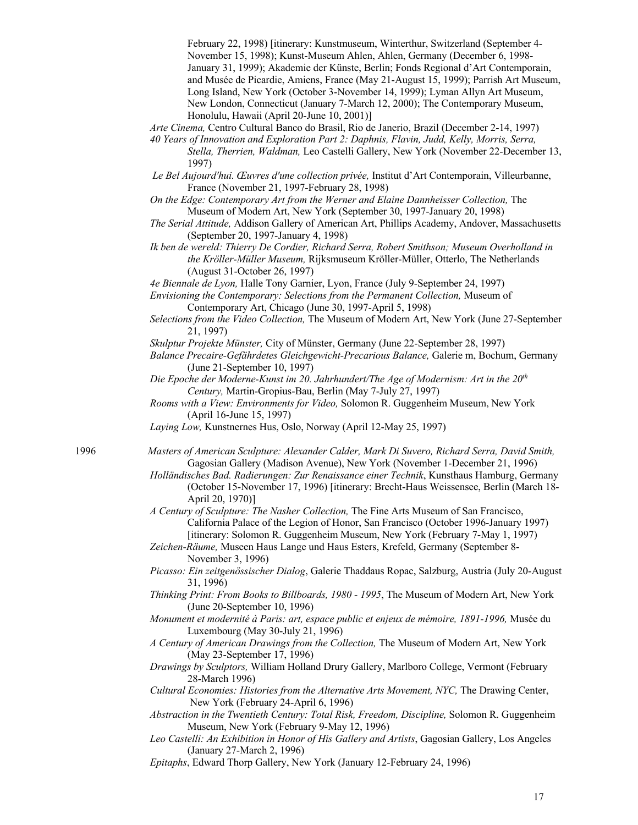February 22, 1998) [itinerary: Kunstmuseum, Winterthur, Switzerland (September 4- November 15, 1998); Kunst-Museum Ahlen, Ahlen, Germany (December 6, 1998- January 31, 1999); Akademie der Künste, Berlin; Fonds Regional d'Art Contemporain, and Musée de Picardie, Amiens, France (May 21-August 15, 1999); Parrish Art Museum, Long Island, New York (October 3-November 14, 1999); Lyman Allyn Art Museum, New London, Connecticut (January 7-March 12, 2000); The Contemporary Museum, Honolulu, Hawaii (April 20-June 10, 2001)]

*Arte Cinema,* Centro Cultural Banco do Brasil, Rio de Janerio, Brazil (December 2-14, 1997)

*40 Years of Innovation and Exploration Part 2: Daphnis, Flavin, Judd, Kelly, Morris, Serra, Stella, Therrien, Waldman,* Leo Castelli Gallery, New York (November 22-December 13, 1997)

*Le Bel Aujourd'hui. Œuvres d'une collection privée,* Institut d'Art Contemporain, Villeurbanne, France (November 21, 1997-February 28, 1998)

*On the Edge: Contemporary Art from the Werner and Elaine Dannheisser Collection,* The Museum of Modern Art, New York (September 30, 1997-January 20, 1998)

*The Serial Attitude,* Addison Gallery of American Art, Phillips Academy, Andover, Massachusetts (September 20, 1997-January 4, 1998)

*Ik ben de wereld: Thierry De Cordier, Richard Serra, Robert Smithson; Museum Overholland in the Kröller-Müller Museum,* Rijksmuseum Kröller-Müller, Otterlo, The Netherlands (August 31-October 26, 1997)

*4e Biennale de Lyon,* Halle Tony Garnier, Lyon, France (July 9-September 24, 1997)

*Envisioning the Contemporary: Selections from the Permanent Collection,* Museum of Contemporary Art, Chicago (June 30, 1997-April 5, 1998)

*Selections from the Video Collection,* The Museum of Modern Art, New York (June 27-September 21, 1997)

*Skulptur Projekte Münster,* City of Münster, Germany (June 22-September 28, 1997)

*Balance Precaire-Gefährdetes Gleichgewicht-Precarious Balance,* Galerie m, Bochum, Germany (June 21-September 10, 1997)

*Die Epoche der Moderne-Kunst im 20. Jahrhundert/The Age of Modernism: Art in the 20th Century,* Martin-Gropius-Bau, Berlin (May 7-July 27, 1997)

- *Rooms with a View: Environments for Video,* Solomon R. Guggenheim Museum, New York (April 16-June 15, 1997)
- *Laying Low,* Kunstnernes Hus, Oslo, Norway (April 12-May 25, 1997)

1996 *Masters of American Sculpture: Alexander Calder, Mark Di Suvero, Richard Serra, David Smith,* Gagosian Gallery (Madison Avenue), New York (November 1-December 21, 1996)

*Holländisches Bad. Radierungen: Zur Renaissance einer Technik*, Kunsthaus Hamburg, Germany (October 15-November 17, 1996) [itinerary: Brecht-Haus Weissensee, Berlin (March 18- April 20, 1970)]

*A Century of Sculpture: The Nasher Collection,* The Fine Arts Museum of San Francisco, California Palace of the Legion of Honor, San Francisco (October 1996-January 1997) [itinerary: Solomon R. Guggenheim Museum, New York (February 7-May 1, 1997)

*Zeichen-Räume,* Museen Haus Lange und Haus Esters, Krefeld, Germany (September 8- November 3, 1996)

*Picasso: Ein zeitgenössischer Dialog*, Galerie Thaddaus Ropac, Salzburg, Austria (July 20-August 31, 1996)

*Thinking Print: From Books to Billboards, 1980 - 1995*, The Museum of Modern Art, New York (June 20-September 10, 1996)

*Monument et modernité à Paris: art, espace public et enjeux de mémoire, 1891-1996, Musée du* Luxembourg (May 30-July 21, 1996)

*A Century of American Drawings from the Collection,* The Museum of Modern Art, New York (May 23-September 17, 1996)

*Drawings by Sculptors,* William Holland Drury Gallery, Marlboro College, Vermont (February 28-March 1996)

*Cultural Economies: Histories from the Alternative Arts Movement, NYC,* The Drawing Center, New York (February 24-April 6, 1996)

*Abstraction in the Twentieth Century: Total Risk, Freedom, Discipline,* Solomon R. Guggenheim Museum, New York (February 9-May 12, 1996)

*Leo Castelli: An Exhibition in Honor of His Gallery and Artists*, Gagosian Gallery, Los Angeles (January 27-March 2, 1996)

*Epitaphs*, Edward Thorp Gallery, New York (January 12-February 24, 1996)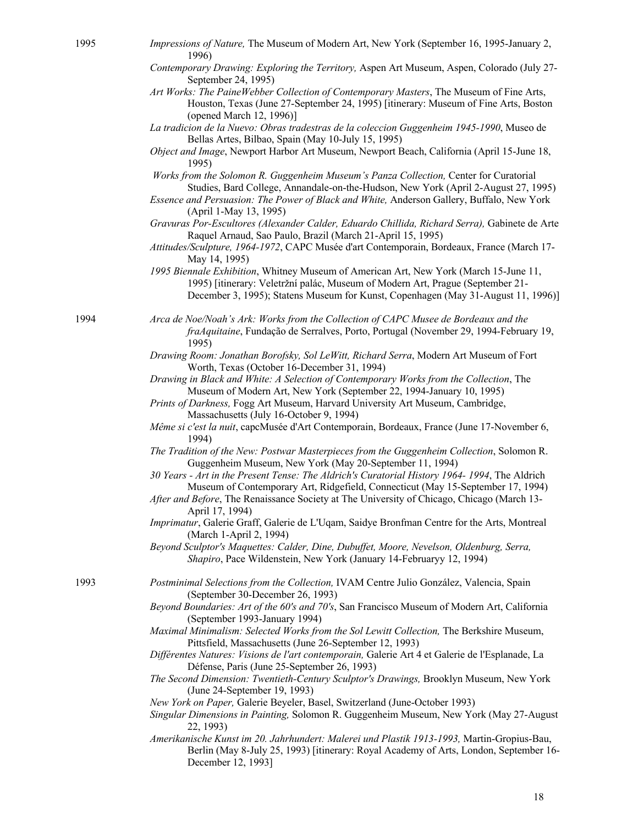- 1995 *Impressions of Nature,* The Museum of Modern Art, New York (September 16, 1995-January 2, 1996)
	- *Contemporary Drawing: Exploring the Territory,* Aspen Art Museum, Aspen, Colorado (July 27- September 24, 1995)
	- *Art Works: The PaineWebber Collection of Contemporary Masters*, The Museum of Fine Arts, Houston, Texas (June 27-September 24, 1995) [itinerary: Museum of Fine Arts, Boston (opened March 12, 1996)]
	- *La tradicion de la Nuevo: Obras tradestras de la coleccion Guggenheim 1945-1990*, Museo de Bellas Artes, Bilbao, Spain (May 10-July 15, 1995)
	- *Object and Image*, Newport Harbor Art Museum, Newport Beach, California (April 15-June 18, 1995)
	- *Works from the Solomon R. Guggenheim Museum's Panza Collection,* Center for Curatorial Studies, Bard College, Annandale-on-the-Hudson, New York (April 2-August 27, 1995)
	- *Essence and Persuasion: The Power of Black and White,* Anderson Gallery, Buffalo, New York (April 1-May 13, 1995)
	- Gravuras Por-Escultores (Alexander Calder, Eduardo Chillida, Richard Serra), Gabinete de Arte Raquel Arnaud, Sao Paulo, Brazil (March 21-April 15, 1995)
	- *Attitudes/Sculpture, 1964-1972*, CAPC Musée d'art Contemporain, Bordeaux, France (March 17- May 14, 1995)
	- *1995 Biennale Exhibition*, Whitney Museum of American Art, New York (March 15-June 11, 1995) [itinerary: Veletržní palác, Museum of Modern Art, Prague (September 21- December 3, 1995); Statens Museum for Kunst, Copenhagen (May 31-August 11, 1996)]

1994 *Arca de Noe/Noah's Ark: Works from the Collection of CAPC Musee de Bordeaux and the fraAquitaine*, Fundação de Serralves, Porto, Portugal (November 29, 1994-February 19, 1995)

> *Drawing Room: Jonathan Borofsky, Sol LeWitt, Richard Serra*, Modern Art Museum of Fort Worth, Texas (October 16-December 31, 1994)

*Drawing in Black and White: A Selection of Contemporary Works from the Collection*, The Museum of Modern Art, New York (September 22, 1994-January 10, 1995)

- *Prints of Darkness,* Fogg Art Museum, Harvard University Art Museum, Cambridge, Massachusetts (July 16-October 9, 1994)
- *Même si c'est la nuit*, capcMusée d'Art Contemporain, Bordeaux, France (June 17-November 6, 1994)
- *The Tradition of the New: Postwar Masterpieces from the Guggenheim Collection*, Solomon R. Guggenheim Museum, New York (May 20-September 11, 1994)
- *30 Years - Art in the Present Tense: The Aldrich's Curatorial History 1964- 1994*, The Aldrich Museum of Contemporary Art, Ridgefield, Connecticut (May 15-September 17, 1994)
- *After and Before*, The Renaissance Society at The University of Chicago, Chicago (March 13- April 17, 1994)
- *Imprimatur*, Galerie Graff, Galerie de L'Uqam, Saidye Bronfman Centre for the Arts, Montreal (March 1-April 2, 1994)
- *Beyond Sculptor's Maquettes: Calder, Dine, Dubuffet, Moore, Nevelson, Oldenburg, Serra, Shapiro*, Pace Wildenstein, New York (January 14-Februaryy 12, 1994)
- 1993 *Postminimal Selections from the Collection,* IVAM Centre Julio González, Valencia, Spain (September 30-December 26, 1993)
	- *Beyond Boundaries: Art of the 60's and 70's*, San Francisco Museum of Modern Art, California (September 1993-January 1994)
	- *Maximal Minimalism: Selected Works from the Sol Lewitt Collection, The Berkshire Museum,* Pittsfield, Massachusetts (June 26-September 12, 1993)
	- *Différentes Natures: Visions de l'art contemporain,* Galerie Art 4 et Galerie de l'Esplanade, La Défense, Paris (June 25-September 26, 1993)
	- *The Second Dimension: Twentieth-Century Sculptor's Drawings,* Brooklyn Museum, New York (June 24-September 19, 1993)
	- *New York on Paper,* Galerie Beyeler, Basel, Switzerland (June-October 1993)
	- *Singular Dimensions in Painting,* Solomon R. Guggenheim Museum, New York (May 27-August 22, 1993)
	- *Amerikanische Kunst im 20. Jahrhundert: Malerei und Plastik 1913-1993,* Martin-Gropius-Bau, Berlin (May 8-July 25, 1993) [itinerary: Royal Academy of Arts, London, September 16- December 12, 1993]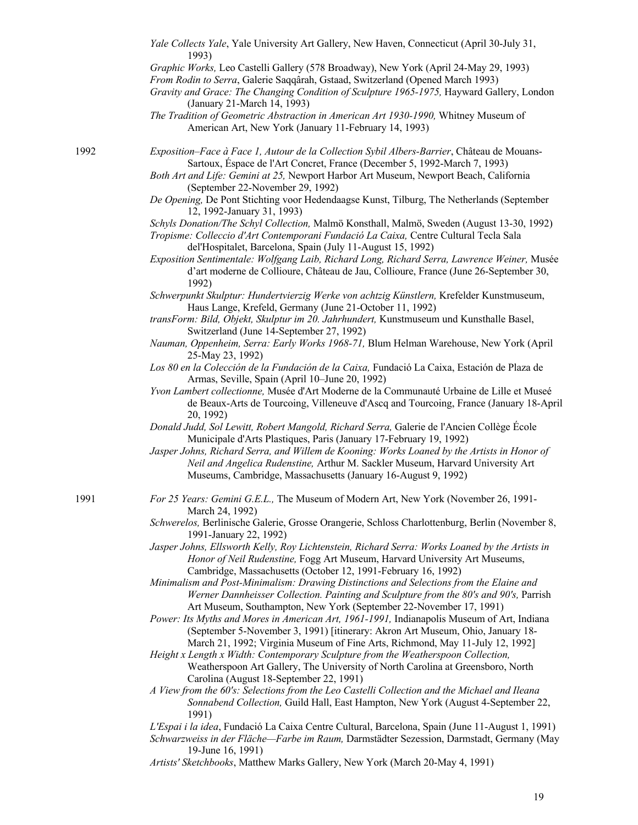|      | Yale Collects Yale, Yale University Art Gallery, New Haven, Connecticut (April 30-July 31,<br>1993)                                                                                                                                             |
|------|-------------------------------------------------------------------------------------------------------------------------------------------------------------------------------------------------------------------------------------------------|
|      | Graphic Works, Leo Castelli Gallery (578 Broadway), New York (April 24-May 29, 1993)                                                                                                                                                            |
|      | From Rodin to Serra, Galerie Saqqârah, Gstaad, Switzerland (Opened March 1993)                                                                                                                                                                  |
|      | Gravity and Grace: The Changing Condition of Sculpture 1965-1975, Hayward Gallery, London<br>(January 21-March 14, 1993)                                                                                                                        |
|      | The Tradition of Geometric Abstraction in American Art 1930-1990, Whitney Museum of                                                                                                                                                             |
|      | American Art, New York (January 11-February 14, 1993)                                                                                                                                                                                           |
| 1992 | Exposition-Face à Face 1, Autour de la Collection Sybil Albers-Barrier, Château de Mouans-<br>Sartoux, Espace de l'Art Concret, France (December 5, 1992-March 7, 1993)                                                                         |
|      | Both Art and Life: Gemini at 25, Newport Harbor Art Museum, Newport Beach, California<br>(September 22-November 29, 1992)                                                                                                                       |
|      | De Opening, De Pont Stichting voor Hedendaagse Kunst, Tilburg, The Netherlands (September<br>12, 1992-January 31, 1993)                                                                                                                         |
|      | Schyls Donation/The Schyl Collection, Malmö Konsthall, Malmö, Sweden (August 13-30, 1992)<br>Tropisme: Colleccio d'Art Contemporani Fundació La Caixa, Centre Cultural Tecla Sala<br>del'Hospitalet, Barcelona, Spain (July 11-August 15, 1992) |
|      | Exposition Sentimentale: Wolfgang Laib, Richard Long, Richard Serra, Lawrence Weiner, Musée                                                                                                                                                     |
|      | d'art moderne de Collioure, Château de Jau, Collioure, France (June 26-September 30,<br>1992)                                                                                                                                                   |
|      | Schwerpunkt Skulptur: Hundertvierzig Werke von achtzig Künstlern, Krefelder Kunstmuseum,<br>Haus Lange, Krefeld, Germany (June 21-October 11, 1992)                                                                                             |
|      | transForm: Bild, Objekt, Skulptur im 20. Jahrhundert, Kunstmuseum und Kunsthalle Basel,<br>Switzerland (June 14-September 27, 1992)                                                                                                             |
|      | Nauman, Oppenheim, Serra: Early Works 1968-71, Blum Helman Warehouse, New York (April<br>25-May 23, 1992)                                                                                                                                       |
|      | Los 80 en la Colección de la Fundación de la Caixa, Fundació La Caixa, Estación de Plaza de<br>Armas, Seville, Spain (April 10-June 20, 1992)                                                                                                   |
|      | Yvon Lambert collectionne, Musée d'Art Moderne de la Communauté Urbaine de Lille et Museé<br>de Beaux-Arts de Tourcoing, Villeneuve d'Ascq and Tourcoing, France (January 18-April<br>20, 1992)                                                 |
|      | Donald Judd, Sol Lewitt, Robert Mangold, Richard Serra, Galerie de l'Ancien Collège École<br>Municipale d'Arts Plastiques, Paris (January 17-February 19, 1992)                                                                                 |
|      | Jasper Johns, Richard Serra, and Willem de Kooning: Works Loaned by the Artists in Honor of<br>Neil and Angelica Rudenstine, Arthur M. Sackler Museum, Harvard University Art                                                                   |
|      | Museums, Cambridge, Massachusetts (January 16-August 9, 1992)                                                                                                                                                                                   |
| 1991 | For 25 Years: Gemini G.E.L., The Museum of Modern Art, New York (November 26, 1991-<br>March 24, 1992)                                                                                                                                          |
|      | Schwerelos, Berlinische Galerie, Grosse Orangerie, Schloss Charlottenburg, Berlin (November 8,<br>1991-January 22, 1992)                                                                                                                        |
|      | Jasper Johns, Ellsworth Kelly, Roy Lichtenstein, Richard Serra: Works Loaned by the Artists in<br>Honor of Neil Rudenstine, Fogg Art Museum, Harvard University Art Museums,<br>Cambridge, Massachusetts (October 12, 1991-February 16, 1992)   |
|      | Minimalism and Post-Minimalism: Drawing Distinctions and Selections from the Elaine and                                                                                                                                                         |
|      | Werner Dannheisser Collection. Painting and Sculpture from the 80's and 90's, Parrish<br>Art Museum, Southampton, New York (September 22-November 17, 1991)                                                                                     |
|      | Power: Its Myths and Mores in American Art, 1961-1991, Indianapolis Museum of Art, Indiana<br>(September 5-November 3, 1991) [itinerary: Akron Art Museum, Ohio, January 18-                                                                    |
|      | March 21, 1992; Virginia Museum of Fine Arts, Richmond, May 11-July 12, 1992]<br>Height x Length x Width: Contemporary Sculpture from the Weatherspoon Collection,                                                                              |
|      | Weatherspoon Art Gallery, The University of North Carolina at Greensboro, North<br>Carolina (August 18-September 22, 1991)                                                                                                                      |
|      | A View from the 60's: Selections from the Leo Castelli Collection and the Michael and Ileana                                                                                                                                                    |
|      | Sonnabend Collection, Guild Hall, East Hampton, New York (August 4-September 22,<br>1991)                                                                                                                                                       |
|      | L'Espai i la idea, Fundació La Caixa Centre Cultural, Barcelona, Spain (June 11-August 1, 1991)                                                                                                                                                 |
|      | Schwarzweiss in der Fläche-Farbe im Raum, Darmstädter Sezession, Darmstadt, Germany (May<br>19-June 16, 1991)                                                                                                                                   |
|      | Artists' Sketchbooks, Matthew Marks Gallery, New York (March 20-May 4, 1991)                                                                                                                                                                    |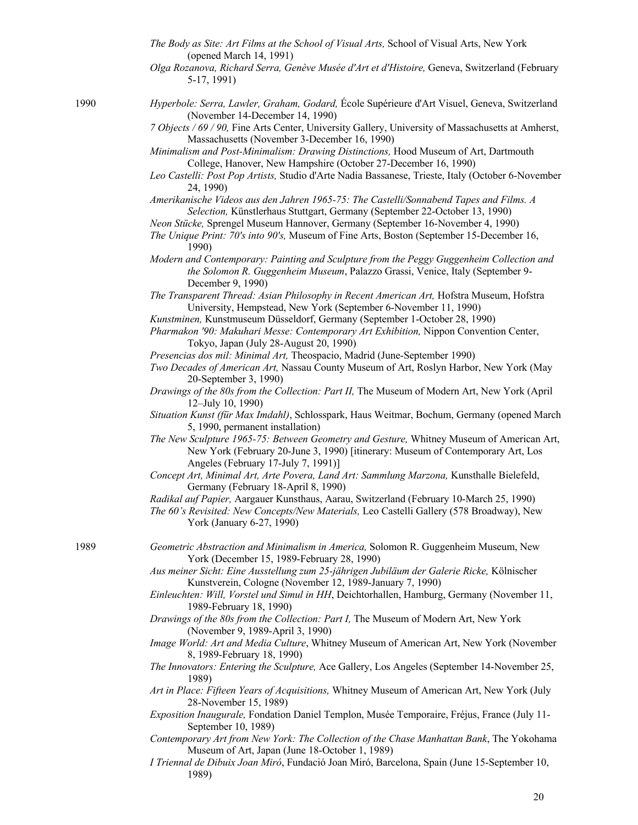*The Body as Site: Art Films at the School of Visual Arts,* School of Visual Arts, New York (opened March 14, 1991) *Olga Rozanova, Richard Serra, Genève Musée d'Art et d'Histoire,* Geneva, Switzerland (February 5-17, 1991) 1990 *Hyperbole: Serra, Lawler, Graham, Godard,* École Supérieure d'Art Visuel, Geneva, Switzerland (November 14-December 14, 1990) *7 Objects / 69 / 90,* Fine Arts Center, University Gallery, University of Massachusetts at Amherst, Massachusetts (November 3-December 16, 1990) *Minimalism and Post-Minimalism: Drawing Distinctions,* Hood Museum of Art, Dartmouth College, Hanover, New Hampshire (October 27-December 16, 1990) *Leo Castelli: Post Pop Artists,* Studio d'Arte Nadia Bassanese, Trieste, Italy (October 6-November 24, 1990) *Amerikanische Videos aus den Jahren 1965-75: The Castelli/Sonnabend Tapes and Films. A Selection,* Künstlerhaus Stuttgart, Germany (September 22-October 13, 1990) *Neon Stücke,* Sprengel Museum Hannover, Germany (September 16-November 4, 1990) *The Unique Print: 70's into 90's,* Museum of Fine Arts, Boston (September 15-December 16, 1990) *Modern and Contemporary: Painting and Sculpture from the Peggy Guggenheim Collection and the Solomon R. Guggenheim Museum*, Palazzo Grassi, Venice, Italy (September 9- December 9, 1990) *The Transparent Thread: Asian Philosophy in Recent American Art,* Hofstra Museum, Hofstra University, Hempstead, New York (September 6-November 11, 1990) *Kunstminen,* Kunstmuseum Düsseldorf, Germany (September 1-October 28, 1990) *Pharmakon '90: Makuhari Messe: Contemporary Art Exhibition,* Nippon Convention Center, Tokyo, Japan (July 28-August 20, 1990) *Presencias dos mil: Minimal Art,* Theospacio, Madrid (June-September 1990) *Two Decades of American Art,* Nassau County Museum of Art, Roslyn Harbor, New York (May 20-September 3, 1990) *Drawings of the 80s from the Collection: Part II,* The Museum of Modern Art, New York (April 12–July 10, 1990) *Situation Kunst (für Max Imdahl)*, Schlosspark, Haus Weitmar, Bochum, Germany (opened March 5, 1990, permanent installation) *The New Sculpture 1965-75: Between Geometry and Gesture,* Whitney Museum of American Art, New York (February 20-June 3, 1990) [itinerary: Museum of Contemporary Art, Los Angeles (February 17-July 7, 1991)] *Concept Art, Minimal Art, Arte Povera, Land Art: Sammlung Marzona,* Kunsthalle Bielefeld, Germany (February 18-April 8, 1990) *Radikal auf Papier,* Aargauer Kunsthaus, Aarau, Switzerland (February 10-March 25, 1990) *The 60's Revisited: New Concepts/New Materials,* Leo Castelli Gallery (578 Broadway), New York (January 6-27, 1990) 1989 *Geometric Abstraction and Minimalism in America,* Solomon R. Guggenheim Museum, New York (December 15, 1989-February 28, 1990) *Aus meiner Sicht: Eine Ausstellung zum 25-jährigen Jubiläum der Galerie Ricke,* Kölnischer Kunstverein, Cologne (November 12, 1989-January 7, 1990) *Einleuchten: Will, Vorstel und Simul in HH*, Deichtorhallen, Hamburg, Germany (November 11, 1989-February 18, 1990) *Drawings of the 80s from the Collection: Part I,* The Museum of Modern Art, New York (November 9, 1989-April 3, 1990) *Image World: Art and Media Culture*, Whitney Museum of American Art, New York (November 8, 1989-February 18, 1990) *The Innovators: Entering the Sculpture,* Ace Gallery, Los Angeles (September 14-November 25, 1989) *Art in Place: Fifteen Years of Acquisitions,* Whitney Museum of American Art, New York (July 28-November 15, 1989) *Exposition Inaugurale,* Fondation Daniel Templon, Musée Temporaire, Fréjus, France (July 11- September 10, 1989) *Contemporary Art from New York: The Collection of the Chase Manhattan Bank*, The Yokohama Museum of Art, Japan (June 18-October 1, 1989)

*I Triennal de Dibuix Joan Miró*, Fundació Joan Miró, Barcelona, Spain (June 15-September 10, 1989)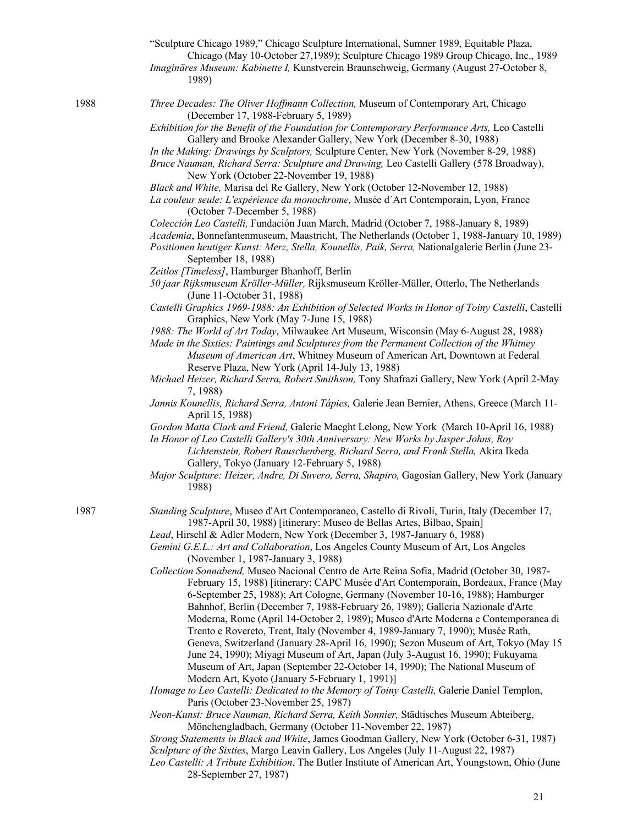|      | "Sculpture Chicago 1989," Chicago Sculpture International, Sumner 1989, Equitable Plaza,<br>Chicago (May 10-October 27,1989); Sculpture Chicago 1989 Group Chicago, Inc., 1989<br>Imaginäres Museum: Kabinette I, Kunstverein Braunschweig, Germany (August 27-October 8,<br>1989)                                 |
|------|--------------------------------------------------------------------------------------------------------------------------------------------------------------------------------------------------------------------------------------------------------------------------------------------------------------------|
| 1988 | Three Decades: The Oliver Hoffmann Collection, Museum of Contemporary Art, Chicago<br>(December 17, 1988-February 5, 1989)                                                                                                                                                                                         |
|      | Exhibition for the Benefit of the Foundation for Contemporary Performance Arts, Leo Castelli                                                                                                                                                                                                                       |
|      | Gallery and Brooke Alexander Gallery, New York (December 8-30, 1988)                                                                                                                                                                                                                                               |
|      | In the Making: Drawings by Sculptors, Sculpture Center, New York (November 8-29, 1988)<br>Bruce Nauman, Richard Serra: Sculpture and Drawing, Leo Castelli Gallery (578 Broadway),<br>New York (October 22-November 19, 1988)                                                                                      |
|      | Black and White, Marisa del Re Gallery, New York (October 12-November 12, 1988)                                                                                                                                                                                                                                    |
|      | La couleur seule: L'expérience du monochrome, Musée d'Art Contemporain, Lyon, France<br>(October 7-December 5, 1988)                                                                                                                                                                                               |
|      | Colección Leo Castelli, Fundación Juan March, Madrid (October 7, 1988-January 8, 1989)                                                                                                                                                                                                                             |
|      | Academia, Bonnefantenmuseum, Maastricht, The Netherlands (October 1, 1988-January 10, 1989)<br>Positionen heutiger Kunst: Merz, Stella, Kounellis, Paik, Serra, Nationalgalerie Berlin (June 23-<br>September 18, 1988)                                                                                            |
|      | Zeitlos [Timeless], Hamburger Bhanhoff, Berlin                                                                                                                                                                                                                                                                     |
|      | 50 jaar Rijksmuseum Kröller-Müller, Rijksmuseum Kröller-Müller, Otterlo, The Netherlands<br>(June 11-October 31, 1988)                                                                                                                                                                                             |
|      | Castelli Graphics 1969-1988: An Exhibition of Selected Works in Honor of Toiny Castelli, Castelli<br>Graphics, New York (May 7-June 15, 1988)                                                                                                                                                                      |
|      | 1988: The World of Art Today, Milwaukee Art Museum, Wisconsin (May 6-August 28, 1988)                                                                                                                                                                                                                              |
|      | Made in the Sixties: Paintings and Sculptures from the Permanent Collection of the Whitney<br>Museum of American Art, Whitney Museum of American Art, Downtown at Federal<br>Reserve Plaza, New York (April 14-July 13, 1988)                                                                                      |
|      | Michael Heizer, Richard Serra, Robert Smithson, Tony Shafrazi Gallery, New York (April 2-May<br>7, 1988)                                                                                                                                                                                                           |
|      | Jannis Kounellis, Richard Serra, Antoni Tápies, Galerie Jean Bernier, Athens, Greece (March 11-<br>April 15, 1988)                                                                                                                                                                                                 |
|      | Gordon Matta Clark and Friend, Galerie Maeght Lelong, New York (March 10-April 16, 1988)<br>In Honor of Leo Castelli Gallery's 30th Anniversary: New Works by Jasper Johns, Roy<br>Lichtenstein, Robert Rauschenberg, Richard Serra, and Frank Stella, Akira Ikeda<br>Gallery, Tokyo (January 12-February 5, 1988) |
|      | Major Sculpture: Heizer, Andre, Di Suvero, Serra, Shapiro, Gagosian Gallery, New York (January<br>1988)                                                                                                                                                                                                            |
| 1987 | Standing Sculpture, Museo d'Art Contemporaneo, Castello di Rivoli, Turin, Italy (December 17,<br>1987-April 30, 1988) [itinerary: Museo de Bellas Artes, Bilbao, Spain]                                                                                                                                            |
|      | Lead, Hirschl & Adler Modern, New York (December 3, 1987-January 6, 1988)                                                                                                                                                                                                                                          |
|      | Gemini G.E.L.: Art and Collaboration, Los Angeles County Museum of Art, Los Angeles<br>(November 1, 1987-January 3, 1988)                                                                                                                                                                                          |
|      | Collection Sonnabend, Museo Nacional Centro de Arte Reina Sofia, Madrid (October 30, 1987-                                                                                                                                                                                                                         |
|      | February 15, 1988) [itinerary: CAPC Musée d'Art Contemporain, Bordeaux, France (May<br>6-September 25, 1988); Art Cologne, Germany (November 10-16, 1988); Hamburger<br>Bahnhof, Berlin (December 7, 1988-February 26, 1989); Galleria Nazionale d'Arte                                                            |
|      | Moderna, Rome (April 14-October 2, 1989); Museo d'Arte Moderna e Contemporanea di<br>Trento e Rovereto, Trent, Italy (November 4, 1989-January 7, 1990); Musée Rath,                                                                                                                                               |
|      | Geneva, Switzerland (January 28-April 16, 1990); Sezon Museum of Art, Tokyo (May 15<br>June 24, 1990); Miyagi Museum of Art, Japan (July 3-August 16, 1990); Fukuyama                                                                                                                                              |
|      | Museum of Art, Japan (September 22-October 14, 1990); The National Museum of                                                                                                                                                                                                                                       |
|      | Modern Art, Kyoto (January 5-February 1, 1991)]<br>Homage to Leo Castelli: Dedicated to the Memory of Toiny Castelli, Galerie Daniel Templon,<br>Paris (October 23-November 25, 1987)                                                                                                                              |
|      | Neon-Kunst: Bruce Nauman, Richard Serra, Keith Sonnier, Städtisches Museum Abteiberg,                                                                                                                                                                                                                              |
|      | Mönchengladbach, Germany (October 11-November 22, 1987)                                                                                                                                                                                                                                                            |
|      | Strong Statements in Black and White, James Goodman Gallery, New York (October 6-31, 1987)<br>Sculpture of the Sixties, Margo Leavin Gallery, Los Angeles (July 11-August 22, 1987)                                                                                                                                |

*Leo Castelli: A Tribute Exhibition*, The Butler Institute of American Art, Youngstown, Ohio (June 28-September 27, 1987)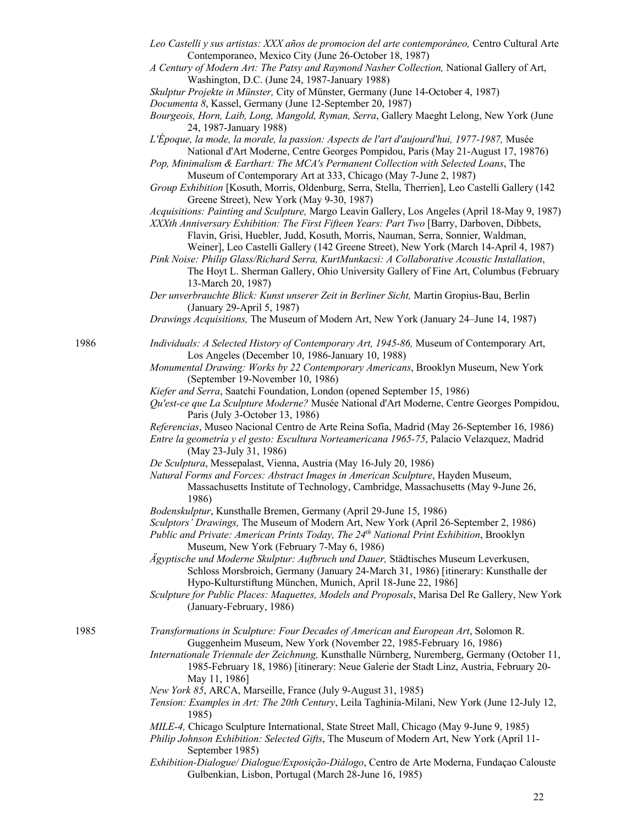- *Leo Castelli y sus artistas: XXX años de promocion del arte contemporáneo,* Centro Cultural Arte Contemporaneo, Mexico City (June 26-October 18, 1987)
- *A Century of Modern Art: The Patsy and Raymond Nasher Collection,* National Gallery of Art, Washington, D.C. (June 24, 1987-January 1988)
- *Skulptur Projekte in Münster,* City of Münster, Germany (June 14-October 4, 1987)
- *Documenta 8*, Kassel, Germany (June 12-September 20, 1987)

*Bourgeois, Horn, Laib, Long, Mangold, Ryman, Serra*, Gallery Maeght Lelong, New York (June 24, 1987-January 1988)

*L'Époque, la mode, la morale, la passion: Aspects de l'art d'aujourd'hui, 1977-1987,* Musée National d'Art Moderne, Centre Georges Pompidou, Paris (May 21-August 17, 19876)

*Pop, Minimalism & Earthart: The MCA's Permanent Collection with Selected Loans*, The Museum of Contemporary Art at 333, Chicago (May 7-June 2, 1987)

- *Group Exhibition* [Kosuth, Morris, Oldenburg, Serra, Stella, Therrien], Leo Castelli Gallery (142 Greene Street), New York (May 9-30, 1987)
- *Acquisitions: Painting and Sculpture,* Margo Leavin Gallery, Los Angeles (April 18-May 9, 1987)
- *XXXth Anniversary Exhibition: The First Fifteen Years: Part Two* [Barry, Darboven, Dibbets, Flavin, Grisi, Huebler, Judd, Kosuth, Morris, Nauman, Serra, Sonnier, Waldman,
- Weiner], Leo Castelli Gallery (142 Greene Street), New York (March 14-April 4, 1987) *Pink Noise: Philip Glass/Richard Serra, KurtMunkacsi: A Collaborative Acoustic Installation*,
- The Hoyt L. Sherman Gallery, Ohio University Gallery of Fine Art, Columbus (February 13-March 20, 1987)

*Der unverbrauchte Blick: Kunst unserer Zeit in Berliner Sicht,* Martin Gropius-Bau, Berlin (January 29-April 5, 1987)

*Drawings Acquisitions,* The Museum of Modern Art, New York (January 24–June 14, 1987)

- 1986 *Individuals: A Selected History of Contemporary Art, 1945-86,* Museum of Contemporary Art, Los Angeles (December 10, 1986-January 10, 1988)
	- *Monumental Drawing: Works by 22 Contemporary Americans*, Brooklyn Museum, New York (September 19-November 10, 1986)
	- *Kiefer and Serra*, Saatchi Foundation, London (opened September 15, 1986)
	- *Qu'est-ce que La Sculpture Moderne?* Musée National d'Art Moderne, Centre Georges Pompidou, Paris (July 3-October 13, 1986)
	- *Referencias*, Museo Nacional Centro de Arte Reina Sofía, Madrid (May 26-September 16, 1986)

*Entre la geometría y el gesto: Escultura Norteamericana 1965-75*, Palacio Velazquez, Madrid (May 23-July 31, 1986)

- *De Sculptura*, Messepalast, Vienna, Austria (May 16-July 20, 1986)
- *Natural Forms and Forces: Abstract Images in American Sculpture*, Hayden Museum, Massachusetts Institute of Technology, Cambridge, Massachusetts (May 9-June 26, 1986)
- *Bodenskulptur*, Kunsthalle Bremen, Germany (April 29-June 15, 1986)

*Sculptors' Drawings,* The Museum of Modern Art, New York (April 26-September 2, 1986)

*Public and Private: American Prints Today, The 24th National Print Exhibition*, Brooklyn Museum, New York (February 7-May 6, 1986)

*Ägyptische und Moderne Skulptur: Aufbruch und Dauer,* Städtisches Museum Leverkusen, Schloss Morsbroich, Germany (January 24-March 31, 1986) [itinerary: Kunsthalle der Hypo-Kulturstiftung München, Munich, April 18-June 22, 1986]

1985 *Transformations in Sculpture: Four Decades of American and European Art*, Solomon R. Guggenheim Museum, New York (November 22, 1985-February 16, 1986)

- *Internationale Triennale der Zeichnung,* Kunsthalle Nürnberg, Nuremberg, Germany (October 11, 1985-February 18, 1986) [itinerary: Neue Galerie der Stadt Linz, Austria, February 20- May 11, 1986]
- *New York 85*, ARCA, Marseille, France (July 9-August 31, 1985)
- *Tension: Examples in Art: The 20th Century*, Leila Taghinia-Milani, New York (June 12-July 12, 1985)
- *MILE-4,* Chicago Sculpture International, State Street Mall, Chicago (May 9-June 9, 1985)
- *Philip Johnson Exhibition: Selected Gifts*, The Museum of Modern Art, New York (April 11- September 1985)
- *Exhibition-Dialogue/ Dialogue/Exposição-Diálogo*, Centro de Arte Moderna, Fundaçao Calouste Gulbenkian, Lisbon, Portugal (March 28-June 16, 1985)

*Sculpture for Public Places: Maquettes, Models and Proposals*, Marisa Del Re Gallery, New York (January-February, 1986)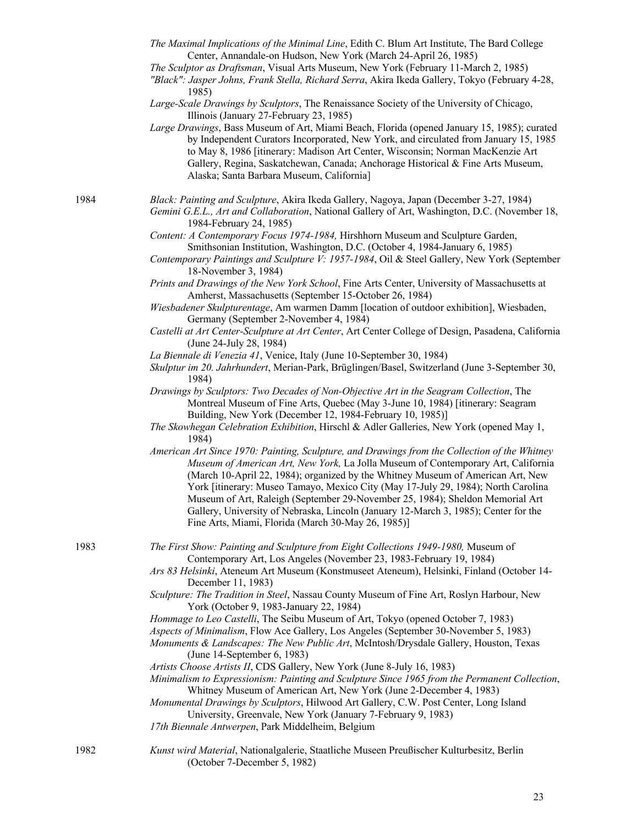- *The Maximal Implications of the Minimal Line*, Edith C. Blum Art Institute, The Bard College Center, Annandale-on Hudson, New York (March 24-April 26, 1985)
- *The Sculptor as Draftsman*, Visual Arts Museum, New York (February 11-March 2, 1985)
- *"Black": Jasper Johns, Frank Stella, Richard Serra*, Akira Ikeda Gallery, Tokyo (February 4-28, 1985)

*Large-Scale Drawings by Sculptors*, The Renaissance Society of the University of Chicago, Illinois (January 27-February 23, 1985)

*Large Drawings*, Bass Museum of Art, Miami Beach, Florida (opened January 15, 1985); curated by Independent Curators Incorporated, New York, and circulated from January 15, 1985 to May 8, 1986 [itinerary: Madison Art Center, Wisconsin; Norman MacKenzie Art Gallery, Regina, Saskatchewan, Canada; Anchorage Historical & Fine Arts Museum, Alaska; Santa Barbara Museum, California]

1984 *Black: Painting and Sculpture*, Akira Ikeda Gallery, Nagoya, Japan (December 3-27, 1984)

*Gemini G.E.L., Art and Collaboration*, National Gallery of Art, Washington, D.C. (November 18, 1984-February 24, 1985)

- *Content: A Contemporary Focus 1974-1984,* Hirshhorn Museum and Sculpture Garden, Smithsonian Institution, Washington, D.C. (October 4, 1984-January 6, 1985)
- *Contemporary Paintings and Sculpture V: 1957-1984*, Oil & Steel Gallery, New York (September 18-November 3, 1984)
- *Prints and Drawings of the New York School*, Fine Arts Center, University of Massachusetts at Amherst, Massachusetts (September 15-October 26, 1984)

*Wiesbadener Skulpturentage*, Am warmen Damm [location of outdoor exhibition], Wiesbaden, Germany (September 2-November 4, 1984)

- *Castelli at Art Center-Sculpture at Art Center*, Art Center College of Design, Pasadena, California (June 24-July 28, 1984)
- *La Biennale di Venezia 41*, Venice, Italy (June 10-September 30, 1984)
- *Skulptur im 20. Jahrhundert*, Merian-Park, Brüglingen/Basel, Switzerland (June 3-September 30, 1984)

*Drawings by Sculptors: Two Decades of Non-Objective Art in the Seagram Collection*, The Montreal Museum of Fine Arts, Quebec (May 3-June 10, 1984) [itinerary: Seagram Building, New York (December 12, 1984-February 10, 1985)]

- *The Skowhegan Celebration Exhibition*, Hirschl & Adler Galleries, New York (opened May 1, 1984)
- *American Art Since 1970: Painting, Sculpture, and Drawings from the Collection of the Whitney Museum of American Art, New York,* La Jolla Museum of Contemporary Art, California (March 10-April 22, 1984); organized by the Whitney Museum of American Art, New York [itinerary: Museo Tamayo, Mexico City (May 17-July 29, 1984); North Carolina Museum of Art, Raleigh (September 29-November 25, 1984); Sheldon Memorial Art Gallery, University of Nebraska, Lincoln (January 12-March 3, 1985); Center for the Fine Arts, Miami, Florida (March 30-May 26, 1985)]

1983 *The First Show: Painting and Sculpture from Eight Collections 1949-1980,* Museum of Contemporary Art, Los Angeles (November 23, 1983-February 19, 1984)

> *Ars 83 Helsinki*, Ateneum Art Museum (Konstmuseet Ateneum), Helsinki, Finland (October 14- December 11, 1983)

- *Sculpture: The Tradition in Steel*, Nassau County Museum of Fine Art, Roslyn Harbour, New York (October 9, 1983-January 22, 1984)
- *Hommage to Leo Castelli*, The Seibu Museum of Art, Tokyo (opened October 7, 1983)
- *Aspects of Minimalism*, Flow Ace Gallery, Los Angeles (September 30-November 5, 1983)

*Monuments & Landscapes: The New Public Art*, McIntosh/Drysdale Gallery, Houston, Texas (June 14-September 6, 1983)

*Artists Choose Artists II*, CDS Gallery, New York (June 8-July 16, 1983)

*Minimalism to Expressionism: Painting and Sculpture Since 1965 from the Permanent Collection*, Whitney Museum of American Art, New York (June 2-December 4, 1983)

*Monumental Drawings by Sculptors*, Hilwood Art Gallery, C.W. Post Center, Long Island University, Greenvale, New York (January 7-February 9, 1983)

- *17th Biennale Antwerpen*, Park Middelheim, Belgium
- 1982 *Kunst wird Material*, Nationalgalerie, Staatliche Museen Preußischer Kulturbesitz, Berlin (October 7-December 5, 1982)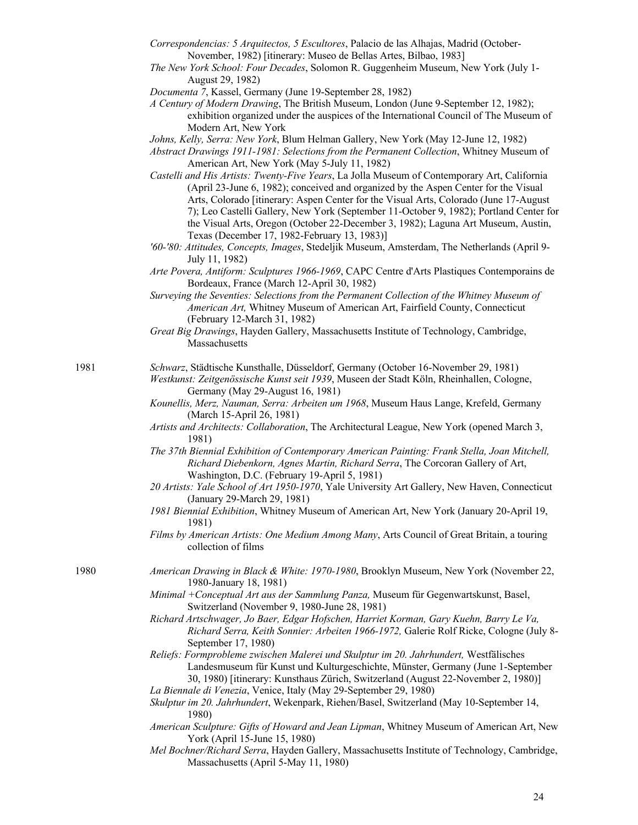- *Correspondencias: 5 Arquitectos, 5 Escultores*, Palacio de las Alhajas, Madrid (October-November, 1982) [itinerary: Museo de Bellas Artes, Bilbao, 1983]
- *The New York School: Four Decades*, Solomon R. Guggenheim Museum, New York (July 1- August 29, 1982)
- *Documenta 7*, Kassel, Germany (June 19-September 28, 1982)

*A Century of Modern Drawing*, The British Museum, London (June 9-September 12, 1982); exhibition organized under the auspices of the International Council of The Museum of Modern Art, New York

*Johns, Kelly, Serra: New York*, Blum Helman Gallery, New York (May 12-June 12, 1982)

- *Abstract Drawings 1911-1981: Selections from the Permanent Collection*, Whitney Museum of American Art, New York (May 5-July 11, 1982)
- *Castelli and His Artists: Twenty-Five Years*, La Jolla Museum of Contemporary Art, California (April 23-June 6, 1982); conceived and organized by the Aspen Center for the Visual Arts, Colorado [itinerary: Aspen Center for the Visual Arts, Colorado (June 17-August 7); Leo Castelli Gallery, New York (September 11-October 9, 1982); Portland Center for the Visual Arts, Oregon (October 22-December 3, 1982); Laguna Art Museum, Austin, Texas (December 17, 1982-February 13, 1983)]
- *'60-'80: Attitudes, Concepts, Images*, Stedeljik Museum, Amsterdam, The Netherlands (April 9- July 11, 1982)
- *Arte Povera, Antiform: Sculptures 1966-1969*, CAPC Centre d'Arts Plastiques Contemporains de Bordeaux, France (March 12-April 30, 1982)
- *Surveying the Seventies: Selections from the Permanent Collection of the Whitney Museum of American Art,* Whitney Museum of American Art, Fairfield County, Connecticut (February 12-March 31, 1982)
- *Great Big Drawings*, Hayden Gallery, Massachusetts Institute of Technology, Cambridge, Massachusetts

1981 *Schwarz*, Städtische Kunsthalle, Düsseldorf, Germany (October 16-November 29, 1981)

*Westkunst: Zeitgenössische Kunst seit 1939*, Museen der Stadt Köln, Rheinhallen, Cologne, Germany (May 29-August 16, 1981)

- *Kounellis, Merz, Nauman, Serra: Arbeiten um 1968*, Museum Haus Lange, Krefeld, Germany (March 15-April 26, 1981)
- *Artists and Architects: Collaboration*, The Architectural League, New York (opened March 3, 1981)
- *The 37th Biennial Exhibition of Contemporary American Painting: Frank Stella, Joan Mitchell, Richard Diebenkorn, Agnes Martin, Richard Serra*, The Corcoran Gallery of Art, Washington, D.C. (February 19-April 5, 1981)
- *20 Artists: Yale School of Art 1950-1970*, Yale University Art Gallery, New Haven, Connecticut (January 29-March 29, 1981)
- *1981 Biennial Exhibition*, Whitney Museum of American Art, New York (January 20-April 19, 1981)
- *Films by American Artists: One Medium Among Many*, Arts Council of Great Britain, a touring collection of films
- 1980 *American Drawing in Black & White: 1970-1980*, Brooklyn Museum, New York (November 22, 1980-January 18, 1981)
	- *Minimal +Conceptual Art aus der Sammlung Panza,* Museum für Gegenwartskunst, Basel, Switzerland (November 9, 1980-June 28, 1981)
	- *Richard Artschwager, Jo Baer, Edgar Hofschen, Harriet Korman, Gary Kuehn, Barry Le Va, Richard Serra, Keith Sonnier: Arbeiten 1966-1972,* Galerie Rolf Ricke, Cologne (July 8- September 17, 1980)
	- *Reliefs: Formprobleme zwischen Malerei und Skulptur im 20. Jahrhundert,* Westfälisches Landesmuseum für Kunst und Kulturgeschichte, Münster, Germany (June 1-September 30, 1980) [itinerary: Kunsthaus Zürich, Switzerland (August 22-November 2, 1980)]
	- *La Biennale di Venezia*, Venice, Italy (May 29-September 29, 1980)
	- *Skulptur im 20. Jahrhundert*, Wekenpark, Riehen/Basel, Switzerland (May 10-September 14, 1980)
	- *American Sculpture: Gifts of Howard and Jean Lipman*, Whitney Museum of American Art, New York (April 15-June 15, 1980)
	- *Mel Bochner/Richard Serra*, Hayden Gallery, Massachusetts Institute of Technology, Cambridge, Massachusetts (April 5-May 11, 1980)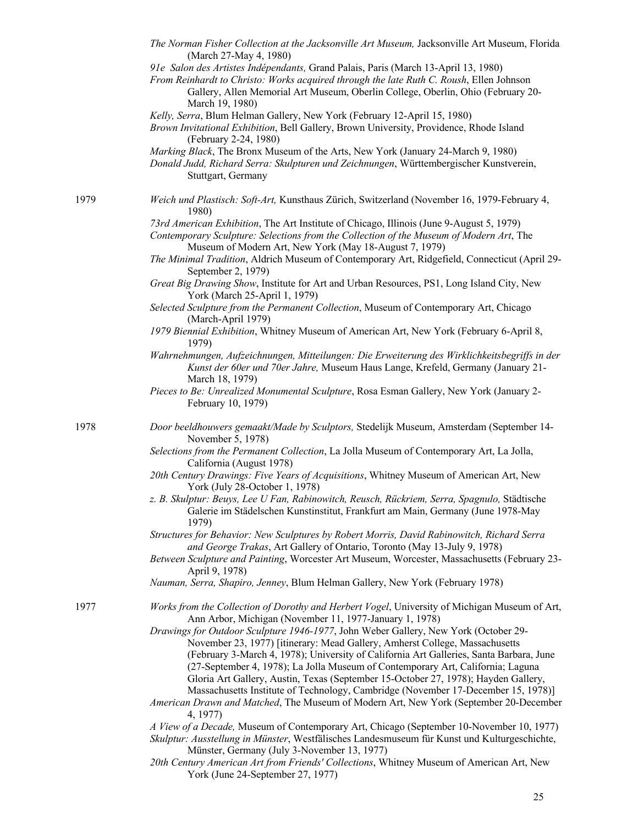|      | The Norman Fisher Collection at the Jacksonville Art Museum, Jacksonville Art Museum, Florida<br>(March 27-May 4, 1980)<br>91e Salon des Artistes Indépendants, Grand Palais, Paris (March 13-April 13, 1980)<br>From Reinhardt to Christo: Works acquired through the late Ruth C. Roush, Ellen Johnson<br>Gallery, Allen Memorial Art Museum, Oberlin College, Oberlin, Ohio (February 20-<br>March 19, 1980)<br>Kelly, Serra, Blum Helman Gallery, New York (February 12-April 15, 1980)<br>Brown Invitational Exhibition, Bell Gallery, Brown University, Providence, Rhode Island<br>(February 2-24, 1980)<br>Marking Black, The Bronx Museum of the Arts, New York (January 24-March 9, 1980)<br>Donald Judd, Richard Serra: Skulpturen und Zeichnungen, Württembergischer Kunstverein,<br>Stuttgart, Germany |
|------|---------------------------------------------------------------------------------------------------------------------------------------------------------------------------------------------------------------------------------------------------------------------------------------------------------------------------------------------------------------------------------------------------------------------------------------------------------------------------------------------------------------------------------------------------------------------------------------------------------------------------------------------------------------------------------------------------------------------------------------------------------------------------------------------------------------------|
| 1979 | Weich und Plastisch: Soft-Art, Kunsthaus Zürich, Switzerland (November 16, 1979-February 4,<br>1980)                                                                                                                                                                                                                                                                                                                                                                                                                                                                                                                                                                                                                                                                                                                |
|      | 73rd American Exhibition, The Art Institute of Chicago, Illinois (June 9-August 5, 1979)<br>Contemporary Sculpture: Selections from the Collection of the Museum of Modern Art, The<br>Museum of Modern Art, New York (May 18-August 7, 1979)                                                                                                                                                                                                                                                                                                                                                                                                                                                                                                                                                                       |
|      | The Minimal Tradition, Aldrich Museum of Contemporary Art, Ridgefield, Connecticut (April 29-<br>September 2, 1979)                                                                                                                                                                                                                                                                                                                                                                                                                                                                                                                                                                                                                                                                                                 |
|      | Great Big Drawing Show, Institute for Art and Urban Resources, PS1, Long Island City, New<br>York (March 25-April 1, 1979)                                                                                                                                                                                                                                                                                                                                                                                                                                                                                                                                                                                                                                                                                          |
|      | Selected Sculpture from the Permanent Collection, Museum of Contemporary Art, Chicago<br>(March-April 1979)                                                                                                                                                                                                                                                                                                                                                                                                                                                                                                                                                                                                                                                                                                         |
|      | 1979 Biennial Exhibition, Whitney Museum of American Art, New York (February 6-April 8,<br>1979)                                                                                                                                                                                                                                                                                                                                                                                                                                                                                                                                                                                                                                                                                                                    |
|      | Wahrnehmungen, Aufzeichnungen, Mitteilungen: Die Erweiterung des Wirklichkeitsbegriffs in der<br>Kunst der 60er und 70er Jahre, Museum Haus Lange, Krefeld, Germany (January 21-<br>March 18, 1979)                                                                                                                                                                                                                                                                                                                                                                                                                                                                                                                                                                                                                 |
|      | Pieces to Be: Unrealized Monumental Sculpture, Rosa Esman Gallery, New York (January 2-<br>February 10, 1979)                                                                                                                                                                                                                                                                                                                                                                                                                                                                                                                                                                                                                                                                                                       |
| 1978 | Door beeldhouwers gemaakt/Made by Sculptors, Stedelijk Museum, Amsterdam (September 14-<br>November 5, 1978)                                                                                                                                                                                                                                                                                                                                                                                                                                                                                                                                                                                                                                                                                                        |
|      | Selections from the Permanent Collection, La Jolla Museum of Contemporary Art, La Jolla,<br>California (August 1978)                                                                                                                                                                                                                                                                                                                                                                                                                                                                                                                                                                                                                                                                                                |
|      | 20th Century Drawings: Five Years of Acquisitions, Whitney Museum of American Art, New<br>York (July 28-October 1, 1978)                                                                                                                                                                                                                                                                                                                                                                                                                                                                                                                                                                                                                                                                                            |
|      | z. B. Skulptur: Beuys, Lee U Fan, Rabinowitch, Reusch, Rückriem, Serra, Spagnulo, Städtische<br>Galerie im Städelschen Kunstinstitut, Frankfurt am Main, Germany (June 1978-May<br>1979)                                                                                                                                                                                                                                                                                                                                                                                                                                                                                                                                                                                                                            |
|      | Structures for Behavior: New Sculptures by Robert Morris, David Rabinowitch, Richard Serra<br>and George Trakas, Art Gallery of Ontario, Toronto (May 13-July 9, 1978)                                                                                                                                                                                                                                                                                                                                                                                                                                                                                                                                                                                                                                              |
|      | Between Sculpture and Painting, Worcester Art Museum, Worcester, Massachusetts (February 23-<br>April 9, 1978)                                                                                                                                                                                                                                                                                                                                                                                                                                                                                                                                                                                                                                                                                                      |
|      | Nauman, Serra, Shapiro, Jenney, Blum Helman Gallery, New York (February 1978)                                                                                                                                                                                                                                                                                                                                                                                                                                                                                                                                                                                                                                                                                                                                       |
| 1977 | Works from the Collection of Dorothy and Herbert Vogel, University of Michigan Museum of Art,<br>Ann Arbor, Michigan (November 11, 1977-January 1, 1978)                                                                                                                                                                                                                                                                                                                                                                                                                                                                                                                                                                                                                                                            |
|      | Drawings for Outdoor Sculpture 1946-1977, John Weber Gallery, New York (October 29-<br>November 23, 1977) [itinerary: Mead Gallery, Amherst College, Massachusetts<br>(February 3-March 4, 1978); University of California Art Galleries, Santa Barbara, June<br>(27-September 4, 1978); La Jolla Museum of Contemporary Art, California; Laguna<br>Gloria Art Gallery, Austin, Texas (September 15-October 27, 1978); Hayden Gallery,<br>Massachusetts Institute of Technology, Cambridge (November 17-December 15, 1978)]                                                                                                                                                                                                                                                                                         |
|      | American Drawn and Matched, The Museum of Modern Art, New York (September 20-December<br>4, 1977)                                                                                                                                                                                                                                                                                                                                                                                                                                                                                                                                                                                                                                                                                                                   |
|      | A View of a Decade, Museum of Contemporary Art, Chicago (September 10-November 10, 1977)<br>Skulptur: Ausstellung in Münster, Westfälisches Landesmuseum für Kunst und Kulturgeschichte,<br>Münster, Germany (July 3-November 13, 1977)                                                                                                                                                                                                                                                                                                                                                                                                                                                                                                                                                                             |
|      | 20th Century American Art from Friends' Collections, Whitney Museum of American Art, New<br>York (June 24-September 27, 1977)                                                                                                                                                                                                                                                                                                                                                                                                                                                                                                                                                                                                                                                                                       |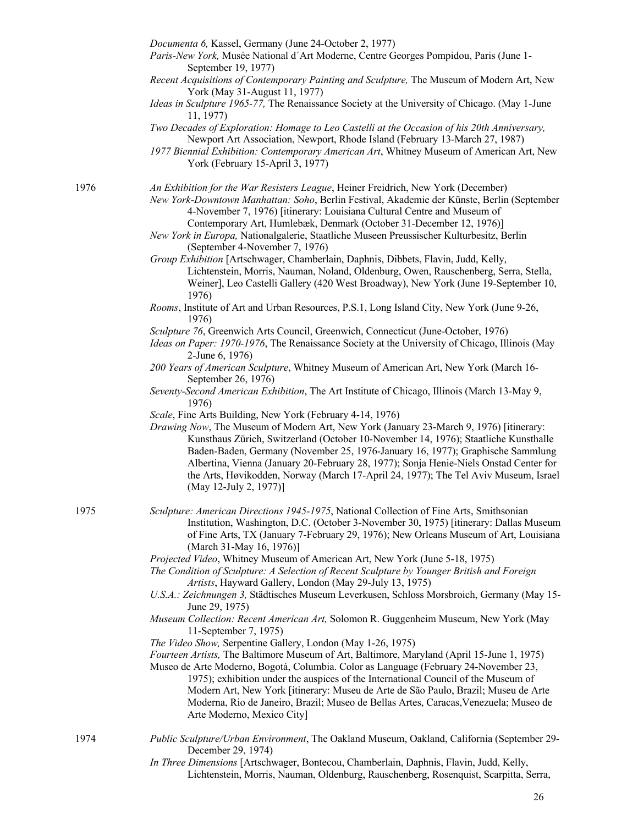*Documenta 6,* Kassel, Germany (June 24-October 2, 1977) *Paris-New York,* Musée National d´Art Moderne, Centre Georges Pompidou, Paris (June 1- September 19, 1977) *Recent Acquisitions of Contemporary Painting and Sculpture,* The Museum of Modern Art, New York (May 31-August 11, 1977) *Ideas in Sculpture 1965-77,* The Renaissance Society at the University of Chicago. (May 1-June 11, 1977) *Two Decades of Exploration: Homage to Leo Castelli at the Occasion of his 20th Anniversary,*  Newport Art Association, Newport, Rhode Island (February 13-March 27, 1987) *1977 Biennial Exhibition: Contemporary American Art*, Whitney Museum of American Art, New York (February 15-April 3, 1977) 1976 *An Exhibition for the War Resisters League*, Heiner Freidrich, New York (December) *New York-Downtown Manhattan: Soho*, Berlin Festival, Akademie der Künste, Berlin (September 4-November 7, 1976) [itinerary: Louisiana Cultural Centre and Museum of Contemporary Art, Humlebæk, Denmark (October 31-December 12, 1976)] *New York in Europa,* Nationalgalerie, Staatliche Museen Preussischer Kulturbesitz, Berlin (September 4-November 7, 1976) *Group Exhibition* [Artschwager, Chamberlain, Daphnis, Dibbets, Flavin, Judd, Kelly, Lichtenstein, Morris, Nauman, Noland, Oldenburg, Owen, Rauschenberg, Serra, Stella, Weiner], Leo Castelli Gallery (420 West Broadway), New York (June 19-September 10, 1976) *Rooms*, Institute of Art and Urban Resources, P.S.1, Long Island City, New York (June 9-26, 1976) *Sculpture 76*, Greenwich Arts Council, Greenwich, Connecticut (June-October, 1976) *Ideas on Paper: 1970-1976*, The Renaissance Society at the University of Chicago, Illinois (May 2-June 6, 1976) *200 Years of American Sculpture*, Whitney Museum of American Art, New York (March 16- September 26, 1976) *Seventy-Second American Exhibition*, The Art Institute of Chicago, Illinois (March 13-May 9, 1976) *Scale*, Fine Arts Building, New York (February 4-14, 1976) *Drawing Now*, The Museum of Modern Art, New York (January 23-March 9, 1976) [itinerary: Kunsthaus Zürich, Switzerland (October 10-November 14, 1976); Staatliche Kunsthalle Baden-Baden, Germany (November 25, 1976-January 16, 1977); Graphische Sammlung Albertina, Vienna (January 20-February 28, 1977); Sonja Henie-Niels Onstad Center for the Arts, Høvikodden, Norway (March 17-April 24, 1977); The Tel Aviv Museum, Israel (May 12-July 2, 1977)] 1975 *Sculpture: American Directions 1945-1975*, National Collection of Fine Arts, Smithsonian Institution, Washington, D.C. (October 3-November 30, 1975) [itinerary: Dallas Museum of Fine Arts, TX (January 7-February 29, 1976); New Orleans Museum of Art, Louisiana (March 31-May 16, 1976)] *Projected Video*, Whitney Museum of American Art, New York (June 5-18, 1975) *The Condition of Sculpture: A Selection of Recent Sculpture by Younger British and Foreign Artists*, Hayward Gallery, London (May 29-July 13, 1975) *U.S.A.: Zeichnungen 3,* Städtisches Museum Leverkusen, Schloss Morsbroich, Germany (May 15- June 29, 1975) *Museum Collection: Recent American Art,* Solomon R. Guggenheim Museum, New York (May 11-September 7, 1975) *The Video Show,* Serpentine Gallery, London (May 1-26, 1975) *Fourteen Artists,* The Baltimore Museum of Art, Baltimore, Maryland (April 15-June 1, 1975) Museo de Arte Moderno, Bogotá, Columbia. Color as Language (February 24-November 23, 1975); exhibition under the auspices of the International Council of the Museum of Modern Art, New York [itinerary: Museu de Arte de São Paulo, Brazil; Museu de Arte Moderna, Rio de Janeiro, Brazil; Museo de Bellas Artes, Caracas,Venezuela; Museo de Arte Moderno, Mexico City] 1974 *Public Sculpture/Urban Environment*, The Oakland Museum, Oakland, California (September 29- December 29, 1974) *In Three Dimensions* [Artschwager, Bontecou, Chamberlain, Daphnis, Flavin, Judd, Kelly,

Lichtenstein, Morris, Nauman, Oldenburg, Rauschenberg, Rosenquist, Scarpitta, Serra,

26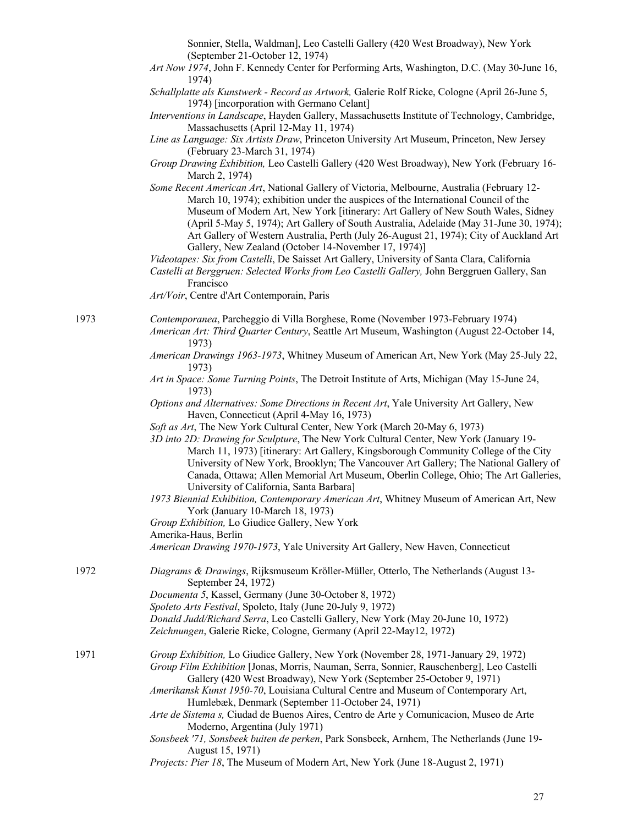| Sonnier, Stella, Waldman], Leo Castelli Gallery (420 West Broadway), New York |  |
|-------------------------------------------------------------------------------|--|
| (September 21-October 12, 1974)                                               |  |

*Art Now 1974*, John F. Kennedy Center for Performing Arts, Washington, D.C. (May 30-June 16, 1974)

*Schallplatte als Kunstwerk - Record as Artwork,* Galerie Rolf Ricke, Cologne (April 26-June 5, 1974) [incorporation with Germano Celant]

- *Interventions in Landscape*, Hayden Gallery, Massachusetts Institute of Technology, Cambridge, Massachusetts (April 12-May 11, 1974)
- *Line as Language: Six Artists Draw*, Princeton University Art Museum, Princeton, New Jersey (February 23-March 31, 1974)
- *Group Drawing Exhibition,* Leo Castelli Gallery (420 West Broadway), New York (February 16- March 2, 1974)
- *Some Recent American Art*, National Gallery of Victoria, Melbourne, Australia (February 12- March 10, 1974); exhibition under the auspices of the International Council of the Museum of Modern Art, New York [itinerary: Art Gallery of New South Wales, Sidney (April 5-May 5, 1974); Art Gallery of South Australia, Adelaide (May 31-June 30, 1974); Art Gallery of Western Australia, Perth (July 26-August 21, 1974); City of Auckland Art Gallery, New Zealand (October 14-November 17, 1974)]

*Videotapes: Six from Castelli*, De Saisset Art Gallery, University of Santa Clara, California

*Castelli at Berggruen: Selected Works from Leo Castelli Gallery,* John Berggruen Gallery, San Francisco

*Art/Voir*, Centre d'Art Contemporain, Paris

1973 *Contemporanea*, Parcheggio di Villa Borghese, Rome (November 1973-February 1974) *American Art: Third Quarter Century*, Seattle Art Museum, Washington (August 22-October 14, 1973)

- *American Drawings 1963-1973*, Whitney Museum of American Art, New York (May 25-July 22, 1973)
- *Art in Space: Some Turning Points*, The Detroit Institute of Arts, Michigan (May 15-June 24, 1973)

*Options and Alternatives: Some Directions in Recent Art*, Yale University Art Gallery, New Haven, Connecticut (April 4-May 16, 1973)

- *Soft as Art*, The New York Cultural Center, New York (March 20-May 6, 1973)
- *3D into 2D: Drawing for Sculpture*, The New York Cultural Center, New York (January 19- March 11, 1973) [itinerary: Art Gallery, Kingsborough Community College of the City University of New York, Brooklyn; The Vancouver Art Gallery; The National Gallery of Canada, Ottawa; Allen Memorial Art Museum, Oberlin College, Ohio; The Art Galleries, University of California, Santa Barbara]
- *1973 Biennial Exhibition, Contemporary American Art*, Whitney Museum of American Art, New York (January 10-March 18, 1973)
- *Group Exhibition,* Lo Giudice Gallery, New York
- Amerika-Haus, Berlin

*American Drawing 1970-1973*, Yale University Art Gallery, New Haven, Connecticut

- 1972 *Diagrams & Drawings*, Rijksmuseum Kröller-Müller, Otterlo, The Netherlands (August 13- September 24, 1972)
	- *Documenta 5*, Kassel, Germany (June 30-October 8, 1972)
	- *Spoleto Arts Festival*, Spoleto, Italy (June 20-July 9, 1972)
	- *Donald Judd/Richard Serra*, Leo Castelli Gallery, New York (May 20-June 10, 1972)
	- *Zeichnungen*, Galerie Ricke, Cologne, Germany (April 22-May12, 1972)
- 1971 *Group Exhibition,* Lo Giudice Gallery, New York (November 28, 1971-January 29, 1972) *Group Film Exhibition* [Jonas, Morris, Nauman, Serra, Sonnier, Rauschenberg], Leo Castelli Gallery (420 West Broadway), New York (September 25-October 9, 1971)

*Amerikansk Kunst 1950-70*, Louisiana Cultural Centre and Museum of Contemporary Art, Humlebæk, Denmark (September 11-October 24, 1971)

- *Arte de Sistema s,* Ciudad de Buenos Aires, Centro de Arte y Comunicacion, Museo de Arte Moderno, Argentina (July 1971)
- *Sonsbeek '71, Sonsbeek buiten de perken*, Park Sonsbeek, Arnhem, The Netherlands (June 19- August 15, 1971)
- *Projects: Pier 18*, The Museum of Modern Art, New York (June 18-August 2, 1971)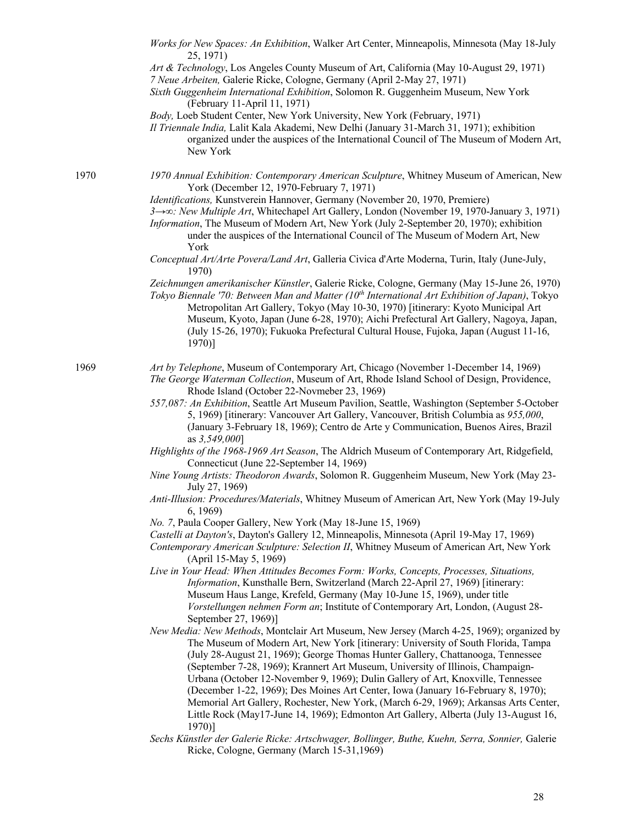|      | Works for New Spaces: An Exhibition, Walker Art Center, Minneapolis, Minnesota (May 18-July<br>25, 1971)<br>Art & Technology, Los Angeles County Museum of Art, California (May 10-August 29, 1971)<br>7 Neue Arbeiten, Galerie Ricke, Cologne, Germany (April 2-May 27, 1971)<br>Sixth Guggenheim International Exhibition, Solomon R. Guggenheim Museum, New York<br>(February 11-April 11, 1971)<br>Body, Loeb Student Center, New York University, New York (February, 1971)<br>Il Triennale India, Lalit Kala Akademi, New Delhi (January 31-March 31, 1971); exhibition                                                                                                                                             |
|------|---------------------------------------------------------------------------------------------------------------------------------------------------------------------------------------------------------------------------------------------------------------------------------------------------------------------------------------------------------------------------------------------------------------------------------------------------------------------------------------------------------------------------------------------------------------------------------------------------------------------------------------------------------------------------------------------------------------------------|
|      | organized under the auspices of the International Council of The Museum of Modern Art,<br>New York                                                                                                                                                                                                                                                                                                                                                                                                                                                                                                                                                                                                                        |
| 1970 | 1970 Annual Exhibition: Contemporary American Sculpture, Whitney Museum of American, New<br>York (December 12, 1970-February 7, 1971)                                                                                                                                                                                                                                                                                                                                                                                                                                                                                                                                                                                     |
|      | Identifications, Kunstverein Hannover, Germany (November 20, 1970, Premiere)<br>3→∞: New Multiple Art, Whitechapel Art Gallery, London (November 19, 1970-January 3, 1971)<br>Information, The Museum of Modern Art, New York (July 2-September 20, 1970); exhibition<br>under the auspices of the International Council of The Museum of Modern Art, New<br>York                                                                                                                                                                                                                                                                                                                                                         |
|      | Conceptual Art/Arte Povera/Land Art, Galleria Civica d'Arte Moderna, Turin, Italy (June-July,<br>1970)                                                                                                                                                                                                                                                                                                                                                                                                                                                                                                                                                                                                                    |
|      | Zeichnungen amerikanischer Künstler, Galerie Ricke, Cologne, Germany (May 15-June 26, 1970)<br>Tokyo Biennale '70: Between Man and Matter (10 <sup>th</sup> International Art Exhibition of Japan), Tokyo<br>Metropolitan Art Gallery, Tokyo (May 10-30, 1970) [itinerary: Kyoto Municipal Art<br>Museum, Kyoto, Japan (June 6-28, 1970); Aichi Prefectural Art Gallery, Nagoya, Japan,<br>(July 15-26, 1970); Fukuoka Prefectural Cultural House, Fujoka, Japan (August 11-16,<br>$1970$ ]                                                                                                                                                                                                                               |
| 1969 | Art by Telephone, Museum of Contemporary Art, Chicago (November 1-December 14, 1969)<br>The George Waterman Collection, Museum of Art, Rhode Island School of Design, Providence,<br>Rhode Island (October 22-Novmeber 23, 1969)                                                                                                                                                                                                                                                                                                                                                                                                                                                                                          |
|      | 557,087: An Exhibition, Seattle Art Museum Pavilion, Seattle, Washington (September 5-October<br>5, 1969) [itinerary: Vancouver Art Gallery, Vancouver, British Columbia as 955,000,<br>(January 3-February 18, 1969); Centro de Arte y Communication, Buenos Aires, Brazil<br>as 3,549,000]                                                                                                                                                                                                                                                                                                                                                                                                                              |
|      | Highlights of the 1968-1969 Art Season, The Aldrich Museum of Contemporary Art, Ridgefield,<br>Connecticut (June 22-September 14, 1969)                                                                                                                                                                                                                                                                                                                                                                                                                                                                                                                                                                                   |
|      | Nine Young Artists: Theodoron Awards, Solomon R. Guggenheim Museum, New York (May 23-<br>July 27, 1969)                                                                                                                                                                                                                                                                                                                                                                                                                                                                                                                                                                                                                   |
|      | Anti-Illusion: Procedures/Materials, Whitney Museum of American Art, New York (May 19-July<br>6, 1969)                                                                                                                                                                                                                                                                                                                                                                                                                                                                                                                                                                                                                    |
|      | No. 7, Paula Cooper Gallery, New York (May 18-June 15, 1969)<br>Castelli at Dayton's, Dayton's Gallery 12, Minneapolis, Minnesota (April 19-May 17, 1969)<br>Contemporary American Sculpture: Selection II, Whitney Museum of American Art, New York<br>(April 15-May 5, 1969)                                                                                                                                                                                                                                                                                                                                                                                                                                            |
|      | Live in Your Head: When Attitudes Becomes Form: Works, Concepts, Processes, Situations,<br>Information, Kunsthalle Bern, Switzerland (March 22-April 27, 1969) [itinerary:<br>Museum Haus Lange, Krefeld, Germany (May 10-June 15, 1969), under title<br>Vorstellungen nehmen Form an; Institute of Contemporary Art, London, (August 28-<br>September 27, 1969)]                                                                                                                                                                                                                                                                                                                                                         |
|      | New Media: New Methods, Montclair Art Museum, New Jersey (March 4-25, 1969); organized by<br>The Museum of Modern Art, New York [itinerary: University of South Florida, Tampa<br>(July 28-August 21, 1969); George Thomas Hunter Gallery, Chattanooga, Tennessee<br>(September 7-28, 1969); Krannert Art Museum, University of Illinois, Champaign-<br>Urbana (October 12-November 9, 1969); Dulin Gallery of Art, Knoxville, Tennessee<br>(December 1-22, 1969); Des Moines Art Center, Iowa (January 16-February 8, 1970);<br>Memorial Art Gallery, Rochester, New York, (March 6-29, 1969); Arkansas Arts Center,<br>Little Rock (May17-June 14, 1969); Edmonton Art Gallery, Alberta (July 13-August 16,<br>$1970$ ] |
|      | Sechs Künstler der Galerie Ricke: Artschwager, Bollinger, Buthe, Kuehn, Serra, Sonnier, Galerie<br>Ricke, Cologne, Germany (March 15-31,1969)                                                                                                                                                                                                                                                                                                                                                                                                                                                                                                                                                                             |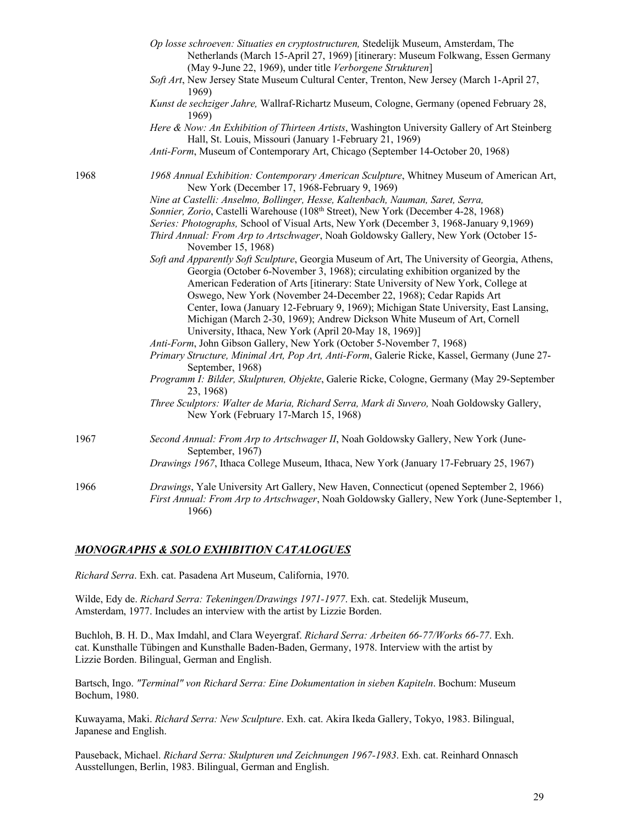|      | Op losse schroeven: Situaties en cryptostructuren, Stedelijk Museum, Amsterdam, The<br>Netherlands (March 15-April 27, 1969) [itinerary: Museum Folkwang, Essen Germany<br>(May 9-June 22, 1969), under title Verborgene Strukturen]                                                                                                     |
|------|------------------------------------------------------------------------------------------------------------------------------------------------------------------------------------------------------------------------------------------------------------------------------------------------------------------------------------------|
|      | Soft Art, New Jersey State Museum Cultural Center, Trenton, New Jersey (March 1-April 27,<br>1969)                                                                                                                                                                                                                                       |
|      | Kunst de sechziger Jahre, Wallraf-Richartz Museum, Cologne, Germany (opened February 28,<br>1969)                                                                                                                                                                                                                                        |
|      | Here & Now: An Exhibition of Thirteen Artists, Washington University Gallery of Art Steinberg<br>Hall, St. Louis, Missouri (January 1-February 21, 1969)                                                                                                                                                                                 |
|      | Anti-Form, Museum of Contemporary Art, Chicago (September 14-October 20, 1968)                                                                                                                                                                                                                                                           |
| 1968 | 1968 Annual Exhibition: Contemporary American Sculpture, Whitney Museum of American Art,<br>New York (December 17, 1968-February 9, 1969)                                                                                                                                                                                                |
|      | Nine at Castelli: Anselmo, Bollinger, Hesse, Kaltenbach, Nauman, Saret, Serra,                                                                                                                                                                                                                                                           |
|      | Sonnier, Zorio, Castelli Warehouse (108th Street), New York (December 4-28, 1968)                                                                                                                                                                                                                                                        |
|      | Series: Photographs, School of Visual Arts, New York (December 3, 1968-January 9,1969)                                                                                                                                                                                                                                                   |
|      | Third Annual: From Arp to Artschwager, Noah Goldowsky Gallery, New York (October 15-<br>November 15, 1968)                                                                                                                                                                                                                               |
|      | Soft and Apparently Soft Sculpture, Georgia Museum of Art, The University of Georgia, Athens,<br>Georgia (October 6-November 3, 1968); circulating exhibition organized by the<br>American Federation of Arts [itinerary: State University of New York, College at<br>Oswego, New York (November 24-December 22, 1968); Cedar Rapids Art |
|      | Center, Iowa (January 12-February 9, 1969); Michigan State University, East Lansing,<br>Michigan (March 2-30, 1969); Andrew Dickson White Museum of Art, Cornell<br>University, Ithaca, New York (April 20-May 18, 1969)]                                                                                                                |
|      | Anti-Form, John Gibson Gallery, New York (October 5-November 7, 1968)                                                                                                                                                                                                                                                                    |
|      | Primary Structure, Minimal Art, Pop Art, Anti-Form, Galerie Ricke, Kassel, Germany (June 27-<br>September, 1968)                                                                                                                                                                                                                         |
|      | Programm I: Bilder, Skulpturen, Objekte, Galerie Ricke, Cologne, Germany (May 29-September<br>23, 1968)                                                                                                                                                                                                                                  |
|      | Three Sculptors: Walter de Maria, Richard Serra, Mark di Suvero, Noah Goldowsky Gallery,<br>New York (February 17-March 15, 1968)                                                                                                                                                                                                        |
| 1967 | Second Annual: From Arp to Artschwager II, Noah Goldowsky Gallery, New York (June-<br>September, 1967)                                                                                                                                                                                                                                   |
|      | Drawings 1967, Ithaca College Museum, Ithaca, New York (January 17-February 25, 1967)                                                                                                                                                                                                                                                    |
| 1966 | Drawings, Yale University Art Gallery, New Haven, Connecticut (opened September 2, 1966)<br>First Annual: From Arp to Artschwager, Noah Goldowsky Gallery, New York (June-September 1,<br>1966)                                                                                                                                          |

## *MONOGRAPHS & SOLO EXHIBITION CATALOGUES*

*Richard Serra*. Exh. cat. Pasadena Art Museum, California, 1970.

Wilde, Edy de. *Richard Serra: Tekeningen/Drawings 1971-1977*. Exh. cat. Stedelijk Museum, Amsterdam, 1977. Includes an interview with the artist by Lizzie Borden.

Buchloh, B. H. D., Max Imdahl, and Clara Weyergraf. *Richard Serra: Arbeiten 66-77/Works 66-77*. Exh. cat. Kunsthalle Tübingen and Kunsthalle Baden-Baden, Germany, 1978. Interview with the artist by Lizzie Borden. Bilingual, German and English.

Bartsch, Ingo. *"Terminal" von Richard Serra: Eine Dokumentation in sieben Kapiteln*. Bochum: Museum Bochum, 1980.

Kuwayama, Maki. *Richard Serra: New Sculpture*. Exh. cat. Akira Ikeda Gallery, Tokyo, 1983. Bilingual, Japanese and English.

Pauseback, Michael. *Richard Serra: Skulpturen und Zeichnungen 1967-1983*. Exh. cat. Reinhard Onnasch Ausstellungen, Berlin, 1983. Bilingual, German and English.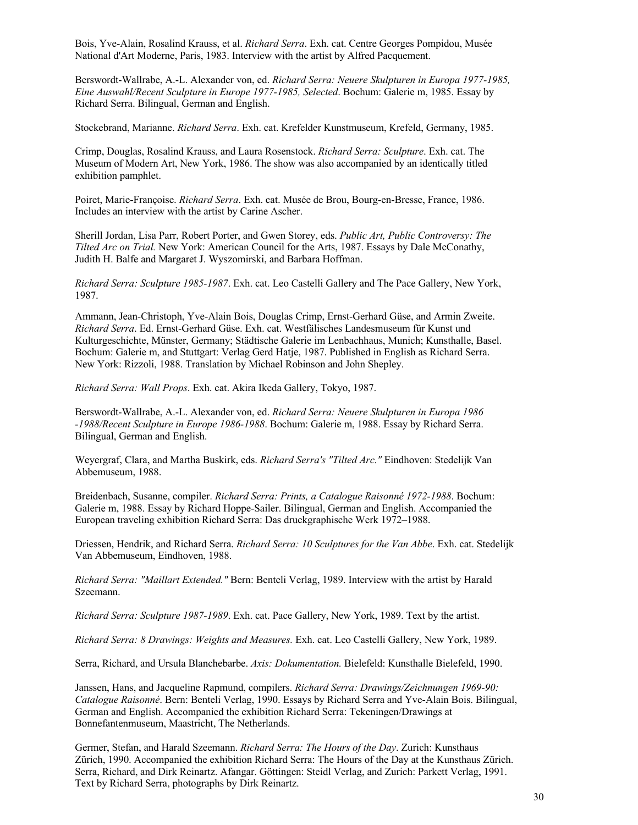Bois, Yve-Alain, Rosalind Krauss, et al. *Richard Serra*. Exh. cat. Centre Georges Pompidou, Musée National d'Art Moderne, Paris, 1983. Interview with the artist by Alfred Pacquement.

Berswordt-Wallrabe, A.-L. Alexander von, ed. *Richard Serra: Neuere Skulpturen in Europa 1977-1985, Eine Auswahl/Recent Sculpture in Europe 1977-1985, Selected*. Bochum: Galerie m, 1985. Essay by Richard Serra. Bilingual, German and English.

Stockebrand, Marianne. *Richard Serra*. Exh. cat. Krefelder Kunstmuseum, Krefeld, Germany, 1985.

Crimp, Douglas, Rosalind Krauss, and Laura Rosenstock. *Richard Serra: Sculpture*. Exh. cat. The Museum of Modern Art, New York, 1986. The show was also accompanied by an identically titled exhibition pamphlet.

Poiret, Marie-Françoise. *Richard Serra*. Exh. cat. Musée de Brou, Bourg-en-Bresse, France, 1986. Includes an interview with the artist by Carine Ascher.

Sherill Jordan, Lisa Parr, Robert Porter, and Gwen Storey, eds. *Public Art, Public Controversy: The Tilted Arc on Trial.* New York: American Council for the Arts, 1987. Essays by Dale McConathy, Judith H. Balfe and Margaret J. Wyszomirski, and Barbara Hoffman.

*Richard Serra: Sculpture 1985-1987*. Exh. cat. Leo Castelli Gallery and The Pace Gallery, New York, 1987.

Ammann, Jean-Christoph, Yve-Alain Bois, Douglas Crimp, Ernst-Gerhard Güse, and Armin Zweite. *Richard Serra*. Ed. Ernst-Gerhard Güse. Exh. cat. Westfälisches Landesmuseum für Kunst und Kulturgeschichte, Münster, Germany; Städtische Galerie im Lenbachhaus, Munich; Kunsthalle, Basel. Bochum: Galerie m, and Stuttgart: Verlag Gerd Hatje, 1987. Published in English as Richard Serra. New York: Rizzoli, 1988. Translation by Michael Robinson and John Shepley.

*Richard Serra: Wall Props*. Exh. cat. Akira Ikeda Gallery, Tokyo, 1987.

Berswordt-Wallrabe, A.-L. Alexander von, ed. *Richard Serra: Neuere Skulpturen in Europa 1986 -1988/Recent Sculpture in Europe 1986-1988*. Bochum: Galerie m, 1988. Essay by Richard Serra. Bilingual, German and English.

Weyergraf, Clara, and Martha Buskirk, eds. *Richard Serra's "Tilted Arc."* Eindhoven: Stedelijk Van Abbemuseum, 1988.

Breidenbach, Susanne, compiler. *Richard Serra: Prints, a Catalogue Raisonné 1972-1988*. Bochum: Galerie m, 1988. Essay by Richard Hoppe-Sailer. Bilingual, German and English. Accompanied the European traveling exhibition Richard Serra: Das druckgraphische Werk 1972–1988.

Driessen, Hendrik, and Richard Serra. *Richard Serra: 10 Sculptures for the Van Abbe*. Exh. cat. Stedelijk Van Abbemuseum, Eindhoven, 1988.

*Richard Serra: "Maillart Extended."* Bern: Benteli Verlag, 1989. Interview with the artist by Harald Szeemann.

*Richard Serra: Sculpture 1987-1989*. Exh. cat. Pace Gallery, New York, 1989. Text by the artist.

*Richard Serra: 8 Drawings: Weights and Measures.* Exh. cat. Leo Castelli Gallery, New York, 1989.

Serra, Richard, and Ursula Blanchebarbe. *Axis: Dokumentation.* Bielefeld: Kunsthalle Bielefeld, 1990.

Janssen, Hans, and Jacqueline Rapmund, compilers. *Richard Serra: Drawings/Zeichnungen 1969-90: Catalogue Raisonné*. Bern: Benteli Verlag, 1990. Essays by Richard Serra and Yve-Alain Bois. Bilingual, German and English. Accompanied the exhibition Richard Serra: Tekeningen/Drawings at Bonnefantenmuseum, Maastricht, The Netherlands.

Germer, Stefan, and Harald Szeemann. *Richard Serra: The Hours of the Day*. Zurich: Kunsthaus Zürich, 1990. Accompanied the exhibition Richard Serra: The Hours of the Day at the Kunsthaus Zürich. Serra, Richard, and Dirk Reinartz. Afangar. Göttingen: Steidl Verlag, and Zurich: Parkett Verlag, 1991. Text by Richard Serra, photographs by Dirk Reinartz.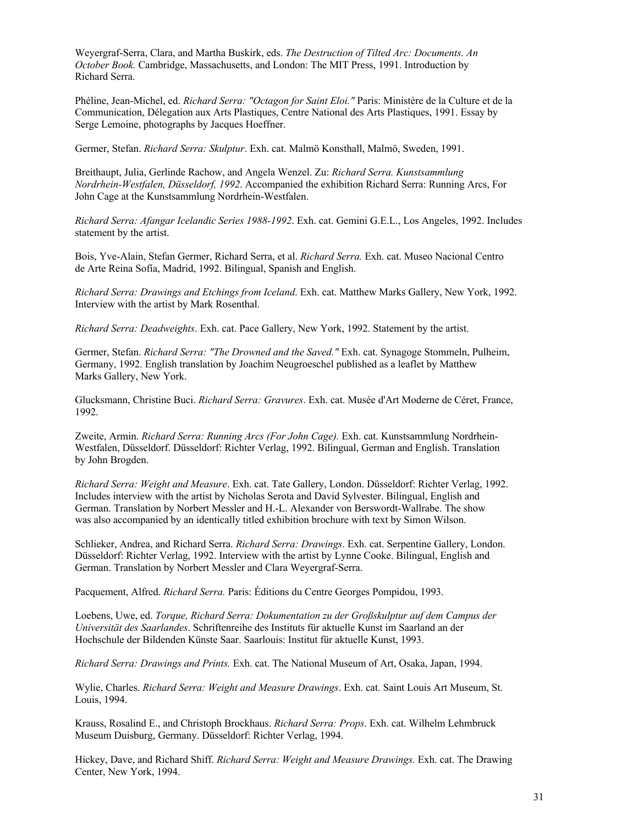Weyergraf-Serra, Clara, and Martha Buskirk, eds. *The Destruction of Tilted Arc: Documents. An October Book.* Cambridge, Massachusetts, and London: The MIT Press, 1991. Introduction by Richard Serra.

Phéline, Jean-Michel, ed. *Richard Serra: "Octagon for Saint Eloi."* Paris: Ministère de la Culture et de la Communication, Délegation aux Arts Plastiques, Centre National des Arts Plastiques, 1991. Essay by Serge Lemoine, photographs by Jacques Hoeffner.

Germer, Stefan. *Richard Serra: Skulptur*. Exh. cat. Malmö Konsthall, Malmö, Sweden, 1991.

Breithaupt, Julia, Gerlinde Rachow, and Angela Wenzel. Zu: *Richard Serra. Kunstsammlung Nordrhein-Westfalen, Düsseldorf, 1992*. Accompanied the exhibition Richard Serra: Running Arcs, For John Cage at the Kunstsammlung Nordrhein-Westfalen.

*Richard Serra: Afangar Icelandic Series 1988-1992*. Exh. cat. Gemini G.E.L., Los Angeles, 1992. Includes statement by the artist.

Bois, Yve-Alain, Stefan Germer, Richard Serra, et al. *Richard Serra.* Exh. cat. Museo Nacional Centro de Arte Reina Sofía, Madrid, 1992. Bilingual, Spanish and English.

*Richard Serra: Drawings and Etchings from Iceland*. Exh. cat. Matthew Marks Gallery, New York, 1992. Interview with the artist by Mark Rosenthal.

*Richard Serra: Deadweights*. Exh. cat. Pace Gallery, New York, 1992. Statement by the artist.

Germer, Stefan. *Richard Serra: "The Drowned and the Saved."* Exh. cat. Synagoge Stommeln, Pulheim, Germany, 1992. English translation by Joachim Neugroeschel published as a leaflet by Matthew Marks Gallery, New York.

Glucksmann, Christine Buci. *Richard Serra: Gravures*. Exh. cat. Musée d'Art Moderne de Céret, France, 1992.

Zweite, Armin. *Richard Serra: Running Arcs (For John Cage).* Exh. cat. Kunstsammlung Nordrhein-Westfalen, Düsseldorf. Düsseldorf: Richter Verlag, 1992. Bilingual, German and English. Translation by John Brogden.

*Richard Serra: Weight and Measure*. Exh. cat. Tate Gallery, London. Düsseldorf: Richter Verlag, 1992. Includes interview with the artist by Nicholas Serota and David Sylvester. Bilingual, English and German. Translation by Norbert Messler and H.-L. Alexander von Berswordt-Wallrabe. The show was also accompanied by an identically titled exhibition brochure with text by Simon Wilson.

Schlieker, Andrea, and Richard Serra. *Richard Serra: Drawings*. Exh. cat. Serpentine Gallery, London. Düsseldorf: Richter Verlag, 1992. Interview with the artist by Lynne Cooke. Bilingual, English and German. Translation by Norbert Messler and Clara Weyergraf-Serra.

Pacquement, Alfred. *Richard Serra.* Paris: Éditions du Centre Georges Pompidou, 1993.

Loebens, Uwe, ed. *Torque, Richard Serra: Dokumentation zu der Großskulptur auf dem Campus der Universität des Saarlandes*. Schriftenreihe des Instituts für aktuelle Kunst im Saarland an der Hochschule der Bildenden Künste Saar. Saarlouis: Institut für aktuelle Kunst, 1993.

*Richard Serra: Drawings and Prints.* Exh. cat. The National Museum of Art, Osaka, Japan, 1994.

Wylie, Charles. *Richard Serra: Weight and Measure Drawings*. Exh. cat. Saint Louis Art Museum, St. Louis, 1994.

Krauss, Rosalind E., and Christoph Brockhaus. *Richard Serra: Props*. Exh. cat. Wilhelm Lehmbruck Museum Duisburg, Germany. Düsseldorf: Richter Verlag, 1994.

Hickey, Dave, and Richard Shiff. *Richard Serra: Weight and Measure Drawings.* Exh. cat. The Drawing Center, New York, 1994.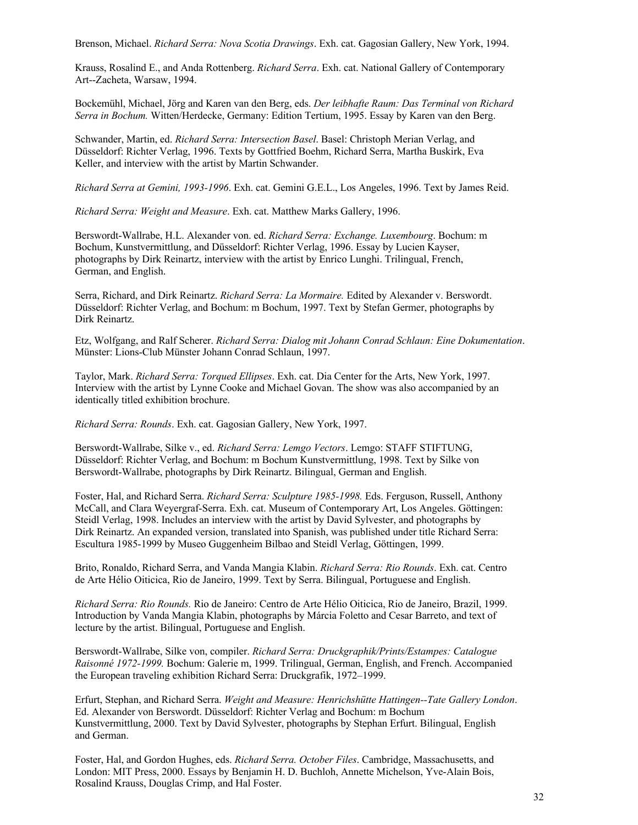Brenson, Michael. *Richard Serra: Nova Scotia Drawings*. Exh. cat. Gagosian Gallery, New York, 1994.

Krauss, Rosalind E., and Anda Rottenberg. *Richard Serra*. Exh. cat. National Gallery of Contemporary Art--Zacheta, Warsaw, 1994.

Bockemühl, Michael, Jörg and Karen van den Berg, eds. *Der leibhafte Raum: Das Terminal von Richard Serra in Bochum.* Witten/Herdecke, Germany: Edition Tertium, 1995. Essay by Karen van den Berg.

Schwander, Martin, ed. *Richard Serra: Intersection Basel*. Basel: Christoph Merian Verlag, and Düsseldorf: Richter Verlag, 1996. Texts by Gottfried Boehm, Richard Serra, Martha Buskirk, Eva Keller, and interview with the artist by Martin Schwander.

*Richard Serra at Gemini, 1993-1996*. Exh. cat. Gemini G.E.L., Los Angeles, 1996. Text by James Reid.

*Richard Serra: Weight and Measure*. Exh. cat. Matthew Marks Gallery, 1996.

Berswordt-Wallrabe, H.L. Alexander von. ed. *Richard Serra: Exchange. Luxembourg*. Bochum: m Bochum, Kunstvermittlung, and Düsseldorf: Richter Verlag, 1996. Essay by Lucien Kayser, photographs by Dirk Reinartz, interview with the artist by Enrico Lunghi. Trilingual, French, German, and English.

Serra, Richard, and Dirk Reinartz. *Richard Serra: La Mormaire.* Edited by Alexander v. Berswordt. Düsseldorf: Richter Verlag, and Bochum: m Bochum, 1997. Text by Stefan Germer, photographs by Dirk Reinartz.

Etz, Wolfgang, and Ralf Scherer. *Richard Serra: Dialog mit Johann Conrad Schlaun: Eine Dokumentation*. Münster: Lions-Club Münster Johann Conrad Schlaun, 1997.

Taylor, Mark. *Richard Serra: Torqued Ellipses*. Exh. cat. Dia Center for the Arts, New York, 1997. Interview with the artist by Lynne Cooke and Michael Govan. The show was also accompanied by an identically titled exhibition brochure.

*Richard Serra: Rounds*. Exh. cat. Gagosian Gallery, New York, 1997.

Berswordt-Wallrabe, Silke v., ed. *Richard Serra: Lemgo Vectors*. Lemgo: STAFF STIFTUNG, Düsseldorf: Richter Verlag, and Bochum: m Bochum Kunstvermittlung, 1998. Text by Silke von Berswordt-Wallrabe, photographs by Dirk Reinartz. Bilingual, German and English.

Foster, Hal, and Richard Serra. *Richard Serra: Sculpture 1985-1998.* Eds. Ferguson, Russell, Anthony McCall, and Clara Weyergraf-Serra. Exh. cat. Museum of Contemporary Art, Los Angeles. Göttingen: Steidl Verlag, 1998. Includes an interview with the artist by David Sylvester, and photographs by Dirk Reinartz. An expanded version, translated into Spanish, was published under title Richard Serra: Escultura 1985-1999 by Museo Guggenheim Bilbao and Steidl Verlag, Göttingen, 1999.

Brito, Ronaldo, Richard Serra, and Vanda Mangia Klabin. *Richard Serra: Rio Rounds*. Exh. cat. Centro de Arte Hélio Oiticica, Rio de Janeiro, 1999. Text by Serra. Bilingual, Portuguese and English.

*Richard Serra: Rio Rounds.* Rio de Janeiro: Centro de Arte Hélio Oiticica, Rio de Janeiro, Brazil, 1999. Introduction by Vanda Mangia Klabin, photographs by Márcia Foletto and Cesar Barreto, and text of lecture by the artist. Bilingual, Portuguese and English.

Berswordt-Wallrabe, Silke von, compiler. *Richard Serra: Druckgraphik/Prints/Estampes: Catalogue Raisonné 1972-1999.* Bochum: Galerie m, 1999. Trilingual, German, English, and French. Accompanied the European traveling exhibition Richard Serra: Druckgrafik, 1972–1999.

Erfurt, Stephan, and Richard Serra. *Weight and Measure: Henrichshütte Hattingen--Tate Gallery London*. Ed. Alexander von Berswordt. Düsseldorf: Richter Verlag and Bochum: m Bochum Kunstvermittlung, 2000. Text by David Sylvester, photographs by Stephan Erfurt. Bilingual, English and German.

Foster, Hal, and Gordon Hughes, eds. *Richard Serra. October Files*. Cambridge, Massachusetts, and London: MIT Press, 2000. Essays by Benjamin H. D. Buchloh, Annette Michelson, Yve-Alain Bois, Rosalind Krauss, Douglas Crimp, and Hal Foster.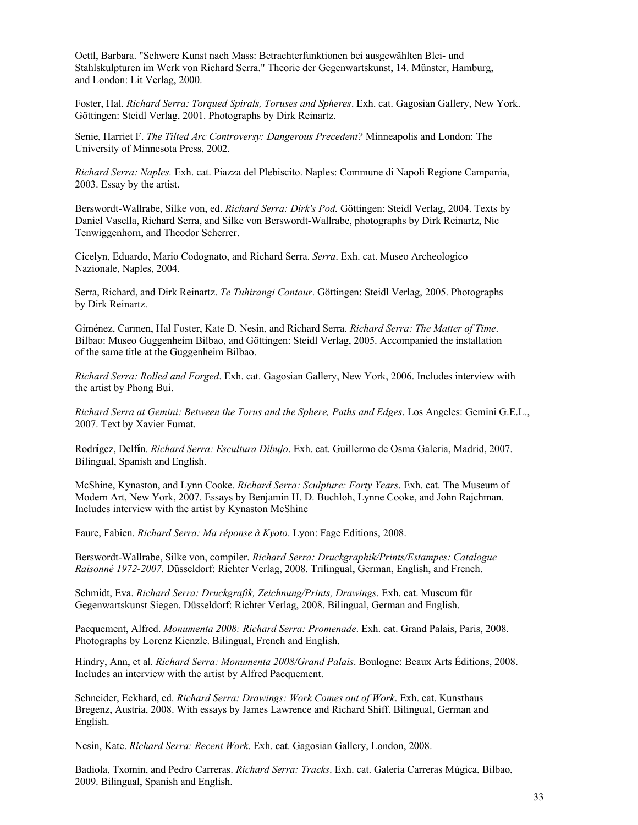Oettl, Barbara. "Schwere Kunst nach Mass: Betrachterfunktionen bei ausgewählten Blei- und Stahlskulpturen im Werk von Richard Serra." Theorie der Gegenwartskunst, 14. Münster, Hamburg, and London: Lit Verlag, 2000.

Foster, Hal. *Richard Serra: Torqued Spirals, Toruses and Spheres*. Exh. cat. Gagosian Gallery, New York. Göttingen: Steidl Verlag, 2001. Photographs by Dirk Reinartz.

Senie, Harriet F. *The Tilted Arc Controversy: Dangerous Precedent?* Minneapolis and London: The University of Minnesota Press, 2002.

*Richard Serra: Naples.* Exh. cat. Piazza del Plebiscito. Naples: Commune di Napoli Regione Campania, 2003. Essay by the artist.

Berswordt-Wallrabe, Silke von, ed. *Richard Serra: Dirk's Pod.* Göttingen: Steidl Verlag, 2004. Texts by Daniel Vasella, Richard Serra, and Silke von Berswordt-Wallrabe, photographs by Dirk Reinartz, Nic Tenwiggenhorn, and Theodor Scherrer.

Cicelyn, Eduardo, Mario Codognato, and Richard Serra. *Serra*. Exh. cat. Museo Archeologico Nazionale, Naples, 2004.

Serra, Richard, and Dirk Reinartz. *Te Tuhirangi Contour*. Göttingen: Steidl Verlag, 2005. Photographs by Dirk Reinartz.

Giménez, Carmen, Hal Foster, Kate D. Nesin, and Richard Serra. *Richard Serra: The Matter of Time*. Bilbao: Museo Guggenheim Bilbao, and Göttingen: Steidl Verlag, 2005. Accompanied the installation of the same title at the Guggenheim Bilbao.

*Richard Serra: Rolled and Forged*. Exh. cat. Gagosian Gallery, New York, 2006. Includes interview with the artist by Phong Bui.

*Richard Serra at Gemini: Between the Torus and the Sphere, Paths and Edges*. Los Angeles: Gemini G.E.L., 2007. Text by Xavier Fumat.

Rodr**í**gez, Delf**í**n. *Richard Serra: Escultura Dibujo*. Exh. cat. Guillermo de Osma Galeria, Madrid, 2007. Bilingual, Spanish and English.

McShine, Kynaston, and Lynn Cooke. *Richard Serra: Sculpture: Forty Years*. Exh. cat. The Museum of Modern Art, New York, 2007. Essays by Benjamin H. D. Buchloh, Lynne Cooke, and John Rajchman. Includes interview with the artist by Kynaston McShine

Faure, Fabien. *Richard Serra: Ma réponse à Kyoto*. Lyon: Fage Editions, 2008.

Berswordt-Wallrabe, Silke von, compiler. *Richard Serra: Druckgraphik/Prints/Estampes: Catalogue Raisonné 1972-2007.* Düsseldorf: Richter Verlag, 2008. Trilingual, German, English, and French.

Schmidt, Eva. *Richard Serra: Druckgrafik, Zeichnung/Prints, Drawings*. Exh. cat. Museum für Gegenwartskunst Siegen. Düsseldorf: Richter Verlag, 2008. Bilingual, German and English.

Pacquement, Alfred. *Monumenta 2008: Richard Serra: Promenade*. Exh. cat. Grand Palais, Paris, 2008. Photographs by Lorenz Kienzle. Bilingual, French and English.

Hindry, Ann, et al. *Richard Serra: Monumenta 2008/Grand Palais*. Boulogne: Beaux Arts Éditions, 2008. Includes an interview with the artist by Alfred Pacquement.

Schneider, Eckhard, ed. *Richard Serra: Drawings: Work Comes out of Work*. Exh. cat. Kunsthaus Bregenz, Austria, 2008. With essays by James Lawrence and Richard Shiff. Bilingual, German and English.

Nesin, Kate. *Richard Serra: Recent Work*. Exh. cat. Gagosian Gallery, London, 2008.

Badiola, Txomin, and Pedro Carreras. *Richard Serra: Tracks*. Exh. cat. Galería Carreras Múgica, Bilbao, 2009. Bilingual, Spanish and English.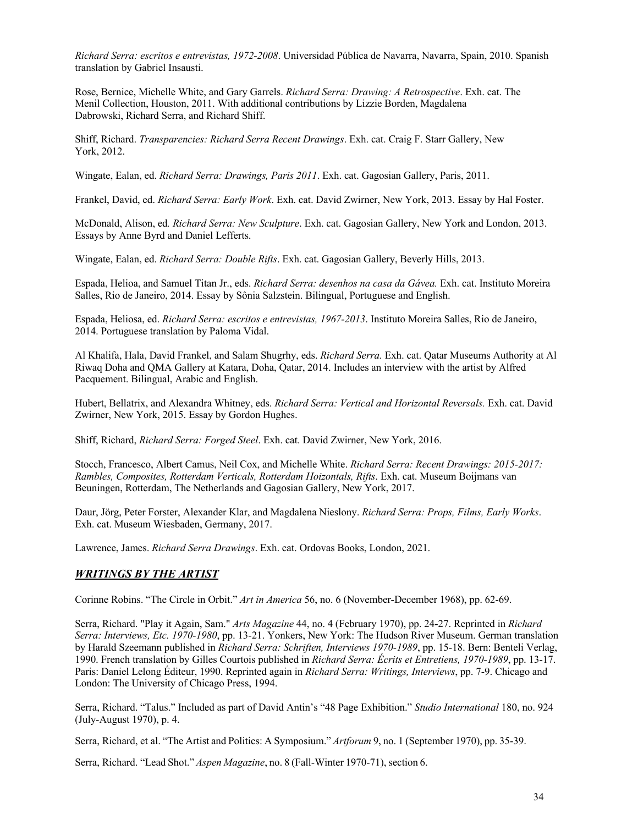*Richard Serra: escritos e entrevistas, 1972-2008*. Universidad Pública de Navarra, Navarra, Spain, 2010. Spanish translation by Gabriel Insausti.

Rose, Bernice, Michelle White, and Gary Garrels. *Richard Serra: Drawing: A Retrospective*. Exh. cat. The Menil Collection, Houston, 2011. With additional contributions by Lizzie Borden, Magdalena Dabrowski, Richard Serra, and Richard Shiff.

Shiff, Richard. *Transparencies: Richard Serra Recent Drawings*. Exh. cat. Craig F. Starr Gallery, New York, 2012.

Wingate, Ealan, ed. *Richard Serra: Drawings, Paris 2011*. Exh. cat. Gagosian Gallery, Paris, 2011.

Frankel, David, ed. *Richard Serra: Early Work*. Exh. cat. David Zwirner, New York, 2013. Essay by Hal Foster.

McDonald, Alison, ed*. Richard Serra: New Sculpture*. Exh. cat. Gagosian Gallery, New York and London, 2013. Essays by Anne Byrd and Daniel Lefferts.

Wingate, Ealan, ed. *Richard Serra: Double Rifts*. Exh. cat. Gagosian Gallery, Beverly Hills, 2013.

Espada, Helioa, and Samuel Titan Jr., eds. *Richard Serra: desenhos na casa da Gávea.* Exh. cat. Instituto Moreira Salles, Rio de Janeiro, 2014. Essay by Sônia Salzstein. Bilingual, Portuguese and English.

Espada, Heliosa, ed. *Richard Serra: escritos e entrevistas, 1967-2013*. Instituto Moreira Salles, Rio de Janeiro, 2014. Portuguese translation by Paloma Vidal.

Al Khalifa, Hala, David Frankel, and Salam Shugrhy, eds. *Richard Serra.* Exh. cat. Qatar Museums Authority at Al Riwaq Doha and QMA Gallery at Katara, Doha, Qatar, 2014. Includes an interview with the artist by Alfred Pacquement. Bilingual, Arabic and English.

Hubert, Bellatrix, and Alexandra Whitney, eds. *Richard Serra: Vertical and Horizontal Reversals.* Exh. cat. David Zwirner, New York, 2015. Essay by Gordon Hughes.

Shiff, Richard, *Richard Serra: Forged Steel*. Exh. cat. David Zwirner, New York, 2016.

Stocch, Francesco, Albert Camus, Neil Cox, and Michelle White. *Richard Serra: Recent Drawings: 2015-2017: Rambles, Composites, Rotterdam Verticals, Rotterdam Hoizontals, Rifts*. Exh. cat. Museum Boijmans van Beuningen, Rotterdam, The Netherlands and Gagosian Gallery, New York, 2017.

Daur, Jörg, Peter Forster, Alexander Klar, and Magdalena Nieslony. *Richard Serra: Props, Films, Early Works*. Exh. cat. Museum Wiesbaden, Germany, 2017.

Lawrence, James. *Richard Serra Drawings*. Exh. cat. Ordovas Books, London, 2021.

# *WRITINGS BY THE ARTIST*

Corinne Robins. "The Circle in Orbit." *Art in America* 56, no. 6 (November-December 1968), pp. 62-69.

Serra, Richard. "Play it Again, Sam." *Arts Magazine* 44, no. 4 (February 1970), pp. 24-27. Reprinted in *Richard Serra: Interviews, Etc. 1970-1980*, pp. 13-21. Yonkers, New York: The Hudson River Museum. German translation by Harald Szeemann published in *Richard Serra: Schriften, Interviews 1970-1989*, pp. 15-18. Bern: Benteli Verlag, 1990. French translation by Gilles Courtois published in *Richard Serra: Écrits et Entretiens, 1970-1989*, pp. 13-17. Paris: Daniel Lelong Éditeur, 1990. Reprinted again in *Richard Serra: Writings, Interviews*, pp. 7-9. Chicago and London: The University of Chicago Press, 1994.

Serra, Richard. "Talus." Included as part of David Antin's "48 Page Exhibition." *Studio International* 180, no. 924 (July-August 1970), p. 4.

Serra, Richard, et al. "The Artist and Politics: A Symposium." *Artforum* 9, no. 1 (September 1970), pp. 35-39.

Serra, Richard. "Lead Shot." *Aspen Magazine*, no. 8 (Fall-Winter 1970-71), section 6.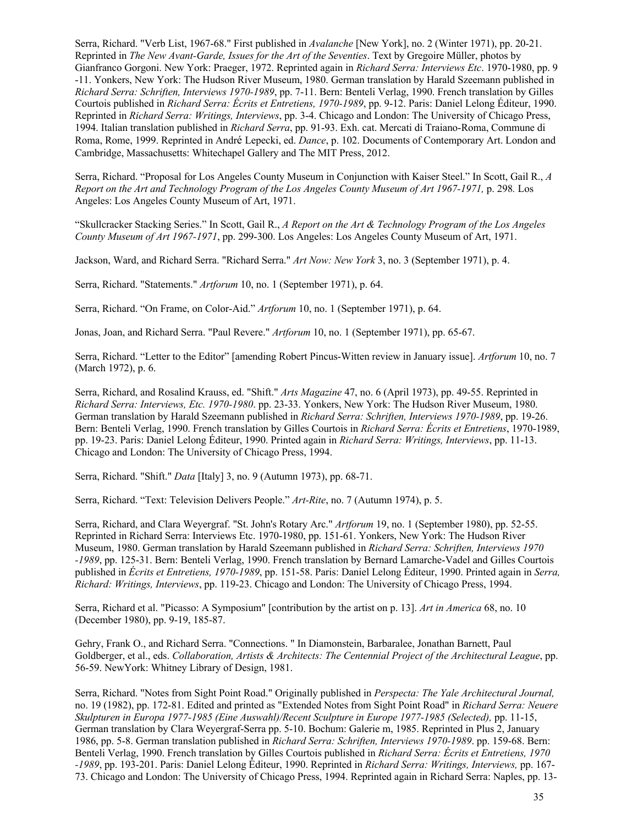Serra, Richard. "Verb List, 1967-68." First published in *Avalanche* [New York], no. 2 (Winter 1971), pp. 20-21. Reprinted in *The New Avant-Garde, Issues for the Art of the Seventies*. Text by Gregoire Müller, photos by Gianfranco Gorgoni. New York: Praeger, 1972. Reprinted again in *Richard Serra: Interviews Etc*. 1970-1980, pp. 9 -11. Yonkers, New York: The Hudson River Museum, 1980. German translation by Harald Szeemann published in *Richard Serra: Schriften, Interviews 1970-1989*, pp. 7-11. Bern: Benteli Verlag, 1990. French translation by Gilles Courtois published in *Richard Serra: Écrits et Entretiens, 1970-1989*, pp. 9-12. Paris: Daniel Lelong Éditeur, 1990. Reprinted in *Richard Serra: Writings, Interviews*, pp. 3-4. Chicago and London: The University of Chicago Press, 1994. Italian translation published in *Richard Serra*, pp. 91-93. Exh. cat. Mercati di Traiano-Roma, Commune di Roma, Rome, 1999. Reprinted in André Lepecki, ed. *Dance*, p. 102. Documents of Contemporary Art. London and Cambridge, Massachusetts: Whitechapel Gallery and The MIT Press, 2012.

Serra, Richard. "Proposal for Los Angeles County Museum in Conjunction with Kaiser Steel." In Scott, Gail R., *A Report on the Art and Technology Program of the Los Angeles County Museum of Art 1967-1971,* p. 298*.* Los Angeles: Los Angeles County Museum of Art, 1971.

"Skullcracker Stacking Series." In Scott, Gail R., *A Report on the Art & Technology Program of the Los Angeles County Museum of Art 1967-1971*, pp. 299-300. Los Angeles: Los Angeles County Museum of Art, 1971.

Jackson, Ward, and Richard Serra. "Richard Serra." *Art Now: New York* 3, no. 3 (September 1971), p. 4.

Serra, Richard. "Statements." *Artforum* 10, no. 1 (September 1971), p. 64.

Serra, Richard. "On Frame, on Color-Aid." *Artforum* 10, no. 1 (September 1971), p. 64.

Jonas, Joan, and Richard Serra. "Paul Revere." *Artforum* 10, no. 1 (September 1971), pp. 65-67.

Serra, Richard. "Letter to the Editor" [amending Robert Pincus-Witten review in January issue]. *Artforum* 10, no. 7 (March 1972), p. 6.

Serra, Richard, and Rosalind Krauss, ed. "Shift." *Arts Magazine* 47, no. 6 (April 1973), pp. 49-55. Reprinted in *Richard Serra: Interviews, Etc. 1970-1980*. pp. 23-33. Yonkers, New York: The Hudson River Museum, 1980. German translation by Harald Szeemann published in *Richard Serra: Schriften, Interviews 1970-1989*, pp. 19-26. Bern: Benteli Verlag, 1990. French translation by Gilles Courtois in *Richard Serra: Écrits et Entretiens*, 1970-1989, pp. 19-23. Paris: Daniel Lelong Éditeur, 1990. Printed again in *Richard Serra: Writings, Interviews*, pp. 11-13. Chicago and London: The University of Chicago Press, 1994.

Serra, Richard. "Shift." *Data* [Italy] 3, no. 9 (Autumn 1973), pp. 68-71.

Serra, Richard. "Text: Television Delivers People." *Art-Rite*, no. 7 (Autumn 1974), p. 5.

Serra, Richard, and Clara Weyergraf. "St. John's Rotary Arc." *Artforum* 19, no. 1 (September 1980), pp. 52-55. Reprinted in Richard Serra: Interviews Etc. 1970-1980, pp. 151-61. Yonkers, New York: The Hudson River Museum, 1980. German translation by Harald Szeemann published in *Richard Serra: Schriften, Interviews 1970 -1989*, pp. 125-31. Bern: Benteli Verlag, 1990. French translation by Bernard Lamarche-Vadel and Gilles Courtois published in *Écrits et Entretiens, 1970-1989*, pp. 151-58. Paris: Daniel Lelong Éditeur, 1990. Printed again in *Serra, Richard: Writings, Interviews*, pp. 119-23. Chicago and London: The University of Chicago Press, 1994.

Serra, Richard et al. "Picasso: A Symposium" [contribution by the artist on p. 13]. *Art in America* 68, no. 10 (December 1980), pp. 9-19, 185-87.

Gehry, Frank O., and Richard Serra. "Connections. " In Diamonstein, Barbaralee, Jonathan Barnett, Paul Goldberger, et al., eds. *Collaboration, Artists & Architects: The Centennial Project of the Architectural League*, pp. 56-59. NewYork: Whitney Library of Design, 1981.

Serra, Richard. "Notes from Sight Point Road." Originally published in *Perspecta: The Yale Architectural Journal,* no. 19 (1982), pp. 172-81. Edited and printed as "Extended Notes from Sight Point Road" in *Richard Serra: Neuere Skulpturen in Europa 1977-1985 (Eine Auswahl)/Recent Sculpture in Europe 1977-1985 (Selected),* pp. 11-15, German translation by Clara Weyergraf-Serra pp. 5-10. Bochum: Galerie m, 1985. Reprinted in Plus 2, January 1986, pp. 5-8. German translation published in *Richard Serra: Schriften, Interviews 1970-1989*. pp. 159-68. Bern: Benteli Verlag, 1990. French translation by Gilles Courtois published in *Richard Serra: Écrits et Entretiens, 1970 -1989*, pp. 193-201. Paris: Daniel Lelong Éditeur, 1990. Reprinted in *Richard Serra: Writings, Interviews,* pp. 167- 73. Chicago and London: The University of Chicago Press, 1994. Reprinted again in Richard Serra: Naples, pp. 13-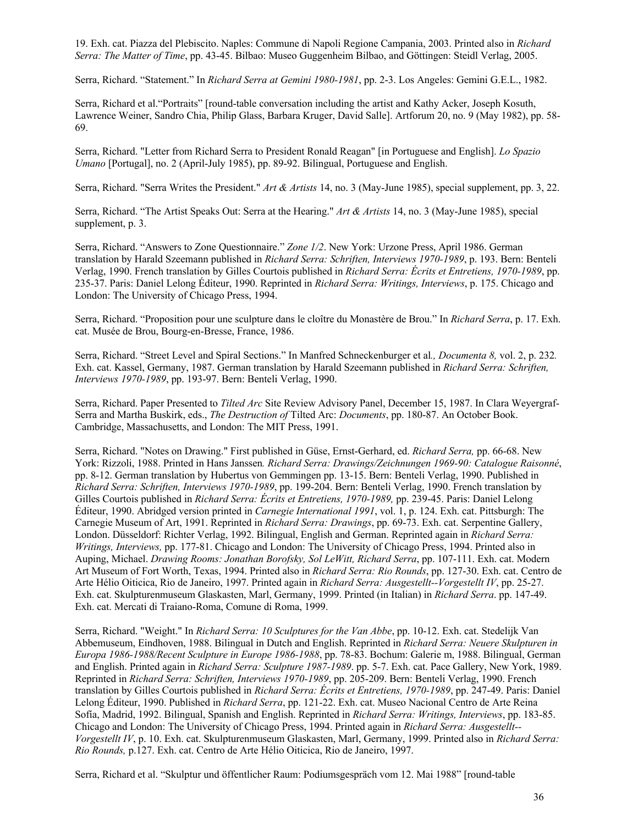19. Exh. cat. Piazza del Plebiscito. Naples: Commune di Napoli Regione Campania, 2003. Printed also in *Richard Serra: The Matter of Time*, pp. 43-45. Bilbao: Museo Guggenheim Bilbao, and Göttingen: Steidl Verlag, 2005.

Serra, Richard. "Statement." In *Richard Serra at Gemini 1980-1981*, pp. 2-3. Los Angeles: Gemini G.E.L., 1982.

Serra, Richard et al."Portraits" [round-table conversation including the artist and Kathy Acker, Joseph Kosuth, Lawrence Weiner, Sandro Chia, Philip Glass, Barbara Kruger, David Salle]. Artforum 20, no. 9 (May 1982), pp. 58- 69.

Serra, Richard. "Letter from Richard Serra to President Ronald Reagan" [in Portuguese and English]. *Lo Spazio Umano* [Portugal], no. 2 (April-July 1985), pp. 89-92. Bilingual, Portuguese and English.

Serra, Richard. "Serra Writes the President." *Art & Artists* 14, no. 3 (May-June 1985), special supplement, pp. 3, 22.

Serra, Richard. "The Artist Speaks Out: Serra at the Hearing." *Art & Artists* 14, no. 3 (May-June 1985), special supplement, p. 3.

Serra, Richard. "Answers to Zone Questionnaire." *Zone 1/2*. New York: Urzone Press, April 1986. German translation by Harald Szeemann published in *Richard Serra: Schriften, Interviews 1970-1989*, p. 193. Bern: Benteli Verlag, 1990. French translation by Gilles Courtois published in *Richard Serra: Écrits et Entretiens, 1970-1989*, pp. 235-37. Paris: Daniel Lelong Éditeur, 1990. Reprinted in *Richard Serra: Writings, Interviews*, p. 175. Chicago and London: The University of Chicago Press, 1994.

Serra, Richard. "Proposition pour une sculpture dans le cloître du Monastère de Brou." In *Richard Serra*, p. 17. Exh. cat. Musée de Brou, Bourg-en-Bresse, France, 1986.

Serra, Richard. "Street Level and Spiral Sections." In Manfred Schneckenburger et al*., Documenta 8,* vol. 2, p. 232*.*  Exh. cat. Kassel, Germany, 1987. German translation by Harald Szeemann published in *Richard Serra: Schriften, Interviews 1970-1989*, pp. 193-97. Bern: Benteli Verlag, 1990.

Serra, Richard. Paper Presented to *Tilted Arc* Site Review Advisory Panel, December 15, 1987. In Clara Weyergraf-Serra and Martha Buskirk, eds., *The Destruction of* Tilted Arc: *Documents*, pp. 180-87. An October Book. Cambridge, Massachusetts, and London: The MIT Press, 1991.

Serra, Richard. "Notes on Drawing." First published in Güse, Ernst-Gerhard, ed. *Richard Serra,* pp. 66-68. New York: Rizzoli, 1988. Printed in Hans Janssen*. Richard Serra: Drawings/Zeichnungen 1969-90: Catalogue Raisonné*, pp. 8-12. German translation by Hubertus von Gemmingen pp. 13-15. Bern: Benteli Verlag, 1990. Published in *Richard Serra: Schriften, Interviews 1970-1989*, pp. 199-204. Bern: Benteli Verlag, 1990. French translation by Gilles Courtois published in *Richard Serra: Écrits et Entretiens, 1970-1989,* pp. 239-45. Paris: Daniel Lelong Éditeur, 1990. Abridged version printed in *Carnegie International 1991*, vol. 1, p. 124. Exh. cat. Pittsburgh: The Carnegie Museum of Art, 1991. Reprinted in *Richard Serra: Drawings*, pp. 69-73. Exh. cat. Serpentine Gallery, London. Düsseldorf: Richter Verlag, 1992. Bilingual, English and German. Reprinted again in *Richard Serra: Writings, Interviews,* pp. 177-81. Chicago and London: The University of Chicago Press, 1994. Printed also in Auping, Michael. *Drawing Rooms: Jonathan Borofsky, Sol LeWitt, Richard Serra*, pp. 107-111. Exh. cat. Modern Art Museum of Fort Worth, Texas, 1994. Printed also in *Richard Serra: Rio Rounds*, pp. 127-30. Exh. cat. Centro de Arte Hélio Oiticica, Rio de Janeiro, 1997. Printed again in *Richard Serra: Ausgestellt--Vorgestellt IV*, pp. 25-27. Exh. cat. Skulpturenmuseum Glaskasten, Marl, Germany, 1999. Printed (in Italian) in *Richard Serra*. pp. 147-49. Exh. cat. Mercati di Traiano-Roma, Comune di Roma, 1999.

Serra, Richard. "Weight." In *Richard Serra: 10 Sculptures for the Van Abbe*, pp. 10-12. Exh. cat. Stedelijk Van Abbemuseum, Eindhoven, 1988. Bilingual in Dutch and English. Reprinted in *Richard Serra: Neuere Skulpturen in Europa 1986-1988/Recent Sculpture in Europe 1986-1988*, pp. 78-83. Bochum: Galerie m, 1988. Bilingual, German and English. Printed again in *Richard Serra: Sculpture 1987-1989*. pp. 5-7. Exh. cat. Pace Gallery, New York, 1989. Reprinted in *Richard Serra: Schriften, Interviews 1970-1989*, pp. 205-209. Bern: Benteli Verlag, 1990. French translation by Gilles Courtois published in *Richard Serra: Écrits et Entretiens, 1970-1989*, pp. 247-49. Paris: Daniel Lelong Éditeur, 1990. Published in *Richard Serra*, pp. 121-22. Exh. cat. Museo Nacional Centro de Arte Reina Sofía, Madrid, 1992. Bilingual, Spanish and English. Reprinted in *Richard Serra: Writings, Interviews*, pp. 183-85. Chicago and London: The University of Chicago Press, 1994. Printed again in *Richard Serra: Ausgestellt-- Vorgestellt IV*, p. 10. Exh. cat. Skulpturenmuseum Glaskasten, Marl, Germany, 1999. Printed also in *Richard Serra: Rio Rounds,* p.127. Exh. cat. Centro de Arte Hélio Oiticica, Rio de Janeiro, 1997.

Serra, Richard et al. "Skulptur und öffentlicher Raum: Podiumsgespräch vom 12. Mai 1988" [round-table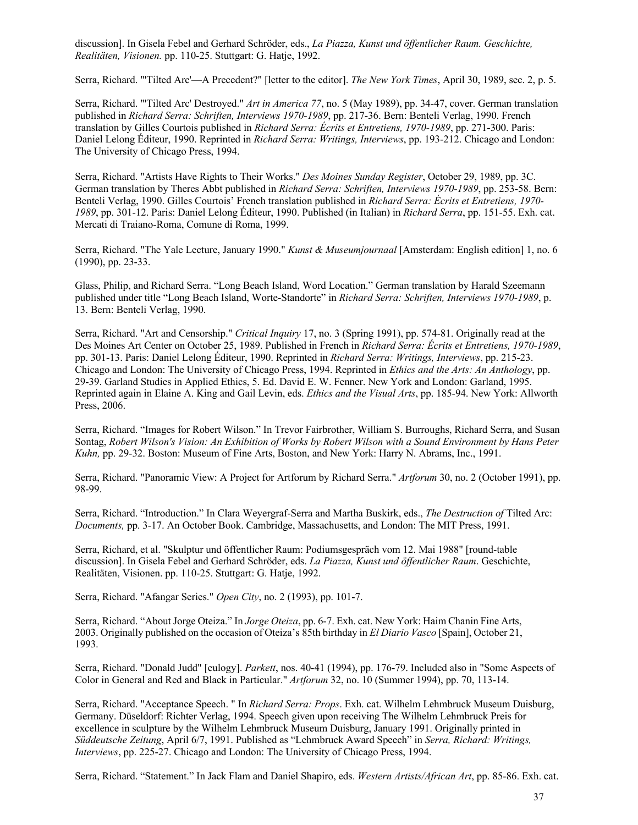discussion]. In Gisela Febel and Gerhard Schröder, eds., *La Piazza, Kunst und öffentlicher Raum. Geschichte, Realitäten, Visionen.* pp. 110-25. Stuttgart: G. Hatje, 1992.

Serra, Richard. "'Tilted Arc'—A Precedent?" [letter to the editor]. *The New York Times*, April 30, 1989, sec. 2, p. 5.

Serra, Richard. "'Tilted Arc' Destroyed." *Art in America 77*, no. 5 (May 1989), pp. 34-47, cover. German translation published in *Richard Serra: Schriften, Interviews 1970-1989*, pp. 217-36. Bern: Benteli Verlag, 1990. French translation by Gilles Courtois published in *Richard Serra: Écrits et Entretiens, 1970-1989*, pp. 271-300. Paris: Daniel Lelong Éditeur, 1990. Reprinted in *Richard Serra: Writings, Interviews*, pp. 193-212. Chicago and London: The University of Chicago Press, 1994.

Serra, Richard. "Artists Have Rights to Their Works." *Des Moines Sunday Register*, October 29, 1989, pp. 3C. German translation by Theres Abbt published in *Richard Serra: Schriften, Interviews 1970-1989*, pp. 253-58. Bern: Benteli Verlag, 1990. Gilles Courtois' French translation published in *Richard Serra: Écrits et Entretiens, 1970- 1989*, pp. 301-12. Paris: Daniel Lelong Éditeur, 1990. Published (in Italian) in *Richard Serra*, pp. 151-55. Exh. cat. Mercati di Traiano-Roma, Comune di Roma, 1999.

Serra, Richard. "The Yale Lecture, January 1990." *Kunst & Museumjournaal* [Amsterdam: English edition] 1, no. 6 (1990), pp. 23-33.

Glass, Philip, and Richard Serra. "Long Beach Island, Word Location." German translation by Harald Szeemann published under title "Long Beach Island, Worte-Standorte" in *Richard Serra: Schriften, Interviews 1970-1989*, p. 13. Bern: Benteli Verlag, 1990.

Serra, Richard. "Art and Censorship." *Critical Inquiry* 17, no. 3 (Spring 1991), pp. 574-81. Originally read at the Des Moines Art Center on October 25, 1989. Published in French in *Richard Serra: Écrits et Entretiens, 1970-1989*, pp. 301-13. Paris: Daniel Lelong Éditeur, 1990. Reprinted in *Richard Serra: Writings, Interviews*, pp. 215-23. Chicago and London: The University of Chicago Press, 1994. Reprinted in *Ethics and the Arts: An Anthology*, pp. 29-39. Garland Studies in Applied Ethics, 5. Ed. David E. W. Fenner. New York and London: Garland, 1995. Reprinted again in Elaine A. King and Gail Levin, eds. *Ethics and the Visual Arts*, pp. 185-94. New York: Allworth Press, 2006.

Serra, Richard. "Images for Robert Wilson." In Trevor Fairbrother, William S. Burroughs, Richard Serra, and Susan Sontag, *Robert Wilson's Vision: An Exhibition of Works by Robert Wilson with a Sound Environment by Hans Peter Kuhn,* pp. 29-32. Boston: Museum of Fine Arts, Boston, and New York: Harry N. Abrams, Inc., 1991.

Serra, Richard. "Panoramic View: A Project for Artforum by Richard Serra." *Artforum* 30, no. 2 (October 1991), pp. 98-99.

Serra, Richard. "Introduction." In Clara Weyergraf-Serra and Martha Buskirk, eds., *The Destruction of* Tilted Arc: *Documents,* pp. 3-17. An October Book. Cambridge, Massachusetts, and London: The MIT Press, 1991.

Serra, Richard, et al. "Skulptur und öffentlicher Raum: Podiumsgespräch vom 12. Mai 1988" [round-table discussion]. In Gisela Febel and Gerhard Schröder, eds. *La Piazza, Kunst und öffentlicher Raum*. Geschichte, Realitäten, Visionen. pp. 110-25. Stuttgart: G. Hatje, 1992.

Serra, Richard. "Afangar Series." *Open City*, no. 2 (1993), pp. 101-7.

Serra, Richard. "About Jorge Oteiza." In *Jorge Oteiza*, pp. 6-7. Exh. cat. New York: Haim Chanin Fine Arts, 2003. Originally published on the occasion of Oteiza's 85th birthday in *El Diario Vasco* [Spain], October 21, 1993.

Serra, Richard. "Donald Judd" [eulogy]. *Parkett*, nos. 40-41 (1994), pp. 176-79. Included also in "Some Aspects of Color in General and Red and Black in Particular." *Artforum* 32, no. 10 (Summer 1994), pp. 70, 113-14.

Serra, Richard. "Acceptance Speech. " In *Richard Serra: Props*. Exh. cat. Wilhelm Lehmbruck Museum Duisburg, Germany. Düseldorf: Richter Verlag, 1994. Speech given upon receiving The Wilhelm Lehmbruck Preis for excellence in sculpture by the Wilhelm Lehmbruck Museum Duisburg, January 1991. Originally printed in *Süddeutsche Zeitung*, April 6/7, 1991. Published as "Lehmbruck Award Speech" in *Serra, Richard: Writings, Interviews*, pp. 225-27. Chicago and London: The University of Chicago Press, 1994.

Serra, Richard. "Statement." In Jack Flam and Daniel Shapiro, eds. *Western Artists/African Art*, pp. 85-86. Exh. cat.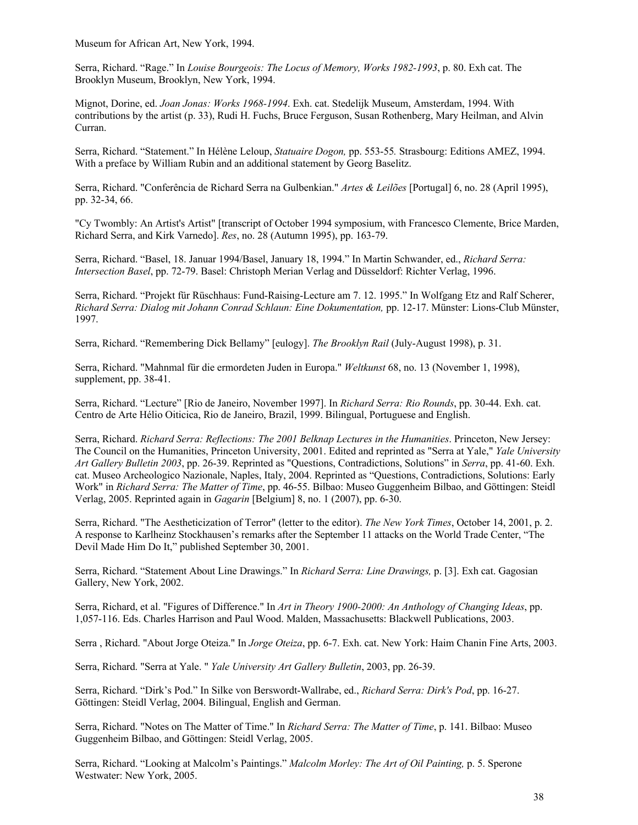Museum for African Art, New York, 1994.

Serra, Richard. "Rage." In *Louise Bourgeois: The Locus of Memory, Works 1982-1993*, p. 80. Exh cat. The Brooklyn Museum, Brooklyn, New York, 1994.

Mignot, Dorine, ed. *Joan Jonas: Works 1968-1994*. Exh. cat. Stedelijk Museum, Amsterdam, 1994. With contributions by the artist (p. 33), Rudi H. Fuchs, Bruce Ferguson, Susan Rothenberg, Mary Heilman, and Alvin Curran.

Serra, Richard. "Statement." In Hélène Leloup, *Statuaire Dogon,* pp. 553-55*.* Strasbourg: Editions AMEZ, 1994. With a preface by William Rubin and an additional statement by Georg Baselitz.

Serra, Richard. "Conferência de Richard Serra na Gulbenkian." *Artes & Leilões* [Portugal] 6, no. 28 (April 1995), pp. 32-34, 66.

"Cy Twombly: An Artist's Artist" [transcript of October 1994 symposium, with Francesco Clemente, Brice Marden, Richard Serra, and Kirk Varnedo]. *Res*, no. 28 (Autumn 1995), pp. 163-79.

Serra, Richard. "Basel, 18. Januar 1994/Basel, January 18, 1994." In Martin Schwander, ed., *Richard Serra: Intersection Basel*, pp. 72-79. Basel: Christoph Merian Verlag and Düsseldorf: Richter Verlag, 1996.

Serra, Richard. "Projekt für Rüschhaus: Fund-Raising-Lecture am 7. 12. 1995." In Wolfgang Etz and Ralf Scherer, *Richard Serra: Dialog mit Johann Conrad Schlaun: Eine Dokumentation,* pp. 12-17. Münster: Lions-Club Münster, 1997.

Serra, Richard. "Remembering Dick Bellamy" [eulogy]. *The Brooklyn Rail* (July-August 1998), p. 31.

Serra, Richard. "Mahnmal für die ermordeten Juden in Europa." *Weltkunst* 68, no. 13 (November 1, 1998), supplement, pp. 38-41.

Serra, Richard. "Lecture" [Rio de Janeiro, November 1997]. In *Richard Serra: Rio Rounds*, pp. 30-44. Exh. cat. Centro de Arte Hélio Oiticica, Rio de Janeiro, Brazil, 1999. Bilingual, Portuguese and English.

Serra, Richard. *Richard Serra: Reflections: The 2001 Belknap Lectures in the Humanities*. Princeton, New Jersey: The Council on the Humanities, Princeton University, 2001. Edited and reprinted as "Serra at Yale," *Yale University Art Gallery Bulletin 2003*, pp. 26-39. Reprinted as "Questions, Contradictions, Solutions" in *Serra*, pp. 41-60. Exh. cat. Museo Archeologico Nazionale, Naples, Italy, 2004. Reprinted as "Questions, Contradictions, Solutions: Early Work" in *Richard Serra: The Matter of Time*, pp. 46-55. Bilbao: Museo Guggenheim Bilbao, and Göttingen: Steidl Verlag, 2005. Reprinted again in *Gagarin* [Belgium] 8, no. 1 (2007), pp. 6-30.

Serra, Richard. "The Aestheticization of Terror" (letter to the editor). *The New York Times*, October 14, 2001, p. 2. A response to Karlheinz Stockhausen's remarks after the September 11 attacks on the World Trade Center, "The Devil Made Him Do It," published September 30, 2001.

Serra, Richard. "Statement About Line Drawings." In *Richard Serra: Line Drawings,* p. [3]. Exh cat. Gagosian Gallery, New York, 2002.

Serra, Richard, et al. "Figures of Difference." In *Art in Theory 1900-2000: An Anthology of Changing Ideas*, pp. 1,057-116. Eds. Charles Harrison and Paul Wood. Malden, Massachusetts: Blackwell Publications, 2003.

Serra , Richard. "About Jorge Oteiza." In *Jorge Oteiza*, pp. 6-7. Exh. cat. New York: Haim Chanin Fine Arts, 2003.

Serra, Richard. "Serra at Yale. " *Yale University Art Gallery Bulletin*, 2003, pp. 26-39.

Serra, Richard. "Dirk's Pod." In Silke von Berswordt-Wallrabe, ed., *Richard Serra: Dirk's Pod*, pp. 16-27. Göttingen: Steidl Verlag, 2004. Bilingual, English and German.

Serra, Richard. "Notes on The Matter of Time." In *Richard Serra: The Matter of Time*, p. 141. Bilbao: Museo Guggenheim Bilbao, and Göttingen: Steidl Verlag, 2005.

Serra, Richard. "Looking at Malcolm's Paintings." *Malcolm Morley: The Art of Oil Painting,* p. 5. Sperone Westwater: New York, 2005.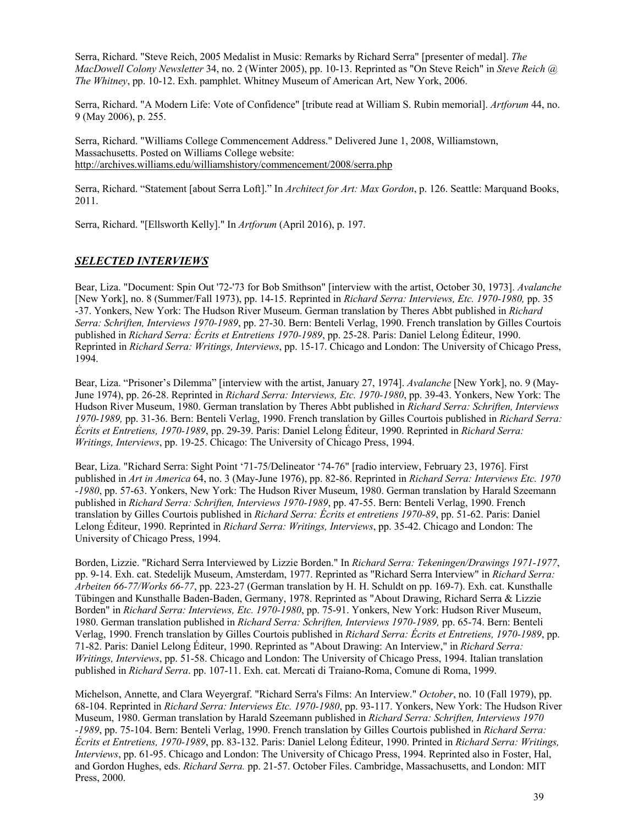Serra, Richard. "Steve Reich, 2005 Medalist in Music: Remarks by Richard Serra" [presenter of medal]. *The MacDowell Colony Newsletter* 34, no. 2 (Winter 2005), pp. 10-13. Reprinted as "On Steve Reich" in *Steve Reich @ The Whitney*, pp. 10-12. Exh. pamphlet. Whitney Museum of American Art, New York, 2006.

Serra, Richard. "A Modern Life: Vote of Confidence" [tribute read at William S. Rubin memorial]. *Artforum* 44, no. 9 (May 2006), p. 255.

Serra, Richard. "Williams College Commencement Address." Delivered June 1, 2008, Williamstown, Massachusetts. Posted on Williams College website: http://archives.williams.edu/williamshistory/commencement/2008/serra.php

Serra, Richard. "Statement [about Serra Loft]." In *Architect for Art: Max Gordon*, p. 126. Seattle: Marquand Books, 2011.

Serra, Richard. "[Ellsworth Kelly]." In *Artforum* (April 2016), p. 197.

# *SELECTED INTERVIEWS*

Bear, Liza. "Document: Spin Out '72-'73 for Bob Smithson" [interview with the artist, October 30, 1973]. *Avalanche* [New York], no. 8 (Summer/Fall 1973), pp. 14-15. Reprinted in *Richard Serra: Interviews, Etc. 1970-1980,* pp. 35 -37. Yonkers, New York: The Hudson River Museum. German translation by Theres Abbt published in *Richard Serra: Schriften, Interviews 1970-1989*, pp. 27-30. Bern: Benteli Verlag, 1990. French translation by Gilles Courtois published in *Richard Serra: Écrits et Entretiens 1970-1989*, pp. 25-28. Paris: Daniel Lelong Éditeur, 1990. Reprinted in *Richard Serra: Writings, Interviews*, pp. 15-17. Chicago and London: The University of Chicago Press, 1994.

Bear, Liza. "Prisoner's Dilemma" [interview with the artist, January 27, 1974]. *Avalanche* [New York], no. 9 (May-June 1974), pp. 26-28. Reprinted in *Richard Serra: Interviews, Etc. 1970-1980*, pp. 39-43. Yonkers, New York: The Hudson River Museum, 1980. German translation by Theres Abbt published in *Richard Serra: Schriften, Interviews 1970-1989,* pp. 31-36. Bern: Benteli Verlag, 1990. French translation by Gilles Courtois published in *Richard Serra: Écrits et Entretiens, 1970-1989*, pp. 29-39. Paris: Daniel Lelong Éditeur, 1990. Reprinted in *Richard Serra: Writings, Interviews*, pp. 19-25. Chicago: The University of Chicago Press, 1994.

Bear, Liza. "Richard Serra: Sight Point '71-75/Delineator '74-76" [radio interview, February 23, 1976]. First published in *Art in America* 64, no. 3 (May-June 1976), pp. 82-86. Reprinted in *Richard Serra: Interviews Etc. 1970 -1980*, pp. 57-63. Yonkers, New York: The Hudson River Museum, 1980. German translation by Harald Szeemann published in *Richard Serra: Schriften, Interviews 1970-1989*, pp. 47-55. Bern: Benteli Verlag, 1990. French translation by Gilles Courtois published in *Richard Serra: Écrits et entretiens 1970-89*, pp. 51-62. Paris: Daniel Lelong Éditeur, 1990. Reprinted in *Richard Serra: Writings, Interviews*, pp. 35-42. Chicago and London: The University of Chicago Press, 1994.

Borden, Lizzie. "Richard Serra Interviewed by Lizzie Borden." In *Richard Serra: Tekeningen/Drawings 1971-1977*, pp. 9-14. Exh. cat. Stedelijk Museum, Amsterdam, 1977. Reprinted as "Richard Serra Interview" in *Richard Serra: Arbeiten 66-77/Works 66-77*, pp. 223-27 (German translation by H. H. Schuldt on pp. 169-7). Exh. cat. Kunsthalle Tübingen and Kunsthalle Baden-Baden, Germany, 1978. Reprinted as "About Drawing, Richard Serra & Lizzie Borden" in *Richard Serra: Interviews, Etc. 1970-1980*, pp. 75-91. Yonkers, New York: Hudson River Museum, 1980. German translation published in *Richard Serra: Schriften, Interviews 1970-1989,* pp. 65-74. Bern: Benteli Verlag, 1990. French translation by Gilles Courtois published in *Richard Serra: Écrits et Entretiens, 1970-1989*, pp. 71-82. Paris: Daniel Lelong Éditeur, 1990. Reprinted as "About Drawing: An Interview," in *Richard Serra: Writings, Interviews*, pp. 51-58. Chicago and London: The University of Chicago Press, 1994. Italian translation published in *Richard Serra*. pp. 107-11. Exh. cat. Mercati di Traiano-Roma, Comune di Roma, 1999.

Michelson, Annette, and Clara Weyergraf. "Richard Serra's Films: An Interview." *October*, no. 10 (Fall 1979), pp. 68-104. Reprinted in *Richard Serra: Interviews Etc. 1970-1980*, pp. 93-117. Yonkers, New York: The Hudson River Museum, 1980. German translation by Harald Szeemann published in *Richard Serra: Schriften, Interviews 1970 -1989*, pp. 75-104. Bern: Benteli Verlag, 1990. French translation by Gilles Courtois published in *Richard Serra: Écrits et Entretiens, 1970-1989*, pp. 83-132. Paris: Daniel Lelong Éditeur, 1990. Printed in *Richard Serra: Writings, Interviews*, pp. 61-95. Chicago and London: The University of Chicago Press, 1994. Reprinted also in Foster, Hal, and Gordon Hughes, eds. *Richard Serra.* pp. 21-57. October Files. Cambridge, Massachusetts, and London: MIT Press, 2000.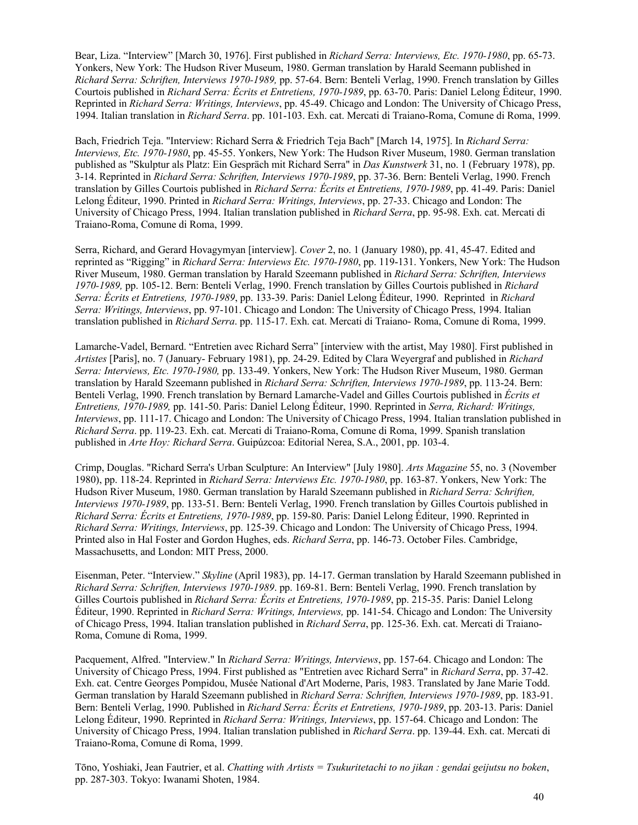Bear, Liza. "Interview" [March 30, 1976]. First published in *Richard Serra: Interviews, Etc. 1970-1980*, pp. 65-73. Yonkers, New York: The Hudson River Museum, 1980. German translation by Harald Seemann published in *Richard Serra: Schriften, Interviews 1970-1989,* pp. 57-64. Bern: Benteli Verlag, 1990. French translation by Gilles Courtois published in *Richard Serra: Écrits et Entretiens, 1970-1989*, pp. 63-70. Paris: Daniel Lelong Éditeur, 1990. Reprinted in *Richard Serra: Writings, Interviews*, pp. 45-49. Chicago and London: The University of Chicago Press, 1994. Italian translation in *Richard Serra*. pp. 101-103. Exh. cat. Mercati di Traiano-Roma, Comune di Roma, 1999.

Bach, Friedrich Teja. "Interview: Richard Serra & Friedrich Teja Bach" [March 14, 1975]. In *Richard Serra: Interviews, Etc. 1970-1980*, pp. 45-55. Yonkers, New York: The Hudson River Museum, 1980. German translation published as "Skulptur als Platz: Ein Gespräch mit Richard Serra" in *Das Kunstwerk* 31, no. 1 (February 1978), pp. 3-14. Reprinted in *Richard Serra: Schriften, Interviews 1970-1989*, pp. 37-36. Bern: Benteli Verlag, 1990. French translation by Gilles Courtois published in *Richard Serra: Écrits et Entretiens, 1970-1989*, pp. 41-49. Paris: Daniel Lelong Éditeur, 1990. Printed in *Richard Serra: Writings, Interviews*, pp. 27-33. Chicago and London: The University of Chicago Press, 1994. Italian translation published in *Richard Serra*, pp. 95-98. Exh. cat. Mercati di Traiano-Roma, Comune di Roma, 1999.

Serra, Richard, and Gerard Hovagymyan [interview]. *Cover* 2, no. 1 (January 1980), pp. 41, 45-47. Edited and reprinted as "Rigging" in *Richard Serra: Interviews Etc. 1970-1980*, pp. 119-131. Yonkers, New York: The Hudson River Museum, 1980. German translation by Harald Szeemann published in *Richard Serra: Schriften, Interviews 1970-1989,* pp. 105-12. Bern: Benteli Verlag, 1990. French translation by Gilles Courtois published in *Richard Serra: Écrits et Entretiens, 1970-1989*, pp. 133-39. Paris: Daniel Lelong Éditeur, 1990. Reprinted in *Richard Serra: Writings, Interviews*, pp. 97-101. Chicago and London: The University of Chicago Press, 1994. Italian translation published in *Richard Serra*. pp. 115-17. Exh. cat. Mercati di Traiano- Roma, Comune di Roma, 1999.

Lamarche-Vadel, Bernard. "Entretien avec Richard Serra" [interview with the artist, May 1980]. First published in *Artistes* [Paris], no. 7 (January- February 1981), pp. 24-29. Edited by Clara Weyergraf and published in *Richard Serra: Interviews, Etc. 1970-1980,* pp. 133-49. Yonkers, New York: The Hudson River Museum, 1980. German translation by Harald Szeemann published in *Richard Serra: Schriften, Interviews 1970-1989*, pp. 113-24. Bern: Benteli Verlag, 1990. French translation by Bernard Lamarche-Vadel and Gilles Courtois published in *Écrits et Entretiens, 1970-1989,* pp. 141-50. Paris: Daniel Lelong Éditeur, 1990. Reprinted in *Serra, Richard: Writings, Interviews*, pp. 111-17. Chicago and London: The University of Chicago Press, 1994. Italian translation published in *Richard Serra*. pp. 119-23. Exh. cat. Mercati di Traiano-Roma, Comune di Roma, 1999. Spanish translation published in *Arte Hoy: Richard Serra*. Guipúzcoa: Editorial Nerea, S.A., 2001, pp. 103-4.

Crimp, Douglas. "Richard Serra's Urban Sculpture: An Interview" [July 1980]. *Arts Magazine* 55, no. 3 (November 1980), pp. 118-24. Reprinted in *Richard Serra: Interviews Etc. 1970-1980*, pp. 163-87. Yonkers, New York: The Hudson River Museum, 1980. German translation by Harald Szeemann published in *Richard Serra: Schriften, Interviews 1970-1989*, pp. 133-51. Bern: Benteli Verlag, 1990. French translation by Gilles Courtois published in *Richard Serra: Écrits et Entretiens, 1970-1989*, pp. 159-80. Paris: Daniel Lelong Éditeur, 1990. Reprinted in *Richard Serra: Writings, Interviews*, pp. 125-39. Chicago and London: The University of Chicago Press, 1994. Printed also in Hal Foster and Gordon Hughes, eds. *Richard Serra*, pp. 146-73. October Files. Cambridge, Massachusetts, and London: MIT Press, 2000.

Eisenman, Peter. "Interview." *Skyline* (April 1983), pp. 14-17. German translation by Harald Szeemann published in *Richard Serra: Schriften, Interviews 1970-1989*. pp. 169-81. Bern: Benteli Verlag, 1990. French translation by Gilles Courtois published in *Richard Serra: Écrits et Entretiens, 1970-1989*, pp. 215-35. Paris: Daniel Lelong Éditeur, 1990. Reprinted in *Richard Serra: Writings, Interviews,* pp. 141-54. Chicago and London: The University of Chicago Press, 1994. Italian translation published in *Richard Serra*, pp. 125-36. Exh. cat. Mercati di Traiano-Roma, Comune di Roma, 1999.

Pacquement, Alfred. "Interview." In *Richard Serra: Writings, Interviews*, pp. 157-64. Chicago and London: The University of Chicago Press, 1994. First published as "Entretien avec Richard Serra" in *Richard Serra*, pp. 37-42. Exh. cat. Centre Georges Pompidou, Musée National d'Art Moderne, Paris, 1983. Translated by Jane Marie Todd. German translation by Harald Szeemann published in *Richard Serra: Schriften, Interviews 1970-1989*, pp. 183-91. Bern: Benteli Verlag, 1990. Published in *Richard Serra: Écrits et Entretiens, 1970-1989*, pp. 203-13. Paris: Daniel Lelong Éditeur, 1990. Reprinted in *Richard Serra: Writings, Interviews*, pp. 157-64. Chicago and London: The University of Chicago Press, 1994. Italian translation published in *Richard Serra*. pp. 139-44. Exh. cat. Mercati di Traiano-Roma, Comune di Roma, 1999.

Tōno, Yoshiaki, Jean Fautrier, et al. *Chatting with Artists = Tsukuritetachi to no jikan : gendai geijutsu no boken*, pp. 287-303. Tokyo: Iwanami Shoten, 1984.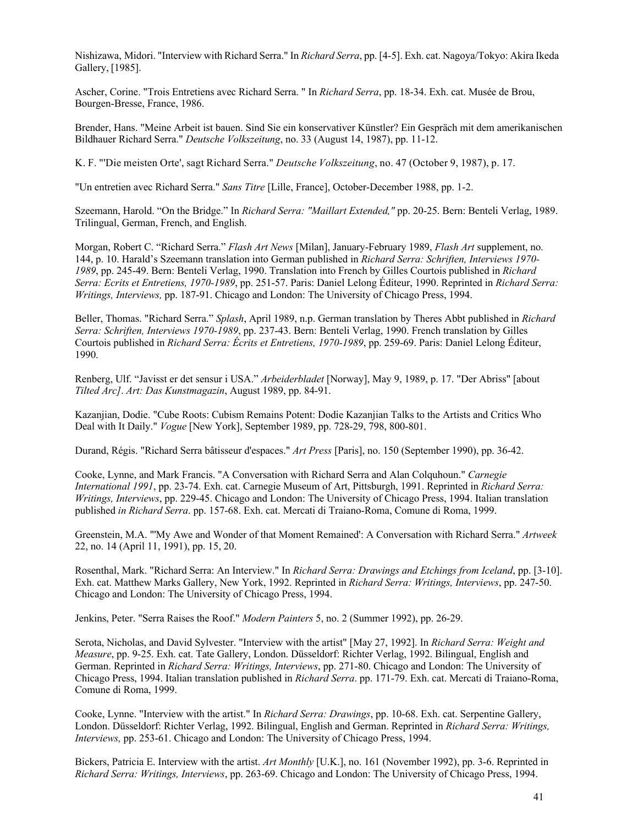Nishizawa, Midori. "Interview with Richard Serra." In *Richard Serra*, pp. [4-5]. Exh. cat. Nagoya/Tokyo: Akira Ikeda Gallery, [1985].

Ascher, Corine. "Trois Entretiens avec Richard Serra. " In *Richard Serra*, pp. 18-34. Exh. cat. Musée de Brou, Bourgen-Bresse, France, 1986.

Brender, Hans. "Meine Arbeit ist bauen. Sind Sie ein konservativer Künstler? Ein Gespräch mit dem amerikanischen Bildhauer Richard Serra." *Deutsche Volkszeitung*, no. 33 (August 14, 1987), pp. 11-12.

K. F. "'Die meisten Orte', sagt Richard Serra." *Deutsche Volkszeitung*, no. 47 (October 9, 1987), p. 17.

"Un entretien avec Richard Serra." *Sans Titre* [Lille, France], October-December 1988, pp. 1-2.

Szeemann, Harold. "On the Bridge." In *Richard Serra: "Maillart Extended,"* pp. 20-25. Bern: Benteli Verlag, 1989. Trilingual, German, French, and English.

Morgan, Robert C. "Richard Serra." *Flash Art News* [Milan], January-February 1989, *Flash Art* supplement, no. 144, p. 10. Harald's Szeemann translation into German published in *Richard Serra: Schriften, Interviews 1970- 1989*, pp. 245-49. Bern: Benteli Verlag, 1990. Translation into French by Gilles Courtois published in *Richard Serra: Ecrits et Entretiens, 1970-1989*, pp. 251-57. Paris: Daniel Lelong Éditeur, 1990. Reprinted in *Richard Serra: Writings, Interviews,* pp. 187-91. Chicago and London: The University of Chicago Press, 1994.

Beller, Thomas. "Richard Serra." *Splash*, April 1989, n.p. German translation by Theres Abbt published in *Richard Serra: Schriften, Interviews 1970-1989*, pp. 237-43. Bern: Benteli Verlag, 1990. French translation by Gilles Courtois published in *Richard Serra: Écrits et Entretiens, 1970-1989*, pp. 259-69. Paris: Daniel Lelong Éditeur, 1990.

Renberg, Ulf. "Javisst er det sensur i USA." *Arbeiderbladet* [Norway], May 9, 1989, p. 17. "Der Abriss" [about *Tilted Arc]*. *Art: Das Kunstmagazin*, August 1989, pp. 84-91.

Kazanjian, Dodie. "Cube Roots: Cubism Remains Potent: Dodie Kazanjian Talks to the Artists and Critics Who Deal with It Daily." *Vogue* [New York], September 1989, pp. 728-29, 798, 800-801.

Durand, Régis. "Richard Serra bâtisseur d'espaces." *Art Press* [Paris], no. 150 (September 1990), pp. 36-42.

Cooke, Lynne, and Mark Francis. "A Conversation with Richard Serra and Alan Colquhoun." *Carnegie International 1991*, pp. 23-74. Exh. cat. Carnegie Museum of Art, Pittsburgh, 1991. Reprinted in *Richard Serra: Writings, Interviews*, pp. 229-45. Chicago and London: The University of Chicago Press, 1994. Italian translation published *in Richard Serra*. pp. 157-68. Exh. cat. Mercati di Traiano-Roma, Comune di Roma, 1999.

Greenstein, M.A. "'My Awe and Wonder of that Moment Remained': A Conversation with Richard Serra." *Artweek* 22, no. 14 (April 11, 1991), pp. 15, 20.

Rosenthal, Mark. "Richard Serra: An Interview." In *Richard Serra: Drawings and Etchings from Iceland*, pp. [3-10]. Exh. cat. Matthew Marks Gallery, New York, 1992. Reprinted in *Richard Serra: Writings, Interviews*, pp. 247-50. Chicago and London: The University of Chicago Press, 1994.

Jenkins, Peter. "Serra Raises the Roof." *Modern Painters* 5, no. 2 (Summer 1992), pp. 26-29.

Serota, Nicholas, and David Sylvester. "Interview with the artist" [May 27, 1992]. In *Richard Serra: Weight and Measure*, pp. 9-25. Exh. cat. Tate Gallery, London. Düsseldorf: Richter Verlag, 1992. Bilingual, English and German. Reprinted in *Richard Serra: Writings, Interviews*, pp. 271-80. Chicago and London: The University of Chicago Press, 1994. Italian translation published in *Richard Serra*. pp. 171-79. Exh. cat. Mercati di Traiano-Roma, Comune di Roma, 1999.

Cooke, Lynne. "Interview with the artist." In *Richard Serra: Drawings*, pp. 10-68. Exh. cat. Serpentine Gallery, London. Düsseldorf: Richter Verlag, 1992. Bilingual, English and German. Reprinted in *Richard Serra: Writings, Interviews,* pp. 253-61. Chicago and London: The University of Chicago Press, 1994.

Bickers, Patricia E. Interview with the artist. *Art Monthly* [U.K.], no. 161 (November 1992), pp. 3-6. Reprinted in *Richard Serra: Writings, Interviews*, pp. 263-69. Chicago and London: The University of Chicago Press, 1994.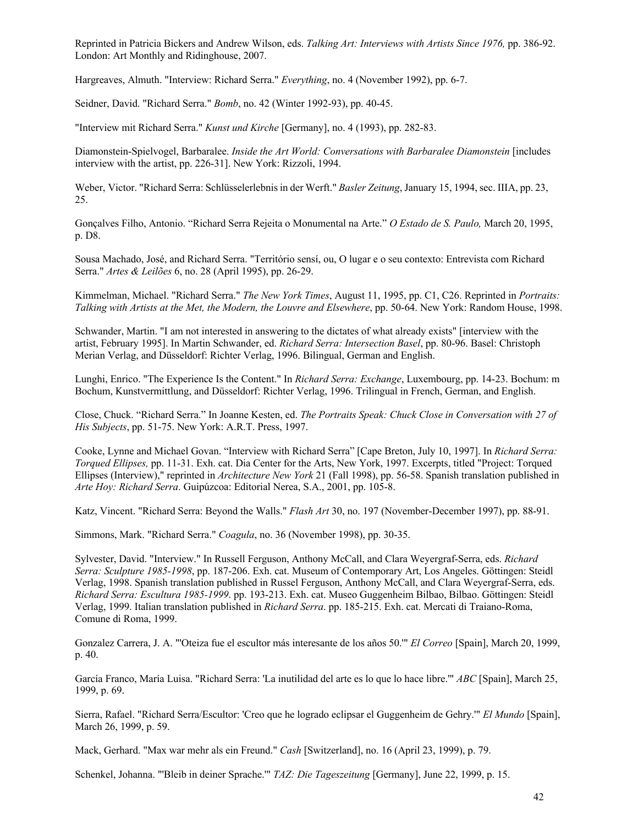Reprinted in Patricia Bickers and Andrew Wilson, eds. *Talking Art: Interviews with Artists Since 1976,* pp. 386-92. London: Art Monthly and Ridinghouse, 2007.

Hargreaves, Almuth. "Interview: Richard Serra." *Everything*, no. 4 (November 1992), pp. 6-7.

Seidner, David. "Richard Serra." *Bomb*, no. 42 (Winter 1992-93), pp. 40-45.

"Interview mit Richard Serra." *Kunst und Kirche* [Germany], no. 4 (1993), pp. 282-83.

Diamonstein-Spielvogel, Barbaralee. *Inside the Art World: Conversations with Barbaralee Diamonstein* [includes interview with the artist, pp. 226-31]. New York: Rizzoli, 1994.

Weber, Victor. "Richard Serra: Schlüsselerlebnis in der Werft." *Basler Zeitung*,January 15, 1994, sec. IIIA, pp. 23, 25.

Gonçalves Filho, Antonio. "Richard Serra Rejeita o Monumental na Arte." *O Estado de S. Paulo,* March 20, 1995, p. D8.

Sousa Machado, José, and Richard Serra. "Território sensí, ou, O lugar e o seu contexto: Entrevista com Richard Serra." *Artes & Leilões* 6, no. 28 (April 1995), pp. 26-29.

Kimmelman, Michael. "Richard Serra." *The New York Times*, August 11, 1995, pp. C1, C26. Reprinted in *Portraits: Talking with Artists at the Met, the Modern, the Louvre and Elsewhere*, pp. 50-64. New York: Random House, 1998.

Schwander, Martin. "I am not interested in answering to the dictates of what already exists" [interview with the artist, February 1995]. In Martin Schwander, ed. *Richard Serra: Intersection Basel*, pp. 80-96. Basel: Christoph Merian Verlag, and Düsseldorf: Richter Verlag, 1996. Bilingual, German and English.

Lunghi, Enrico. "The Experience Is the Content." In *Richard Serra: Exchange*, Luxembourg, pp. 14-23. Bochum: m Bochum, Kunstvermittlung, and Düsseldorf: Richter Verlag, 1996. Trilingual in French, German, and English.

Close, Chuck. "Richard Serra." In Joanne Kesten, ed. *The Portraits Speak: Chuck Close in Conversation with 27 of His Subjects*, pp. 51-75. New York: A.R.T. Press, 1997.

Cooke, Lynne and Michael Govan. "Interview with Richard Serra" [Cape Breton, July 10, 1997]. In *Richard Serra: Torqued Ellipses,* pp. 11-31. Exh. cat. Dia Center for the Arts, New York, 1997. Excerpts, titled "Project: Torqued Ellipses (Interview)," reprinted in *Architecture New York* 21 (Fall 1998), pp. 56-58. Spanish translation published in *Arte Hoy: Richard Serra*. Guipúzcoa: Editorial Nerea, S.A., 2001, pp. 105-8.

Katz, Vincent. "Richard Serra: Beyond the Walls." *Flash Art* 30, no. 197 (November-December 1997), pp. 88-91.

Simmons, Mark. "Richard Serra." *Coagula*, no. 36 (November 1998), pp. 30-35.

Sylvester, David. "Interview." In Russell Ferguson, Anthony McCall, and Clara Weyergraf-Serra, eds. *Richard Serra: Sculpture 1985-1998*, pp. 187-206. Exh. cat. Museum of Contemporary Art, Los Angeles. Göttingen: Steidl Verlag, 1998. Spanish translation published in Russel Ferguson, Anthony McCall, and Clara Weyergraf-Serra, eds. *Richard Serra: Escultura 1985-1999*. pp. 193-213. Exh. cat. Museo Guggenheim Bilbao, Bilbao. Göttingen: Steidl Verlag, 1999. Italian translation published in *Richard Serra*. pp. 185-215. Exh. cat. Mercati di Traiano-Roma, Comune di Roma, 1999.

Gonzalez Carrera, J. A. "'Oteiza fue el escultor más interesante de los años 50.'" *El Correo* [Spain], March 20, 1999, p. 40.

García Franco, María Luisa. "Richard Serra: 'La inutilidad del arte es lo que lo hace libre.'" *ABC* [Spain], March 25, 1999, p. 69.

Sierra, Rafael. "Richard Serra/Escultor: 'Creo que he logrado eclipsar el Guggenheim de Gehry.'" *El Mundo* [Spain], March 26, 1999, p. 59.

Mack, Gerhard. "Max war mehr als ein Freund." *Cash* [Switzerland], no. 16 (April 23, 1999), p. 79.

Schenkel, Johanna. "'Bleib in deiner Sprache.'" *TAZ: Die Tageszeitung* [Germany], June 22, 1999, p. 15.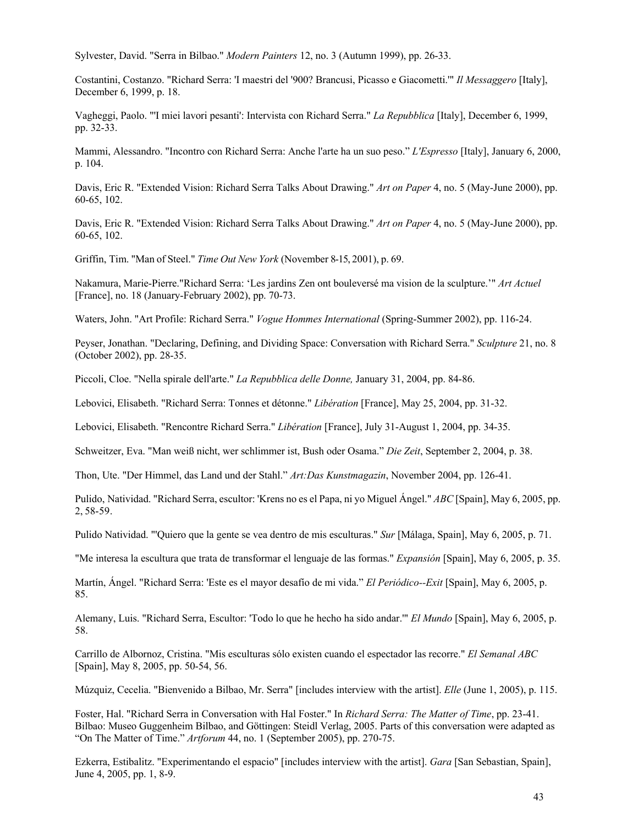Sylvester, David. "Serra in Bilbao." *Modern Painters* 12, no. 3 (Autumn 1999), pp. 26-33.

Costantini, Costanzo. "Richard Serra: 'I maestri del '900? Brancusi, Picasso e Giacometti.'" *Il Messaggero* [Italy], December 6, 1999, p. 18.

Vagheggi, Paolo. "'I miei lavori pesanti': Intervista con Richard Serra." *La Repubblica* [Italy], December 6, 1999, pp. 32-33.

Mammi, Alessandro. "Incontro con Richard Serra: Anche l'arte ha un suo peso." *L'Espresso* [Italy], January 6, 2000, p. 104.

Davis, Eric R. "Extended Vision: Richard Serra Talks About Drawing." *Art on Paper* 4, no. 5 (May-June 2000), pp. 60-65, 102.

Davis, Eric R. "Extended Vision: Richard Serra Talks About Drawing." *Art on Paper* 4, no. 5 (May-June 2000), pp. 60-65, 102.

Griffin, Tim. "Man of Steel." *Time Out New York* (November 8-15, 2001), p. 69.

Nakamura, Marie-Pierre."Richard Serra: 'Les jardins Zen ont bouleversé ma vision de la sculpture.'" *Art Actuel* [France], no. 18 (January-February 2002), pp. 70-73.

Waters, John. "Art Profile: Richard Serra." *Vogue Hommes International* (Spring-Summer 2002), pp. 116-24.

Peyser, Jonathan. "Declaring, Defining, and Dividing Space: Conversation with Richard Serra." *Sculpture* 21, no. 8 (October 2002), pp. 28-35.

Piccoli, Cloe. "Nella spirale dell'arte." *La Repubblica delle Donne,* January 31, 2004, pp. 84-86.

Lebovici, Elisabeth. "Richard Serra: Tonnes et détonne." *Libération* [France], May 25, 2004, pp. 31-32.

Lebovici, Elisabeth. "Rencontre Richard Serra." *Libération* [France], July 31-August 1, 2004, pp. 34-35.

Schweitzer, Eva. "Man weiß nicht, wer schlimmer ist, Bush oder Osama." *Die Zeit*, September 2, 2004, p. 38.

Thon, Ute. "Der Himmel, das Land und der Stahl." *Art:Das Kunstmagazin*, November 2004, pp. 126-41.

Pulido, Natividad. "Richard Serra, escultor: 'Krens no es el Papa, ni yo Miguel Ángel." *ABC* [Spain], May 6, 2005, pp. 2, 58-59.

Pulido Natividad. "'Quiero que la gente se vea dentro de mis esculturas." *Sur* [Málaga, Spain], May 6, 2005, p. 71.

"Me interesa la escultura que trata de transformar el lenguaje de las formas." *Expansión* [Spain], May 6, 2005, p. 35.

Martín, Ángel. "Richard Serra: 'Este es el mayor desafío de mi vida." *El Periódico--Exit* [Spain], May 6, 2005, p. 85.

Alemany, Luis. "Richard Serra, Escultor: 'Todo lo que he hecho ha sido andar.'" *El Mundo* [Spain], May 6, 2005, p. 58.

Carrillo de Albornoz, Cristina. "Mis esculturas sólo existen cuando el espectador las recorre." *El Semanal ABC*  [Spain], May 8, 2005, pp. 50-54, 56.

Múzquiz, Cecelia. "Bienvenido a Bilbao, Mr. Serra" [includes interview with the artist]. *Elle* (June 1, 2005), p. 115.

Foster, Hal. "Richard Serra in Conversation with Hal Foster." In *Richard Serra: The Matter of Time*, pp. 23-41. Bilbao: Museo Guggenheim Bilbao, and Göttingen: Steidl Verlag, 2005. Parts of this conversation were adapted as "On The Matter of Time." *Artforum* 44, no. 1 (September 2005), pp. 270-75.

Ezkerra, Estibalitz. "Experimentando el espacio" [includes interview with the artist]. *Gara* [San Sebastian, Spain], June 4, 2005, pp. 1, 8-9.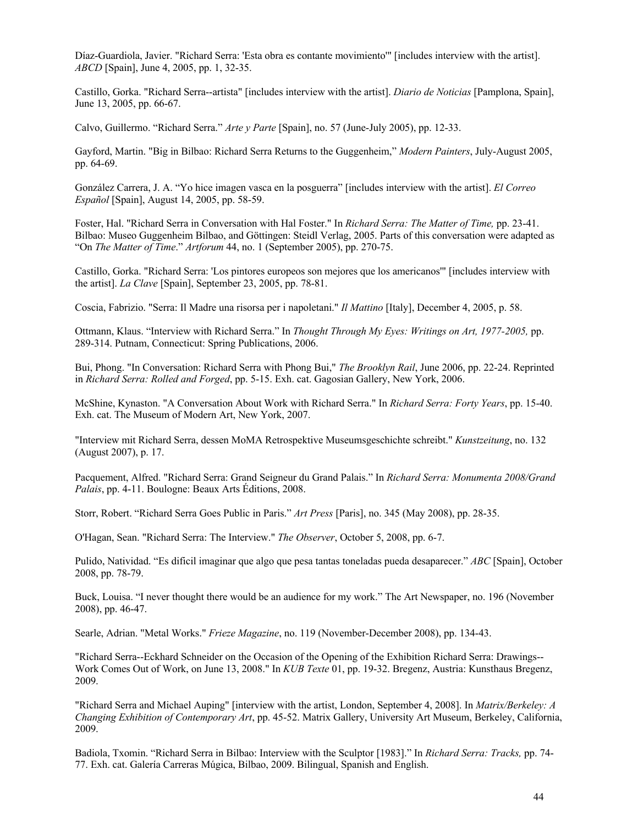Díaz-Guardiola, Javier. "Richard Serra: 'Esta obra es contante movimiento'" [includes interview with the artist]. *ABCD* [Spain], June 4, 2005, pp. 1, 32-35.

Castillo, Gorka. "Richard Serra--artista" [includes interview with the artist]. *Diario de Noticias* [Pamplona, Spain], June 13, 2005, pp. 66-67.

Calvo, Guillermo. "Richard Serra." *Arte y Parte* [Spain], no. 57 (June-July 2005), pp. 12-33.

Gayford, Martin. "Big in Bilbao: Richard Serra Returns to the Guggenheim," *Modern Painters*, July-August 2005, pp. 64-69.

González Carrera, J. A. "Yo hice imagen vasca en la posguerra" [includes interview with the artist]. *El Correo Español* [Spain], August 14, 2005, pp. 58-59.

Foster, Hal. "Richard Serra in Conversation with Hal Foster." In *Richard Serra: The Matter of Time,* pp. 23-41. Bilbao: Museo Guggenheim Bilbao, and Göttingen: Steidl Verlag, 2005. Parts of this conversation were adapted as "On *The Matter of Time*." *Artforum* 44, no. 1 (September 2005), pp. 270-75.

Castillo, Gorka. "Richard Serra: 'Los pintores europeos son mejores que los americanos'" [includes interview with the artist]. *La Clave* [Spain], September 23, 2005, pp. 78-81.

Coscia, Fabrizio. "Serra: Il Madre una risorsa per i napoletani." *Il Mattino* [Italy], December 4, 2005, p. 58.

Ottmann, Klaus. "Interview with Richard Serra." In *Thought Through My Eyes: Writings on Art, 1977-2005,* pp. 289-314. Putnam, Connecticut: Spring Publications, 2006.

Bui, Phong. "In Conversation: Richard Serra with Phong Bui," *The Brooklyn Rail*, June 2006, pp. 22-24. Reprinted in *Richard Serra: Rolled and Forged*, pp. 5-15. Exh. cat. Gagosian Gallery, New York, 2006.

McShine, Kynaston. "A Conversation About Work with Richard Serra." In *Richard Serra: Forty Years*, pp. 15-40. Exh. cat. The Museum of Modern Art, New York, 2007.

"Interview mit Richard Serra, dessen MoMA Retrospektive Museumsgeschichte schreibt." *Kunstzeitung*, no. 132 (August 2007), p. 17.

Pacquement, Alfred. "Richard Serra: Grand Seigneur du Grand Palais." In *Richard Serra: Monumenta 2008/Grand Palais*, pp. 4-11. Boulogne: Beaux Arts Éditions, 2008.

Storr, Robert. "Richard Serra Goes Public in Paris." *Art Press* [Paris], no. 345 (May 2008), pp. 28-35.

O'Hagan, Sean. "Richard Serra: The Interview." *The Observer*, October 5, 2008, pp. 6-7.

Pulido, Natividad. "Es dificil imaginar que algo que pesa tantas toneladas pueda desaparecer." *ABC* [Spain], October 2008, pp. 78-79.

Buck, Louisa. "I never thought there would be an audience for my work." The Art Newspaper, no. 196 (November 2008), pp. 46-47.

Searle, Adrian. "Metal Works." *Frieze Magazine*, no. 119 (November-December 2008), pp. 134-43.

"Richard Serra--Eckhard Schneider on the Occasion of the Opening of the Exhibition Richard Serra: Drawings-- Work Comes Out of Work, on June 13, 2008." In *KUB Texte* 01, pp. 19-32. Bregenz, Austria: Kunsthaus Bregenz, 2009.

"Richard Serra and Michael Auping" [interview with the artist, London, September 4, 2008]. In *Matrix/Berkeley: A Changing Exhibition of Contemporary Art*, pp. 45-52. Matrix Gallery, University Art Museum, Berkeley, California, 2009.

Badiola, Txomin. "Richard Serra in Bilbao: Interview with the Sculptor [1983]." In *Richard Serra: Tracks,* pp. 74- 77. Exh. cat. Galería Carreras Múgica, Bilbao, 2009. Bilingual, Spanish and English.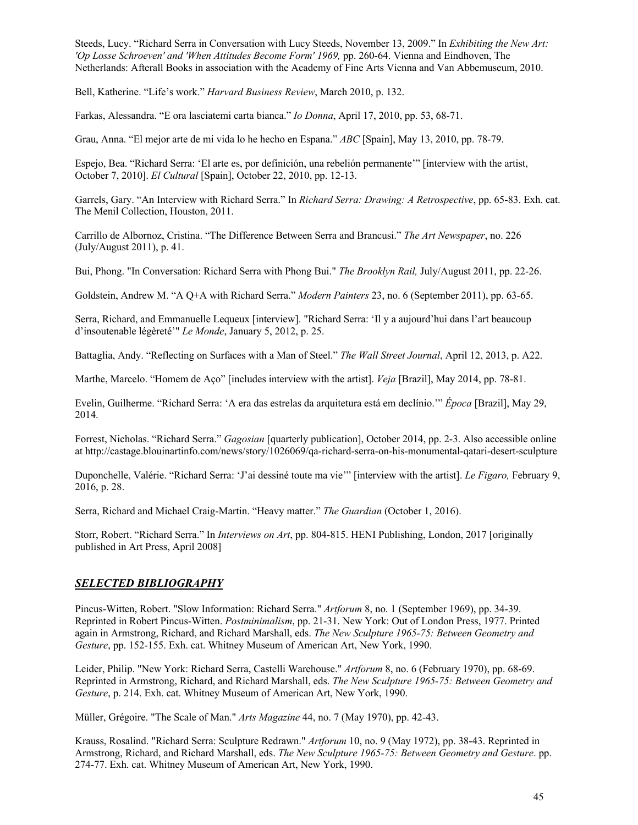Steeds, Lucy. "Richard Serra in Conversation with Lucy Steeds, November 13, 2009." In *Exhibiting the New Art: 'Op Losse Schroeven' and 'When Attitudes Become Form' 1969,* pp. 260-64. Vienna and Eindhoven, The Netherlands: Afterall Books in association with the Academy of Fine Arts Vienna and Van Abbemuseum, 2010.

Bell, Katherine. "Life's work." *Harvard Business Review*, March 2010, p. 132.

Farkas, Alessandra. "E ora lasciatemi carta bianca." *Io Donna*, April 17, 2010, pp. 53, 68-71.

Grau, Anna. "El mejor arte de mi vida lo he hecho en Espana." *ABC* [Spain], May 13, 2010, pp. 78-79.

Espejo, Bea. "Richard Serra: 'El arte es, por definición, una rebelión permanente'" [interview with the artist, October 7, 2010]. *El Cultural* [Spain], October 22, 2010, pp. 12-13.

Garrels, Gary. "An Interview with Richard Serra." In *Richard Serra: Drawing: A Retrospective*, pp. 65-83. Exh. cat. The Menil Collection, Houston, 2011.

Carrillo de Albornoz, Cristina. "The Difference Between Serra and Brancusi." *The Art Newspaper*, no. 226 (July/August 2011), p. 41.

Bui, Phong. "In Conversation: Richard Serra with Phong Bui." *The Brooklyn Rail,* July/August 2011, pp. 22-26.

Goldstein, Andrew M. "A Q+A with Richard Serra." *Modern Painters* 23, no. 6 (September 2011), pp. 63-65.

Serra, Richard, and Emmanuelle Lequeux [interview]. "Richard Serra: 'Il y a aujourd'hui dans l'art beaucoup d'insoutenable légèreté'" *Le Monde*, January 5, 2012, p. 25.

Battaglia, Andy. "Reflecting on Surfaces with a Man of Steel." *The Wall Street Journal*, April 12, 2013, p. A22.

Marthe, Marcelo. "Homem de Aço" [includes interview with the artist]. *Veja* [Brazil], May 2014, pp. 78-81.

Evelin, Guilherme. "Richard Serra: 'A era das estrelas da arquitetura está em declínio.'" *Época* [Brazil], May 29, 2014.

Forrest, Nicholas. "Richard Serra." *Gagosian* [quarterly publication], October 2014, pp. 2-3. Also accessible online at http://castage.blouinartinfo.com/news/story/1026069/qa-richard-serra-on-his-monumental-qatari-desert-sculpture

Duponchelle, Valérie. "Richard Serra: 'J'ai dessiné toute ma vie'" [interview with the artist]. *Le Figaro,* February 9, 2016, p. 28.

Serra, Richard and Michael Craig-Martin. "Heavy matter." *The Guardian* (October 1, 2016).

Storr, Robert. "Richard Serra." In *Interviews on Art*, pp. 804-815. HENI Publishing, London, 2017 [originally published in Art Press, April 2008]

# *SELECTED BIBLIOGRAPHY*

Pincus-Witten, Robert. "Slow Information: Richard Serra." *Artforum* 8, no. 1 (September 1969), pp. 34-39. Reprinted in Robert Pincus-Witten. *Postminimalism*, pp. 21-31. New York: Out of London Press, 1977. Printed again in Armstrong, Richard, and Richard Marshall, eds. *The New Sculpture 1965-75: Between Geometry and Gesture*, pp. 152-155. Exh. cat. Whitney Museum of American Art, New York, 1990.

Leider, Philip. "New York: Richard Serra, Castelli Warehouse." *Artforum* 8, no. 6 (February 1970), pp. 68-69. Reprinted in Armstrong, Richard, and Richard Marshall, eds. *The New Sculpture 1965-75: Between Geometry and Gesture*, p. 214. Exh. cat. Whitney Museum of American Art, New York, 1990.

Müller, Grégoire. "The Scale of Man." *Arts Magazine* 44, no. 7 (May 1970), pp. 42-43.

Krauss, Rosalind. "Richard Serra: Sculpture Redrawn." *Artforum* 10, no. 9 (May 1972), pp. 38-43. Reprinted in Armstrong, Richard, and Richard Marshall, eds. *The New Sculpture 1965-75: Between Geometry and Gesture*. pp. 274-77. Exh. cat. Whitney Museum of American Art, New York, 1990.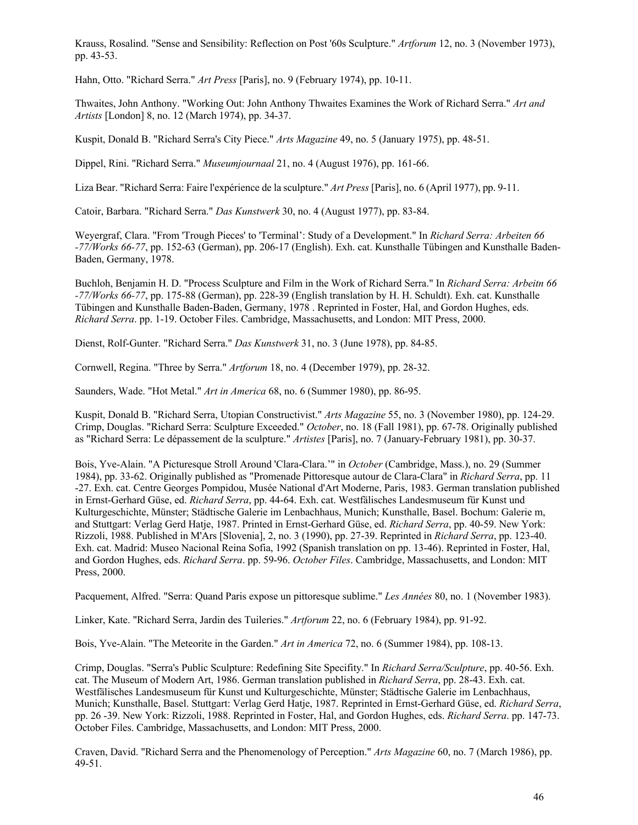Krauss, Rosalind. "Sense and Sensibility: Reflection on Post '60s Sculpture." *Artforum* 12, no. 3 (November 1973), pp. 43-53.

Hahn, Otto. "Richard Serra." *Art Press* [Paris], no. 9 (February 1974), pp. 10-11.

Thwaites, John Anthony. "Working Out: John Anthony Thwaites Examines the Work of Richard Serra." *Art and Artists* [London] 8, no. 12 (March 1974), pp. 34-37.

Kuspit, Donald B. "Richard Serra's City Piece." *Arts Magazine* 49, no. 5 (January 1975), pp. 48-51.

Dippel, Rini. "Richard Serra." *Museumjournaal* 21, no. 4 (August 1976), pp. 161-66.

Liza Bear. "Richard Serra: Faire l'expérience de la sculpture." *Art Press* [Paris], no. 6 (April 1977), pp. 9-11.

Catoir, Barbara. "Richard Serra." *Das Kunstwerk* 30, no. 4 (August 1977), pp. 83-84.

Weyergraf, Clara. "From 'Trough Pieces' to 'Terminal': Study of a Development." In *Richard Serra: Arbeiten 66 -77/Works 66-77*, pp. 152-63 (German), pp. 206-17 (English). Exh. cat. Kunsthalle Tübingen and Kunsthalle Baden-Baden, Germany, 1978.

Buchloh, Benjamin H. D. "Process Sculpture and Film in the Work of Richard Serra." In *Richard Serra: Arbeitn 66 -77/Works 66-77*, pp. 175-88 (German), pp. 228-39 (English translation by H. H. Schuldt). Exh. cat. Kunsthalle Tübingen and Kunsthalle Baden-Baden, Germany, 1978 . Reprinted in Foster, Hal, and Gordon Hughes, eds. *Richard Serra*. pp. 1-19. October Files. Cambridge, Massachusetts, and London: MIT Press, 2000.

Dienst, Rolf-Gunter. "Richard Serra." *Das Kunstwerk* 31, no. 3 (June 1978), pp. 84-85.

Cornwell, Regina. "Three by Serra." *Artforum* 18, no. 4 (December 1979), pp. 28-32.

Saunders, Wade. "Hot Metal." *Art in America* 68, no. 6 (Summer 1980), pp. 86-95.

Kuspit, Donald B. "Richard Serra, Utopian Constructivist." *Arts Magazine* 55, no. 3 (November 1980), pp. 124-29. Crimp, Douglas. "Richard Serra: Sculpture Exceeded." *October*, no. 18 (Fall 1981), pp. 67-78. Originally published as "Richard Serra: Le dépassement de la sculpture." *Artistes* [Paris], no. 7 (January-February 1981), pp. 30-37.

Bois, Yve-Alain. "A Picturesque Stroll Around 'Clara-Clara.'" in *October* (Cambridge, Mass.), no. 29 (Summer 1984), pp. 33-62. Originally published as "Promenade Pittoresque autour de Clara-Clara" in *Richard Serra*, pp. 11 -27. Exh. cat. Centre Georges Pompidou, Musée National d'Art Moderne, Paris, 1983. German translation published in Ernst-Gerhard Güse, ed. *Richard Serra*, pp. 44-64. Exh. cat. Westfälisches Landesmuseum für Kunst und Kulturgeschichte, Münster; Städtische Galerie im Lenbachhaus, Munich; Kunsthalle, Basel. Bochum: Galerie m, and Stuttgart: Verlag Gerd Hatje, 1987. Printed in Ernst-Gerhard Güse, ed. *Richard Serra*, pp. 40-59. New York: Rizzoli, 1988. Published in M'Ars [Slovenia], 2, no. 3 (1990), pp. 27-39. Reprinted in *Richard Serra*, pp. 123-40. Exh. cat. Madrid: Museo Nacional Reina Sofia, 1992 (Spanish translation on pp. 13-46). Reprinted in Foster, Hal, and Gordon Hughes, eds. *Richard Serra*. pp. 59-96. *October Files*. Cambridge, Massachusetts, and London: MIT Press, 2000.

Pacquement, Alfred. "Serra: Quand Paris expose un pittoresque sublime." *Les Années* 80, no. 1 (November 1983).

Linker, Kate. "Richard Serra, Jardin des Tuileries." *Artforum* 22, no. 6 (February 1984), pp. 91-92.

Bois, Yve-Alain. "The Meteorite in the Garden." *Art in America* 72, no. 6 (Summer 1984), pp. 108-13.

Crimp, Douglas. "Serra's Public Sculpture: Redefining Site Specifity." In *Richard Serra/Sculpture*, pp. 40-56. Exh. cat. The Museum of Modern Art, 1986. German translation published in *Richard Serra*, pp. 28-43. Exh. cat. Westfälisches Landesmuseum für Kunst und Kulturgeschichte, Münster; Städtische Galerie im Lenbachhaus, Munich; Kunsthalle, Basel. Stuttgart: Verlag Gerd Hatje, 1987. Reprinted in Ernst-Gerhard Güse, ed. *Richard Serra*, pp. 26 -39. New York: Rizzoli, 1988. Reprinted in Foster, Hal, and Gordon Hughes, eds. *Richard Serra*. pp. 147-73. October Files. Cambridge, Massachusetts, and London: MIT Press, 2000.

Craven, David. "Richard Serra and the Phenomenology of Perception." *Arts Magazine* 60, no. 7 (March 1986), pp. 49-51.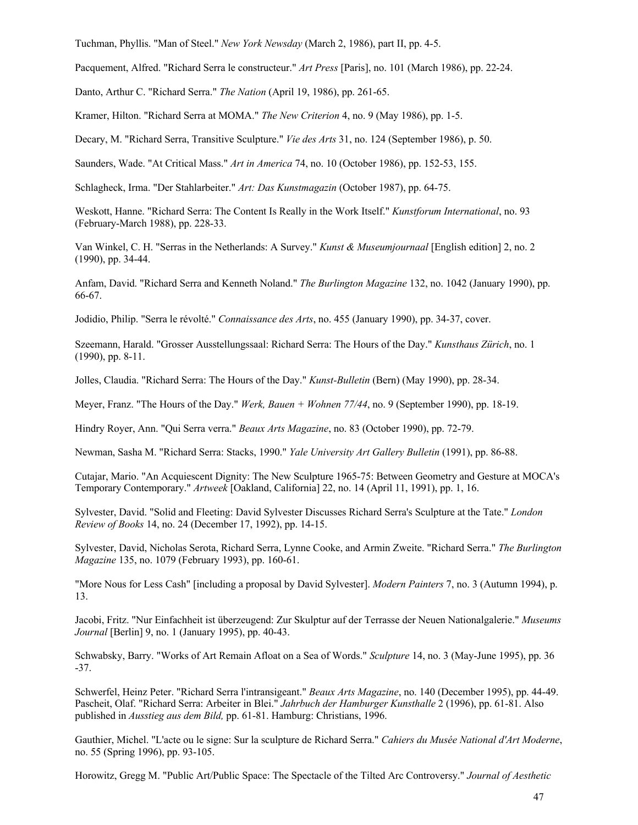Tuchman, Phyllis. "Man of Steel." *New York Newsday* (March 2, 1986), part II, pp. 4-5.

Pacquement, Alfred. "Richard Serra le constructeur." *Art Press* [Paris], no. 101 (March 1986), pp. 22-24.

Danto, Arthur C. "Richard Serra." *The Nation* (April 19, 1986), pp. 261-65.

Kramer, Hilton. "Richard Serra at MOMA." *The New Criterion* 4, no. 9 (May 1986), pp. 1-5.

Decary, M. "Richard Serra, Transitive Sculpture." *Vie des Arts* 31, no. 124 (September 1986), p. 50.

Saunders, Wade. "At Critical Mass." *Art in America* 74, no. 10 (October 1986), pp. 152-53, 155.

Schlagheck, Irma. "Der Stahlarbeiter." *Art: Das Kunstmagazin* (October 1987), pp. 64-75.

Weskott, Hanne. "Richard Serra: The Content Is Really in the Work Itself." *Kunstforum International*, no. 93 (February-March 1988), pp. 228-33.

Van Winkel, C. H. "Serras in the Netherlands: A Survey." *Kunst & Museumjournaal* [English edition] 2, no. 2 (1990), pp. 34-44.

Anfam, David. "Richard Serra and Kenneth Noland." *The Burlington Magazine* 132, no. 1042 (January 1990), pp. 66-67.

Jodidio, Philip. "Serra le révolté." *Connaissance des Arts*, no. 455 (January 1990), pp. 34-37, cover.

Szeemann, Harald. "Grosser Ausstellungssaal: Richard Serra: The Hours of the Day." *Kunsthaus Zürich*, no. 1 (1990), pp. 8-11.

Jolles, Claudia. "Richard Serra: The Hours of the Day." *Kunst-Bulletin* (Bern) (May 1990), pp. 28-34.

Meyer, Franz. "The Hours of the Day." *Werk, Bauen + Wohnen 77/44*, no. 9 (September 1990), pp. 18-19.

Hindry Royer, Ann. "Qui Serra verra." *Beaux Arts Magazine*, no. 83 (October 1990), pp. 72-79.

Newman, Sasha M. "Richard Serra: Stacks, 1990." *Yale University Art Gallery Bulletin* (1991), pp. 86-88.

Cutajar, Mario. "An Acquiescent Dignity: The New Sculpture 1965-75: Between Geometry and Gesture at MOCA's Temporary Contemporary." *Artweek* [Oakland, California] 22, no. 14 (April 11, 1991), pp. 1, 16.

Sylvester, David. "Solid and Fleeting: David Sylvester Discusses Richard Serra's Sculpture at the Tate." *London Review of Books* 14, no. 24 (December 17, 1992), pp. 14-15.

Sylvester, David, Nicholas Serota, Richard Serra, Lynne Cooke, and Armin Zweite. "Richard Serra." *The Burlington Magazine* 135, no. 1079 (February 1993), pp. 160-61.

"More Nous for Less Cash" [including a proposal by David Sylvester]. *Modern Painters* 7, no. 3 (Autumn 1994), p. 13.

Jacobi, Fritz. "Nur Einfachheit ist überzeugend: Zur Skulptur auf der Terrasse der Neuen Nationalgalerie." *Museums Journal* [Berlin] 9, no. 1 (January 1995), pp. 40-43.

Schwabsky, Barry. "Works of Art Remain Afloat on a Sea of Words." *Sculpture* 14, no. 3 (May-June 1995), pp. 36 -37.

Schwerfel, Heinz Peter. "Richard Serra l'intransigeant." *Beaux Arts Magazine*, no. 140 (December 1995), pp. 44-49. Pascheit, Olaf. "Richard Serra: Arbeiter in Blei." *Jahrbuch der Hamburger Kunsthalle* 2 (1996), pp. 61-81. Also published in *Ausstieg aus dem Bild,* pp. 61-81. Hamburg: Christians, 1996.

Gauthier, Michel. "L'acte ou le signe: Sur la sculpture de Richard Serra." *Cahiers du Musée National d'Art Moderne*, no. 55 (Spring 1996), pp. 93-105.

Horowitz, Gregg M. "Public Art/Public Space: The Spectacle of the Tilted Arc Controversy." *Journal of Aesthetic*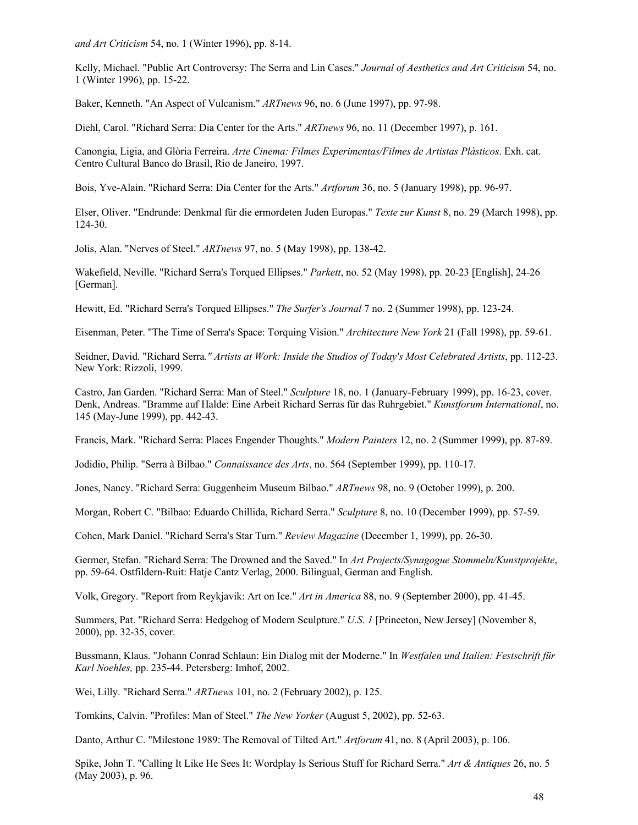*and Art Criticism* 54, no. 1 (Winter 1996), pp. 8-14.

Kelly, Michael. "Public Art Controversy: The Serra and Lin Cases." *Journal of Aesthetics and Art Criticism* 54, no. 1 (Winter 1996), pp. 15-22.

Baker, Kenneth. "An Aspect of Vulcanism." *ARTnews* 96, no. 6 (June 1997), pp. 97-98.

Diehl, Carol. "Richard Serra: Dia Center for the Arts." *ARTnews* 96, no. 11 (December 1997), p. 161.

Canongia, Ligia, and Glòria Ferreira. *Arte Cinema: Filmes Experimentas/Filmes de Artistas Plàsticos*. Exh. cat. Centro Cultural Banco do Brasil, Rio de Janeiro, 1997.

Bois, Yve-Alain. "Richard Serra: Dia Center for the Arts." *Artforum* 36, no. 5 (January 1998), pp. 96-97.

Elser, Oliver. "Endrunde: Denkmal für die ermordeten Juden Europas." *Texte zur Kunst* 8, no. 29 (March 1998), pp. 124-30.

Jolis, Alan. "Nerves of Steel." *ARTnews* 97, no. 5 (May 1998), pp. 138-42.

Wakefield, Neville. "Richard Serra's Torqued Ellipses." *Parkett*, no. 52 (May 1998), pp. 20-23 [English], 24-26 [German].

Hewitt, Ed. "Richard Serra's Torqued Ellipses." *The Surfer's Journal* 7 no. 2 (Summer 1998), pp. 123-24.

Eisenman, Peter. "The Time of Serra's Space: Torquing Vision." *Architecture New York* 21 (Fall 1998), pp. 59-61.

Seidner, David. "Richard Serra*." Artists at Work: Inside the Studios of Today's Most Celebrated Artists*, pp. 112-23. New York: Rizzoli, 1999.

Castro, Jan Garden. "Richard Serra: Man of Steel." *Sculpture* 18, no. 1 (January-February 1999), pp. 16-23, cover. Denk, Andreas. "Bramme auf Halde: Eine Arbeit Richard Serras für das Ruhrgebiet." *Kunstforum International*, no. 145 (May-June 1999), pp. 442-43.

Francis, Mark. "Richard Serra: Places Engender Thoughts." *Modern Painters* 12, no. 2 (Summer 1999), pp. 87-89.

Jodidio, Philip. "Serra à Bilbao." *Connaissance des Arts*, no. 564 (September 1999), pp. 110-17.

Jones, Nancy. "Richard Serra: Guggenheim Museum Bilbao." *ARTnews* 98, no. 9 (October 1999), p. 200.

Morgan, Robert C. "Bilbao: Eduardo Chillida, Richard Serra." *Sculpture* 8, no. 10 (December 1999), pp. 57-59.

Cohen, Mark Daniel. "Richard Serra's Star Turn." *Review Magazine* (December 1, 1999), pp. 26-30.

Germer, Stefan. "Richard Serra: The Drowned and the Saved." In *Art Projects/Synagogue Stommeln/Kunstprojekte*, pp. 59-64. Ostfildern-Ruit: Hatje Cantz Verlag, 2000. Bilingual, German and English.

Volk, Gregory. "Report from Reykjavik: Art on Ice." *Art in America* 88, no. 9 (September 2000), pp. 41-45.

Summers, Pat. "Richard Serra: Hedgehog of Modern Sculpture." *U.S. 1* [Princeton, New Jersey] (November 8, 2000), pp. 32-35, cover.

Bussmann, Klaus. "Johann Conrad Schlaun: Ein Dialog mit der Moderne." In *Westfalen und Italien: Festschrift für Karl Noehles,* pp. 235-44. Petersberg: Imhof, 2002.

Wei, Lilly. "Richard Serra." *ARTnews* 101, no. 2 (February 2002), p. 125.

Tomkins, Calvin. "Profiles: Man of Steel." *The New Yorker* (August 5, 2002), pp. 52-63.

Danto, Arthur C. "Milestone 1989: The Removal of Tilted Art." *Artforum* 41, no. 8 (April 2003), p. 106.

Spike, John T. "Calling It Like He Sees It: Wordplay Is Serious Stuff for Richard Serra." *Art & Antiques* 26, no. 5 (May 2003), p. 96.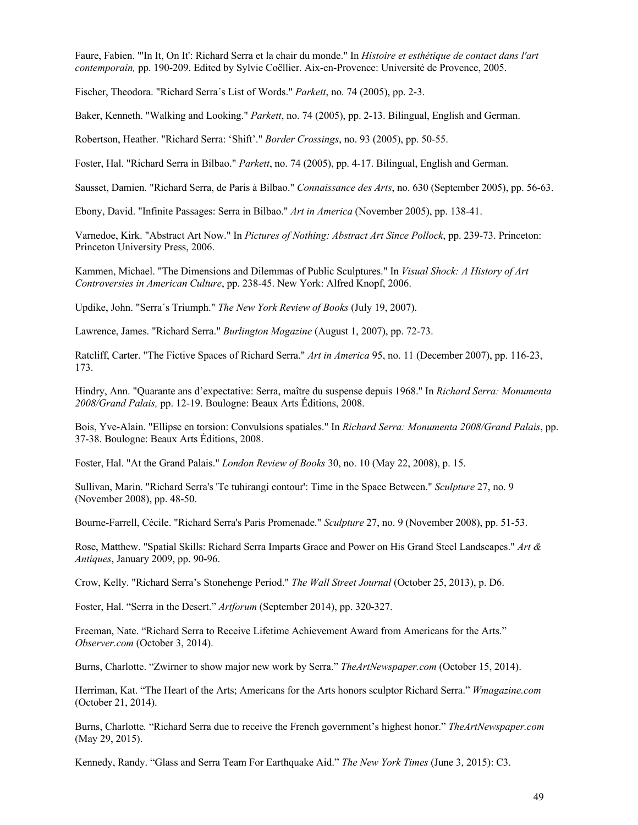Faure, Fabien. "'In It, On It': Richard Serra et la chair du monde." In *Histoire et esthétique de contact dans l'art contemporain,* pp. 190-209. Edited by Sylvie Coëllier. Aix-en-Provence: Université de Provence, 2005.

Fischer, Theodora. "Richard Serra´s List of Words." *Parkett*, no. 74 (2005), pp. 2-3.

Baker, Kenneth. "Walking and Looking." *Parkett*, no. 74 (2005), pp. 2-13. Bilingual, English and German.

Robertson, Heather. "Richard Serra: 'Shift'." *Border Crossings*, no. 93 (2005), pp. 50-55.

Foster, Hal. "Richard Serra in Bilbao." *Parkett*, no. 74 (2005), pp. 4-17. Bilingual, English and German.

Sausset, Damien. "Richard Serra, de Paris à Bilbao." *Connaissance des Arts*, no. 630 (September 2005), pp. 56-63.

Ebony, David. "Infinite Passages: Serra in Bilbao." *Art in America* (November 2005), pp. 138-41.

Varnedoe, Kirk. "Abstract Art Now." In *Pictures of Nothing: Abstract Art Since Pollock*, pp. 239-73. Princeton: Princeton University Press, 2006.

Kammen, Michael. "The Dimensions and Dilemmas of Public Sculptures." In *Visual Shock: A History of Art Controversies in American Culture*, pp. 238-45. New York: Alfred Knopf, 2006.

Updike, John. "Serra´s Triumph." *The New York Review of Books* (July 19, 2007).

Lawrence, James. "Richard Serra." *Burlington Magazine* (August 1, 2007), pp. 72-73.

Ratcliff, Carter. "The Fictive Spaces of Richard Serra." *Art in America* 95, no. 11 (December 2007), pp. 116-23, 173.

Hindry, Ann. "Quarante ans d'expectative: Serra, maître du suspense depuis 1968." In *Richard Serra: Monumenta 2008/Grand Palais,* pp. 12-19. Boulogne: Beaux Arts Éditions, 2008.

Bois, Yve-Alain. "Ellipse en torsion: Convulsions spatiales." In *Richard Serra: Monumenta 2008/Grand Palais*, pp. 37-38. Boulogne: Beaux Arts Éditions, 2008.

Foster, Hal. "At the Grand Palais." *London Review of Books* 30, no. 10 (May 22, 2008), p. 15.

Sullivan, Marin. "Richard Serra's 'Te tuhirangi contour': Time in the Space Between." *Sculpture* 27, no. 9 (November 2008), pp. 48-50.

Bourne-Farrell, Cécile. "Richard Serra's Paris Promenade." *Sculpture* 27, no. 9 (November 2008), pp. 51-53.

Rose, Matthew. "Spatial Skills: Richard Serra Imparts Grace and Power on His Grand Steel Landscapes." *Art & Antiques*, January 2009, pp. 90-96.

Crow, Kelly. "Richard Serra's Stonehenge Period." *The Wall Street Journal* (October 25, 2013), p. D6.

Foster, Hal. "Serra in the Desert." *Artforum* (September 2014), pp. 320-327.

Freeman, Nate. "Richard Serra to Receive Lifetime Achievement Award from Americans for the Arts." *Observer.com* (October 3, 2014).

Burns, Charlotte. "Zwirner to show major new work by Serra." *TheArtNewspaper.com* (October 15, 2014).

Herriman, Kat. "The Heart of the Arts; Americans for the Arts honors sculptor Richard Serra." *Wmagazine.com* (October 21, 2014).

Burns, Charlotte*.* "Richard Serra due to receive the French government's highest honor." *TheArtNewspaper.com* (May 29, 2015).

Kennedy, Randy. "Glass and Serra Team For Earthquake Aid." *The New York Times* (June 3, 2015): C3.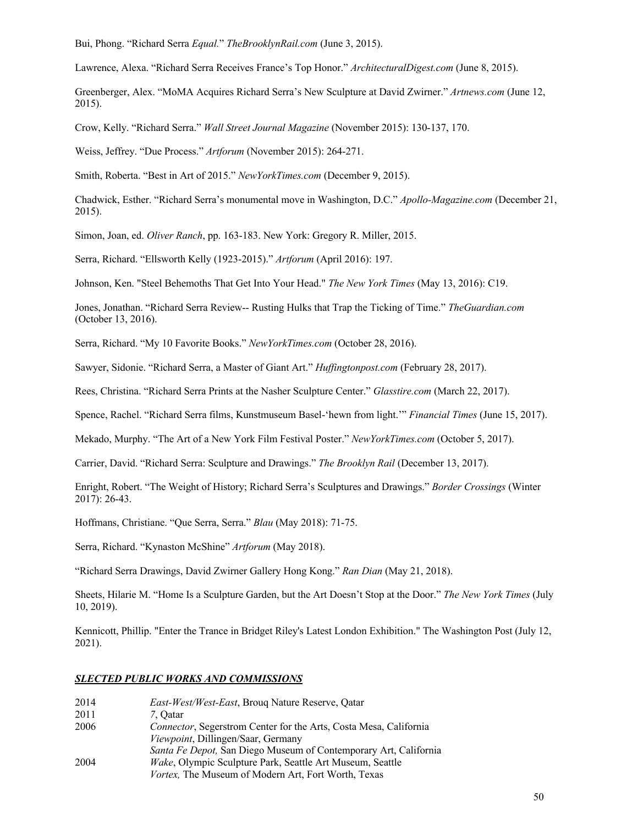Bui, Phong. "Richard Serra *Equal.*" *TheBrooklynRail.com* (June 3, 2015).

Lawrence, Alexa. "Richard Serra Receives France's Top Honor." *ArchitecturalDigest.com* (June 8, 2015).

Greenberger, Alex. "MoMA Acquires Richard Serra's New Sculpture at David Zwirner." *Artnews.com* (June 12, 2015).

Crow, Kelly. "Richard Serra." *Wall Street Journal Magazine* (November 2015): 130-137, 170.

Weiss, Jeffrey. "Due Process." *Artforum* (November 2015): 264-271.

Smith, Roberta. "Best in Art of 2015." *NewYorkTimes.com* (December 9, 2015).

Chadwick, Esther. "Richard Serra's monumental move in Washington, D.C." *Apollo-Magazine.com* (December 21, 2015).

Simon, Joan, ed. *Oliver Ranch*, pp. 163-183. New York: Gregory R. Miller, 2015.

Serra, Richard. "Ellsworth Kelly (1923-2015)." *Artforum* (April 2016): 197.

Johnson, Ken. "Steel Behemoths That Get Into Your Head." *The New York Times* (May 13, 2016): C19.

Jones, Jonathan. "Richard Serra Review-- Rusting Hulks that Trap the Ticking of Time." *TheGuardian.com* (October 13, 2016).

Serra, Richard. "My 10 Favorite Books." *NewYorkTimes.com* (October 28, 2016).

Sawyer, Sidonie. "Richard Serra, a Master of Giant Art." *Huffingtonpost.com* (February 28, 2017).

Rees, Christina. "Richard Serra Prints at the Nasher Sculpture Center." *Glasstire.com* (March 22, 2017).

Spence, Rachel. "Richard Serra films, Kunstmuseum Basel-'hewn from light.'" *Financial Times* (June 15, 2017).

Mekado, Murphy. "The Art of a New York Film Festival Poster." *NewYorkTimes.com* (October 5, 2017).

Carrier, David. "Richard Serra: Sculpture and Drawings." *The Brooklyn Rail* (December 13, 2017).

Enright, Robert. "The Weight of History; Richard Serra's Sculptures and Drawings." *Border Crossings* (Winter 2017): 26-43.

Hoffmans, Christiane. "Que Serra, Serra." *Blau* (May 2018): 71-75.

Serra, Richard. "Kynaston McShine" *Artforum* (May 2018).

"Richard Serra Drawings, David Zwirner Gallery Hong Kong." *Ran Dian* (May 21, 2018).

Sheets, Hilarie M. "Home Is a Sculpture Garden, but the Art Doesn't Stop at the Door." *The New York Times* (July 10, 2019).

Kennicott, Phillip. "Enter the Trance in Bridget Riley's Latest London Exhibition." The Washington Post (July 12, 2021).

#### *SLECTED PUBLIC WORKS AND COMMISSIONS*

| 2014 | East-West/West-East, Broug Nature Reserve, Qatar                  |
|------|-------------------------------------------------------------------|
| 2011 | 7. Oatar                                                          |
| 2006 | Connector, Segerstrom Center for the Arts, Costa Mesa, California |
|      | <i>Viewpoint</i> , Dillingen/Saar, Germany                        |
|      | Santa Fe Depot, San Diego Museum of Contemporary Art, California  |
| 2004 | <i>Wake</i> , Olympic Sculpture Park, Seattle Art Museum, Seattle |
|      | Vortex, The Museum of Modern Art, Fort Worth, Texas               |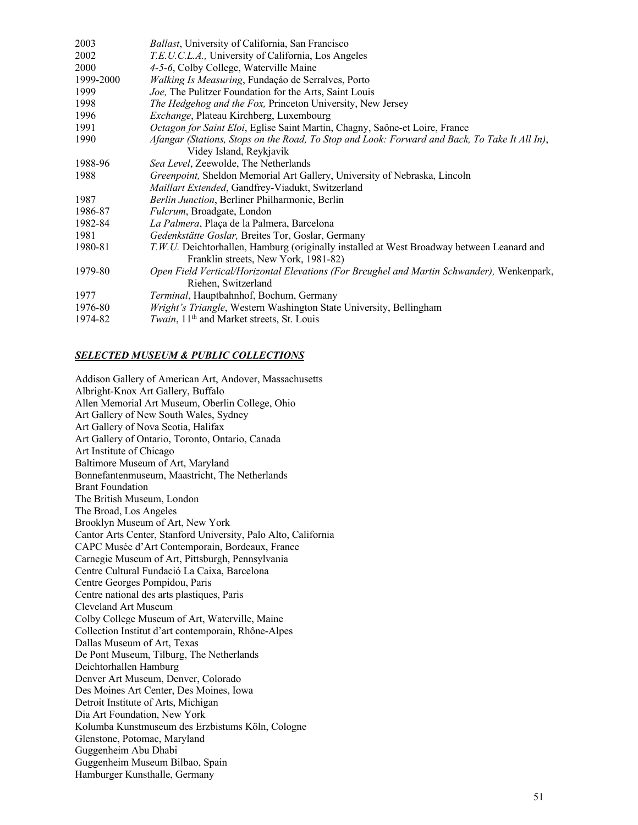| 2003      | Ballast, University of California, San Francisco                                                                                  |
|-----------|-----------------------------------------------------------------------------------------------------------------------------------|
| 2002      | T.E.U.C.L.A., University of California, Los Angeles                                                                               |
| 2000      | 4-5-6, Colby College, Waterville Maine                                                                                            |
| 1999-2000 | Walking Is Measuring, Fundação de Serralves, Porto                                                                                |
| 1999      | Joe, The Pulitzer Foundation for the Arts, Saint Louis                                                                            |
| 1998      | The Hedgehog and the Fox, Princeton University, New Jersey                                                                        |
| 1996      | Exchange, Plateau Kirchberg, Luxembourg                                                                                           |
| 1991      | Octagon for Saint Eloi, Eglise Saint Martin, Chagny, Saône-et Loire, France                                                       |
| 1990      | Afangar (Stations, Stops on the Road, To Stop and Look: Forward and Back, To Take It All In),                                     |
|           | Videy Island, Reykjavik                                                                                                           |
| 1988-96   | Sea Level, Zeewolde, The Netherlands                                                                                              |
| 1988      | Greenpoint, Sheldon Memorial Art Gallery, University of Nebraska, Lincoln                                                         |
|           | Maillart Extended, Gandfrey-Viadukt, Switzerland                                                                                  |
| 1987      | Berlin Junction, Berliner Philharmonie, Berlin                                                                                    |
| 1986-87   | <i>Fulcrum</i> , Broadgate, London                                                                                                |
| 1982-84   | La Palmera, Plaça de la Palmera, Barcelona                                                                                        |
| 1981      | Gedenkstätte Goslar, Breites Tor, Goslar, Germany                                                                                 |
| 1980-81   | T.W.U. Deichtorhallen, Hamburg (originally installed at West Broadway between Leanard and<br>Franklin streets, New York, 1981-82) |
| 1979-80   | Open Field Vertical/Horizontal Elevations (For Breughel and Martin Schwander), Wenkenpark,<br>Riehen, Switzerland                 |
| 1977      | <i>Terminal</i> , Hauptbahnhof, Bochum, Germany                                                                                   |
| 1976-80   | Wright's Triangle, Western Washington State University, Bellingham                                                                |
| 1974-82   | <i>Twain</i> , 11 <sup>th</sup> and Market streets, St. Louis                                                                     |
|           |                                                                                                                                   |

## *SELECTED MUSEUM & PUBLIC COLLECTIONS*

Addison Gallery of American Art, Andover, Massachusetts Albright-Knox Art Gallery, Buffalo Allen Memorial Art Museum, Oberlin College, Ohio Art Gallery of New South Wales, Sydney Art Gallery of Nova Scotia, Halifax Art Gallery of Ontario, Toronto, Ontario, Canada Art Institute of Chicago Baltimore Museum of Art, Maryland Bonnefantenmuseum, Maastricht, The Netherlands Brant Foundation The British Museum, London The Broad, Los Angeles Brooklyn Museum of Art, New York Cantor Arts Center, Stanford University, Palo Alto, California CAPC Musée d'Art Contemporain, Bordeaux, France Carnegie Museum of Art, Pittsburgh, Pennsylvania Centre Cultural Fundació La Caixa, Barcelona Centre Georges Pompidou, Paris Centre national des arts plastiques, Paris Cleveland Art Museum Colby College Museum of Art, Waterville, Maine Collection Institut d'art contemporain, Rhône-Alpes Dallas Museum of Art, Texas De Pont Museum, Tilburg, The Netherlands Deichtorhallen Hamburg Denver Art Museum, Denver, Colorado Des Moines Art Center, Des Moines, Iowa Detroit Institute of Arts, Michigan Dia Art Foundation, New York Kolumba Kunstmuseum des Erzbistums Köln, Cologne Glenstone, Potomac, Maryland Guggenheim Abu Dhabi Guggenheim Museum Bilbao, Spain Hamburger Kunsthalle, Germany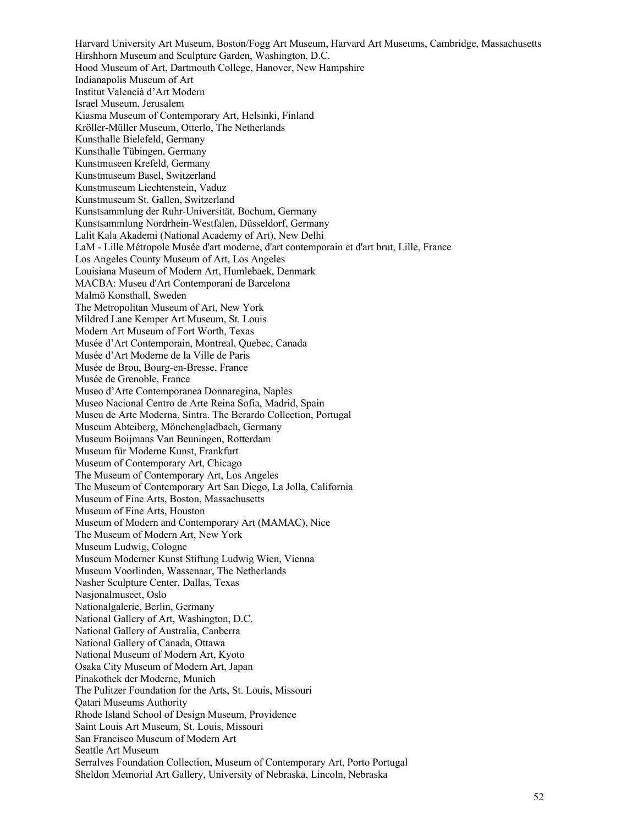Harvard University Art Museum, Boston/Fogg Art Museum, Harvard Art Museums, Cambridge, Massachusetts Hirshhorn Museum and Sculpture Garden, Washington, D.C. Hood Museum of Art, Dartmouth College, Hanover, New Hampshire Indianapolis Museum of Art Institut Valencià d'Art Modern Israel Museum, Jerusalem Kiasma Museum of Contemporary Art, Helsinki, Finland Kröller-Müller Museum, Otterlo, The Netherlands Kunsthalle Bielefeld, Germany Kunsthalle Tübingen, Germany Kunstmuseen Krefeld, Germany Kunstmuseum Basel, Switzerland Kunstmuseum Liechtenstein, Vaduz Kunstmuseum St. Gallen, Switzerland Kunstsammlung der Ruhr-Universität, Bochum, Germany Kunstsammlung Nordrhein-Westfalen, Düsseldorf, Germany Lalit Kala Akademi (National Academy of Art), New Delhi LaM - Lille Métropole Musée d'art moderne, d'art contemporain et d'art brut, Lille, France Los Angeles County Museum of Art, Los Angeles Louisiana Museum of Modern Art, Humlebaek, Denmark MACBA: Museu d'Art Contemporani de Barcelona Malmö Konsthall, Sweden The Metropolitan Museum of Art, New York Mildred Lane Kemper Art Museum, St. Louis Modern Art Museum of Fort Worth, Texas Musée d'Art Contemporain, Montreal, Quebec, Canada Musée d'Art Moderne de la Ville de Paris Musée de Brou, Bourg-en-Bresse, France Musée de Grenoble, France Museo d'Arte Contemporanea Donnaregina, Naples Museo Nacional Centro de Arte Reina Sofia, Madrid, Spain Museu de Arte Moderna, Sintra. The Berardo Collection, Portugal Museum Abteiberg, Mönchengladbach, Germany Museum Boijmans Van Beuningen, Rotterdam Museum für Moderne Kunst, Frankfurt Museum of Contemporary Art, Chicago The Museum of Contemporary Art, Los Angeles The Museum of Contemporary Art San Diego, La Jolla, California Museum of Fine Arts, Boston, Massachusetts Museum of Fine Arts, Houston Museum of Modern and Contemporary Art (MAMAC), Nice The Museum of Modern Art, New York Museum Ludwig, Cologne Museum Moderner Kunst Stiftung Ludwig Wien, Vienna Museum Voorlinden, Wassenaar, The Netherlands Nasher Sculpture Center, Dallas, Texas Nasjonalmuseet, Oslo Nationalgalerie, Berlin, Germany National Gallery of Art, Washington, D.C. National Gallery of Australia, Canberra National Gallery of Canada, Ottawa National Museum of Modern Art, Kyoto Osaka City Museum of Modern Art, Japan Pinakothek der Moderne, Munich The Pulitzer Foundation for the Arts, St. Louis, Missouri Qatari Museums Authority Rhode Island School of Design Museum, Providence Saint Louis Art Museum, St. Louis, Missouri San Francisco Museum of Modern Art Seattle Art Museum Serralves Foundation Collection, Museum of Contemporary Art, Porto Portugal Sheldon Memorial Art Gallery, University of Nebraska, Lincoln, Nebraska